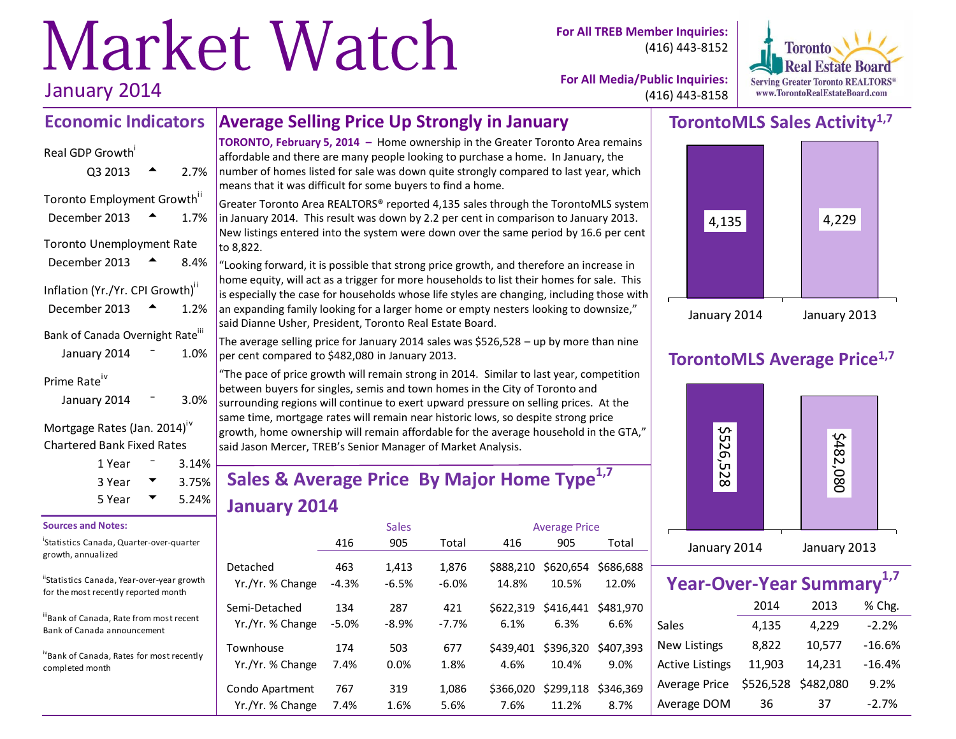# Market Watch January 2014

**For All TREB Member Inquiries:** (416) 443-8152



**For All Media/Public Inquiries:** (416) 443-8158

#### **Average Selling Price Up Strongly in January Economic Indicators**

# Real GDP Growth  $Q3\ 2013$   $\rightarrow$  2.7% Toronto Employment Growth<sup>ii</sup> December 2013  $\rightarrow$  1.7% Toronto Unemployment Rate December 2013  $\triangle$  8.4% Inflation (Yr./Yr. CPI Growth)<sup>ii</sup> December 2013  $\rightarrow$  1.2% Bank of Canada Overnight Rate<sup>iii</sup> January 2014  $-$  1.0% Prime Rate<sup>iv</sup>

| January 2014 | 3.0% |
|--------------|------|
|              |      |

Mortgage Rates (Jan. 2014)<sup>iv</sup> Chartered Bank Fixed Rates

| 1 Year | 3.14% |
|--------|-------|
| 3 Year | 3.75% |
| 5 Year | 5.24% |

#### **Sources and Notes:**

i Statistics Canada, Quarter-over-quarter growth, annualized

"Statistics Canada, Year-over-year growth for the most recently reported month

iiiBank of Canada, Rate from most recent Bank of Canada announcement

ivBank of Canada, Rates for most recently completed month

**TORONTO, February 5, 2014 –** Home ownership in the Greater Toronto Area remains affordable and there are many people looking to purchase a home. In January, the number of homes listed for sale was down quite strongly compared to last year, which means that it was difficult for some buyers to find a home.

Greater Toronto Area REALTORS® reported 4,135 sales through the TorontoMLS system in January 2014. This result was down by 2.2 per cent in comparison to January 2013. New listings entered into the system were down over the same period by 16.6 per cent to 8,822.

"Looking forward, it is possible that strong price growth, and therefore an increase in home equity, will act as a trigger for more households to list their homes for sale. This is especially the case for households whose life styles are changing, including those with an expanding family looking for a larger home or empty nesters looking to downsize," said Dianne Usher, President, Toronto Real Estate Board.

The average selling price for January 2014 sales was \$526,528 – up by more than nine per cent compared to \$482,080 in January 2013.

"The pace of price growth will remain strong in 2014. Similar to last year, competition between buyers for singles, semis and town homes in the City of Toronto and surrounding regions will continue to exert upward pressure on selling prices. At the same time, mortgage rates will remain near historic lows, so despite strong price growth, home ownership will remain affordable for the average household in the GTA," said Jason Mercer, TREB's Senior Manager of Market Analysis.

# **Sales & Average Price By Major Home Type1,7 January 2014**

|                  |         | <b>Sales</b> |         | <b>Average Price</b> |           |           |  |  |  |
|------------------|---------|--------------|---------|----------------------|-----------|-----------|--|--|--|
|                  | 416     | 905          | Total   | 416                  | 905       | Total     |  |  |  |
| Detached         | 463     | 1.413        | 1.876   | \$888,210            | \$620,654 | \$686,688 |  |  |  |
| Yr./Yr. % Change | $-4.3%$ | $-6.5%$      | $-6.0%$ | 14.8%                | 10.5%     | 12.0%     |  |  |  |
| Semi-Detached    | 134     | 287          | 421     | \$622.319            | \$416.441 | \$481.970 |  |  |  |
| Yr./Yr. % Change | $-5.0%$ | $-8.9%$      | $-7.7%$ | 6.1%                 | 6.3%      | 6.6%      |  |  |  |
| Townhouse        | 174     | 503          | 677     | \$439.401            | \$396,320 | \$407.393 |  |  |  |
| Yr./Yr. % Change | 7.4%    | 0.0%         | 1.8%    | 4.6%                 | 10.4%     | 9.0%      |  |  |  |
| Condo Apartment  | 767     | 319          | 1,086   | \$366,020            | \$299,118 | \$346.369 |  |  |  |
| Yr./Yr. % Change | 7.4%    | 1.6%         | 5.6%    | 7.6%                 | 11.2%     | 8.7%      |  |  |  |

# **TorontoMLS Sales Activity1,7**



# **TorontoMLS Average Price1,7**



| Year-Over-Year Summary <sup>1,7</sup> |           |           |          |  |  |  |  |  |  |  |
|---------------------------------------|-----------|-----------|----------|--|--|--|--|--|--|--|
|                                       | 2014      | 2013      | % Chg.   |  |  |  |  |  |  |  |
| Sales                                 | 4,135     | 4,229     | $-2.2%$  |  |  |  |  |  |  |  |
| <b>New Listings</b>                   | 8,822     | 10,577    | $-16.6%$ |  |  |  |  |  |  |  |
| <b>Active Listings</b>                | 11,903    | 14,231    | $-16.4%$ |  |  |  |  |  |  |  |
| <b>Average Price</b>                  | \$526,528 | \$482,080 | 9.2%     |  |  |  |  |  |  |  |
| Average DOM                           | 36        | 37        | $-2.7%$  |  |  |  |  |  |  |  |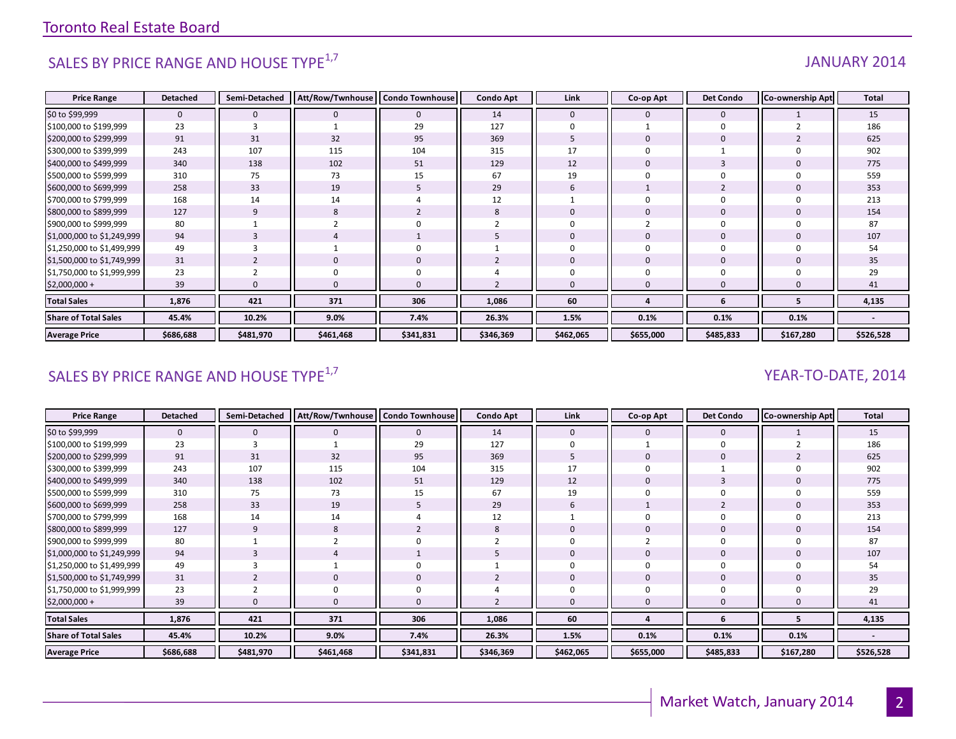# SALES BY PRICE RANGE AND HOUSE TYPE<sup>1,7</sup> And the same of the set of the set of the set of the set of the set of the set of the set of the set of the set of the set of the set of the set of the set of the set of the set of

| <b>Price Range</b>          | <b>Detached</b> | Semi-Detached | Att/Row/Twnhouse | <b>Condo Townhouse</b> | <b>Condo Apt</b> | Link         | Co-op Apt    | <b>Det Condo</b> | Co-ownership Apt | <b>Total</b> |
|-----------------------------|-----------------|---------------|------------------|------------------------|------------------|--------------|--------------|------------------|------------------|--------------|
| \$0 to \$99,999             | $\mathbf{0}$    | $\mathbf{0}$  | $\mathbf{0}$     | $\mathbf 0$            | 14               | $\mathbf{0}$ | $\mathbf 0$  | $\mathbf{0}$     |                  | 15           |
| \$100,000 to \$199,999      | 23              | 3             |                  | 29                     | 127              |              |              | $\Omega$         |                  | 186          |
| \$200,000 to \$299,999      | 91              | 31            | 32               | 95                     | 369              |              |              | $\mathbf 0$      |                  | 625          |
| \$300,000 to \$399,999      | 243             | 107           | 115              | 104                    | 315              | 17           |              |                  |                  | 902          |
| \$400,000 to \$499,999      | 340             | 138           | 102              | 51                     | 129              | 12           |              |                  |                  | 775          |
| \$500,000 to \$599,999      | 310             | 75            | 73               | 15                     | 67               | 19           |              |                  |                  | 559          |
| \$600,000 to \$699,999      | 258             | 33            | 19               | 5                      | 29               | 6            |              |                  |                  | 353          |
| \$700,000 to \$799,999      | 168             | 14            | 14               | 4                      | 12               |              |              | -0               |                  | 213          |
| \$800,000 to \$899,999      | 127             | 9             | 8                | $\overline{2}$         | 8                | $\Omega$     | 0            | $\mathbf{0}$     |                  | 154          |
| \$900,000 to \$999,999      | 80              |               |                  |                        |                  |              |              |                  |                  | 87           |
| \$1,000,000 to \$1,249,999  | 94              | 3             |                  |                        |                  | $\Omega$     | $\mathbf 0$  | $\mathbf{0}$     |                  | 107          |
| \$1,250,000 to \$1,499,999  | 49              | 3             |                  | $\mathbf 0$            |                  | $\Omega$     |              | $\Omega$         |                  | 54           |
| \$1,500,000 to \$1,749,999  | 31              |               | $\mathbf{0}$     | $\mathbf 0$            |                  | $\mathbf{0}$ | $\mathbf{0}$ | $\mathbf{0}$     |                  | 35           |
| \$1,750,000 to \$1,999,999  | 23              |               | 0                | $\Omega$               |                  |              |              |                  |                  | 29           |
| $$2,000,000+$               | 39              |               | $\Omega$         |                        |                  |              | $\Omega$     |                  |                  | 41           |
| <b>Total Sales</b>          | 1,876           | 421           | 371              | 306                    | 1,086            | 60           |              | -6               |                  | 4,135        |
| <b>Share of Total Sales</b> | 45.4%           | 10.2%         | 9.0%             | 7.4%                   | 26.3%            | 1.5%         | 0.1%         | 0.1%             | 0.1%             |              |
| <b>Average Price</b>        | \$686,688       | \$481,970     | \$461,468        | \$341,831              | \$346,369        | \$462,065    | \$655,000    | \$485,833        | \$167,280        | \$526,528    |

# SALES BY PRICE RANGE AND HOUSE TYPE $^{1,7}$  YEAR-TO-DATE, 2014

| <b>Price Range</b>          | <b>Detached</b> | Semi-Detached | Att/Row/Twnhouse   Condo Townhouse |           | <b>Condo Apt</b> | Link         | Co-op Apt    | <b>Det Condo</b> | <b>Co-ownership Apt</b> | Total     |
|-----------------------------|-----------------|---------------|------------------------------------|-----------|------------------|--------------|--------------|------------------|-------------------------|-----------|
| \$0 to \$99,999             | $\mathbf{0}$    | 0             |                                    | 0         | 14               | $\mathbf{0}$ | 0            | $\mathbf 0$      |                         | 15        |
| \$100,000 to \$199,999      | 23              | 3             |                                    | 29        | 127              |              |              |                  |                         | 186       |
| \$200,000 to \$299,999      | 91              | 31            | 32                                 | 95        | 369              | 5            | $\mathbf{0}$ | $\mathbf{0}$     |                         | 625       |
| \$300,000 to \$399,999      | 243             | 107           | 115                                | 104       | 315              | 17           | $\Omega$     |                  |                         | 902       |
| \$400,000 to \$499,999      | 340             | 138           | 102                                | 51        | 129              | 12           | $\Omega$     |                  |                         | 775       |
| \$500,000 to \$599,999      | 310             | 75            | 73                                 | 15        | 67               | 19           |              |                  |                         | 559       |
| \$600,000 to \$699,999      | 258             | 33            | 19                                 | 5         | 29               | 6            |              |                  |                         | 353       |
| \$700,000 to \$799,999      | 168             | 14            | 14                                 |           | 12               |              | $\Omega$     |                  |                         | 213       |
| \$800,000 to \$899,999      | 127             | 9             | 8                                  |           | ŏ                | 0            | 0            |                  |                         | 154       |
| \$900,000 to \$999,999      | 80              |               |                                    |           |                  |              |              |                  |                         | 87        |
| \$1,000,000 to \$1,249,999  | 94              |               |                                    |           |                  | O            | $\mathbf{0}$ | $\overline{0}$   |                         | 107       |
| \$1,250,000 to \$1,499,999  | 49              |               |                                    | 0         |                  |              | 0            | $\Omega$         |                         | 54        |
| \$1,500,000 to \$1,749,999  | 31              |               |                                    | 0         |                  | $\Omega$     | $\mathbf{0}$ | $\mathbf 0$      |                         | 35        |
| \$1,750,000 to \$1,999,999  | 23              |               |                                    |           |                  |              |              |                  |                         | 29        |
| \$2,000,000 +               | 39              | 0             |                                    | 0         |                  | 0            | $\mathbf{0}$ |                  |                         | 41        |
| <b>Total Sales</b>          | 1,876           | 421           | 371                                | 306       | 1,086            | 60           |              | 6                |                         | 4,135     |
| <b>Share of Total Sales</b> | 45.4%           | 10.2%         | 9.0%                               | 7.4%      | 26.3%            | 1.5%         | 0.1%         | 0.1%             | 0.1%                    |           |
| <b>Average Price</b>        | \$686,688       | \$481,970     | \$461,468                          | \$341,831 | \$346,369        | \$462,065    | \$655,000    | \$485,833        | \$167,280               | \$526,528 |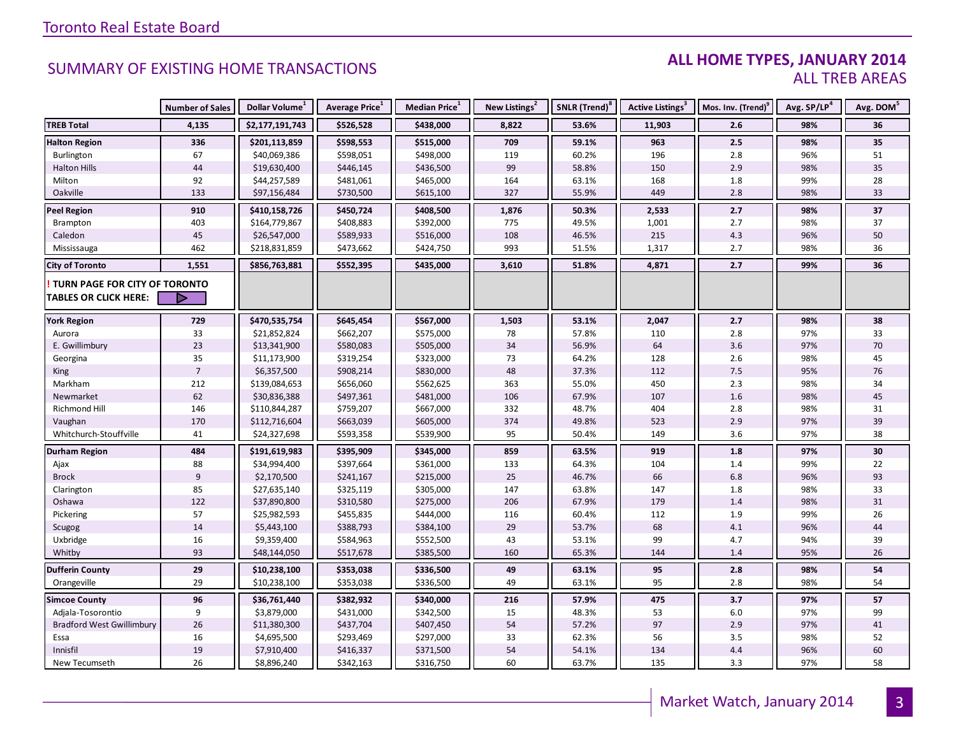### **ALL HOME TYPES, JANUARY 2014** ALL TREB AREAS

|                                  | <b>Number of Sales</b> | Dollar Volume <sup>1</sup> | Average Price <sup>1</sup> | Median Price <sup>1</sup> | New Listings <sup>2</sup> | SNLR (Trend) <sup>8</sup> | <b>Active Listings<sup>3</sup></b> | Mos. Inv. (Trend) <sup>9</sup> | Avg. SP/LP <sup>4</sup> | Avg. DOM <sup>5</sup> |
|----------------------------------|------------------------|----------------------------|----------------------------|---------------------------|---------------------------|---------------------------|------------------------------------|--------------------------------|-------------------------|-----------------------|
| <b>TREB Total</b>                | 4,135                  | \$2,177,191,743            | \$526,528                  | \$438,000                 | 8,822                     | 53.6%                     | 11,903                             | 2.6                            | 98%                     | 36                    |
| <b>Halton Region</b>             | 336                    | \$201,113,859              | \$598,553                  | \$515,000                 | 709                       | 59.1%                     | 963                                | 2.5                            | 98%                     | 35                    |
| Burlington                       | 67                     | \$40,069,386               | \$598,051                  | \$498,000                 | 119                       | 60.2%                     | 196                                | 2.8                            | 96%                     | 51                    |
| <b>Halton Hills</b>              | 44                     | \$19,630,400               | \$446,145                  | \$436,500                 | 99                        | 58.8%                     | 150                                | 2.9                            | 98%                     | 35                    |
| Milton                           | 92                     | \$44,257,589               | \$481,061                  | \$465,000                 | 164                       | 63.1%                     | 168                                | $1.8\,$                        | 99%                     | 28                    |
| Oakville                         | 133                    | \$97,156,484               | \$730,500                  | \$615,100                 | 327                       | 55.9%                     | 449                                | 2.8                            | 98%                     | 33                    |
| <b>Peel Region</b>               | 910                    | \$410,158,726              | \$450,724                  | \$408,500                 | 1,876                     | 50.3%                     | 2,533                              | 2.7                            | 98%                     | 37                    |
| Brampton                         | 403                    | \$164,779,867              | \$408,883                  | \$392,000                 | 775                       | 49.5%                     | 1,001                              | 2.7                            | 98%                     | 37                    |
| Caledon                          | $45\,$                 | \$26,547,000               | \$589,933                  | \$516,000                 | 108                       | 46.5%                     | 215                                | 4.3                            | 96%                     | 50                    |
| Mississauga                      | 462                    | \$218,831,859              | \$473,662                  | \$424,750                 | 993                       | 51.5%                     | 1,317                              | 2.7                            | 98%                     | 36                    |
| <b>City of Toronto</b>           | 1,551                  | \$856,763,881              | \$552,395                  | \$435,000                 | 3,610                     | 51.8%                     | 4,871                              | 2.7                            | 99%                     | 36                    |
| TURN PAGE FOR CITY OF TORONTO    |                        |                            |                            |                           |                           |                           |                                    |                                |                         |                       |
| <b>TABLES OR CLICK HERE:</b>     |                        |                            |                            |                           |                           |                           |                                    |                                |                         |                       |
| <b>York Region</b>               | 729                    | \$470,535,754              | \$645,454                  | \$567,000                 | 1,503                     | 53.1%                     | 2,047                              | 2.7                            | 98%                     | 38                    |
| Aurora                           | 33                     | \$21,852,824               | \$662,207                  | \$575,000                 | 78                        | 57.8%                     | 110                                | 2.8                            | 97%                     | 33                    |
| E. Gwillimbury                   | 23                     | \$13,341,900               | \$580,083                  | \$505,000                 | $34$                      | 56.9%                     | 64                                 | 3.6                            | 97%                     | $70\,$                |
| Georgina                         | 35                     | \$11,173,900               | \$319,254                  | \$323,000                 | 73                        | 64.2%                     | 128                                | 2.6                            | 98%                     | 45                    |
| King                             | $\sqrt{ }$             | \$6,357,500                | \$908,214                  | \$830,000                 | 48                        | 37.3%                     | 112                                | 7.5                            | 95%                     | 76                    |
| Markham                          | 212                    | \$139,084,653              | \$656,060                  | \$562,625                 | 363                       | 55.0%                     | 450                                | 2.3                            | 98%                     | 34                    |
| Newmarket                        | 62                     | \$30,836,388               | \$497,361                  | \$481,000                 | 106                       | 67.9%                     | 107                                | $1.6\,$                        | 98%                     | 45                    |
| Richmond Hill                    | 146                    | \$110,844,287              | \$759,207                  | \$667,000                 | 332                       | 48.7%                     | 404                                | 2.8                            | 98%                     | 31                    |
| Vaughan                          | 170                    | \$112,716,604              | \$663,039                  | \$605,000                 | 374                       | 49.8%                     | 523                                | 2.9                            | 97%                     | 39                    |
| Whitchurch-Stouffville           | 41                     | \$24,327,698               | \$593,358                  | \$539,900                 | 95                        | 50.4%                     | 149                                | 3.6                            | 97%                     | 38                    |
| <b>Durham Region</b>             | 484                    | \$191,619,983              | \$395,909                  | \$345,000                 | 859                       | 63.5%                     | 919                                | 1.8                            | 97%                     | 30                    |
| Ajax                             | 88                     | \$34,994,400               | \$397,664                  | \$361,000                 | 133                       | 64.3%                     | 104                                | 1.4                            | 99%                     | 22                    |
| <b>Brock</b>                     | $\overline{9}$         | \$2,170,500                | \$241,167                  | \$215,000                 | 25                        | 46.7%                     | 66                                 | $6.8\,$                        | 96%                     | 93                    |
| Clarington                       | 85                     | \$27,635,140               | \$325,119                  | \$305,000                 | 147                       | 63.8%                     | 147                                | 1.8                            | 98%                     | 33                    |
| Oshawa                           | 122                    | \$37,890,800               | \$310,580                  | \$275,000                 | 206                       | 67.9%                     | 179                                | 1.4                            | 98%                     | 31                    |
| Pickering                        | 57                     | \$25,982,593               | \$455,835                  | \$444,000                 | 116                       | 60.4%                     | 112                                | $1.9\,$                        | 99%                     | 26                    |
| Scugog                           | 14                     | \$5,443,100                | \$388,793                  | \$384,100                 | 29                        | 53.7%                     | 68                                 | 4.1                            | 96%                     | 44                    |
| Uxbridge                         | 16                     | \$9,359,400                | \$584,963                  | \$552,500                 | 43                        | 53.1%                     | 99                                 | 4.7                            | 94%                     | 39                    |
| Whitby                           | 93                     | \$48,144,050               | \$517,678                  | \$385,500                 | 160                       | 65.3%                     | 144                                | 1.4                            | 95%                     | 26                    |
| <b>Dufferin County</b>           | 29                     | \$10,238,100               | \$353,038                  | \$336,500                 | 49                        | 63.1%                     | 95                                 | 2.8                            | 98%                     | 54                    |
| Orangeville                      | 29                     | \$10,238,100               | \$353,038                  | \$336,500                 | 49                        | 63.1%                     | 95                                 | 2.8                            | 98%                     | 54                    |
| <b>Simcoe County</b>             | 96                     | \$36,761,440               | \$382,932                  | \$340,000                 | 216                       | 57.9%                     | 475                                | 3.7                            | 97%                     | 57                    |
| Adjala-Tosorontio                | 9                      | \$3,879,000                | \$431,000                  | \$342,500                 | 15                        | 48.3%                     | 53                                 | 6.0                            | 97%                     | 99                    |
| <b>Bradford West Gwillimbury</b> | 26                     | \$11,380,300               | \$437,704                  | \$407,450                 | 54                        | 57.2%                     | 97                                 | 2.9                            | 97%                     | 41                    |
| Essa                             | 16                     | \$4,695,500                | \$293,469                  | \$297,000                 | 33                        | 62.3%                     | 56                                 | 3.5                            | 98%                     | 52                    |
| Innisfil                         | 19                     | \$7,910,400                | \$416,337                  | \$371,500                 | 54                        | 54.1%                     | 134                                | 4.4                            | 96%                     | 60                    |
| New Tecumseth                    | 26                     | \$8,896,240                | \$342,163                  | \$316,750                 | 60                        | 63.7%                     | 135                                | 3.3                            | 97%                     | 58                    |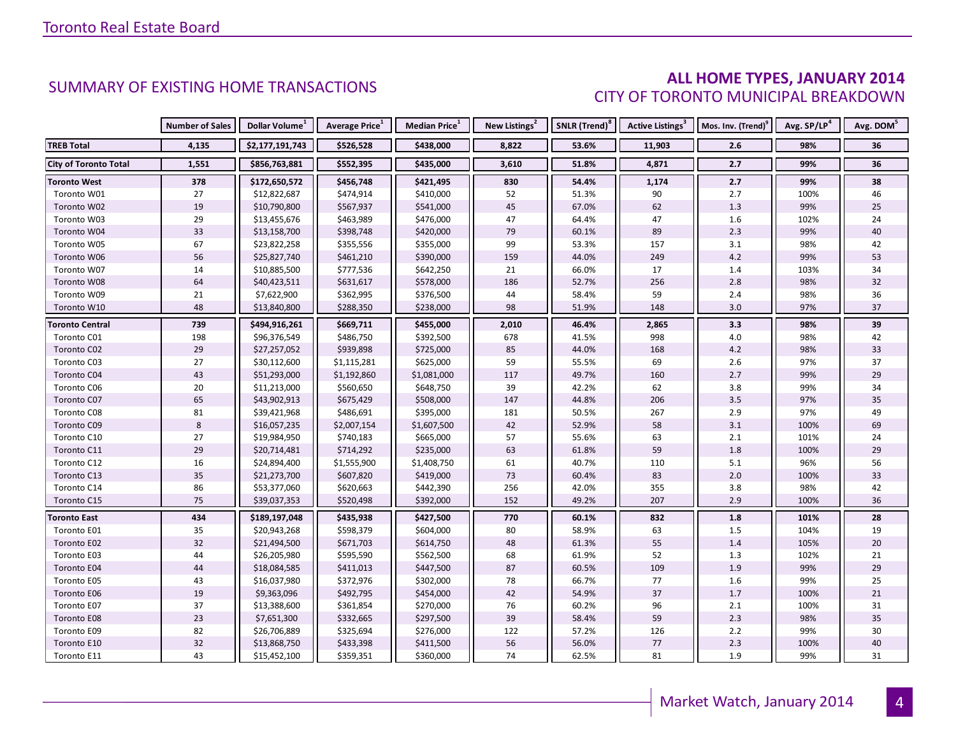#### **ALL HOME TYPES, JANUARY 2014** CITY OF TORONTO MUNICIPAL BREAKDOWN

|                              | <b>Number of Sales</b> | Dollar Volume <sup>1</sup> | <b>Average Price</b> <sup>1</sup> | <b>Median Price</b> <sup>1</sup> | New Listings <sup>2</sup> | SNLR (Trend) <sup>8</sup> | Active Listings <sup>3</sup> | Mos. Inv. (Trend) <sup>9</sup> | Avg. SP/LP <sup>4</sup> | Avg. DOM <sup>5</sup> |
|------------------------------|------------------------|----------------------------|-----------------------------------|----------------------------------|---------------------------|---------------------------|------------------------------|--------------------------------|-------------------------|-----------------------|
| <b>TREB Total</b>            | 4,135                  | \$2,177,191,743            | \$526,528                         | \$438,000                        | 8,822                     | 53.6%                     | 11,903                       | 2.6                            | 98%                     | 36                    |
| <b>City of Toronto Total</b> | 1,551                  | \$856,763,881              | \$552,395                         | \$435,000                        | 3,610                     | 51.8%                     | 4,871                        | 2.7                            | 99%                     | 36                    |
| <b>Toronto West</b>          | 378                    | \$172,650,572              | \$456,748                         | \$421,495                        | 830                       | 54.4%                     | 1,174                        | 2.7                            | 99%                     | 38                    |
| Toronto W01                  | 27                     | \$12,822,687               | \$474,914                         | \$410,000                        | 52                        | 51.3%                     | 90                           | 2.7                            | 100%                    | 46                    |
| Toronto W02                  | 19                     | \$10,790,800               | \$567,937                         | \$541,000                        | 45                        | 67.0%                     | 62                           | 1.3                            | 99%                     | 25                    |
| Toronto W03                  | 29                     | \$13,455,676               | \$463,989                         | \$476,000                        | 47                        | 64.4%                     | 47                           | 1.6                            | 102%                    | 24                    |
| Toronto W04                  | 33                     | \$13,158,700               | \$398,748                         | \$420,000                        | 79                        | 60.1%                     | 89                           | 2.3                            | 99%                     | 40                    |
| Toronto W05                  | 67                     | \$23,822,258               | \$355,556                         | \$355,000                        | 99                        | 53.3%                     | 157                          | 3.1                            | 98%                     | 42                    |
| Toronto W06                  | 56                     | \$25,827,740               | \$461,210                         | \$390,000                        | 159                       | 44.0%                     | 249                          | 4.2                            | 99%                     | 53                    |
| Toronto W07                  | 14                     | \$10,885,500               | \$777,536                         | \$642,250                        | 21                        | 66.0%                     | 17                           | 1.4                            | 103%                    | 34                    |
| Toronto W08                  | 64                     | \$40,423,511               | \$631,617                         | \$578,000                        | 186                       | 52.7%                     | 256                          | 2.8                            | 98%                     | 32                    |
| Toronto W09                  | 21                     | \$7,622,900                | \$362,995                         | \$376,500                        | 44                        | 58.4%                     | 59                           | $2.4$                          | 98%                     | 36                    |
| Toronto W10                  | 48                     | \$13,840,800               | \$288,350                         | \$238,000                        | 98                        | 51.9%                     | 148                          | 3.0                            | 97%                     | 37                    |
| <b>Toronto Central</b>       | 739                    | \$494,916,261              | \$669,711                         | \$455,000                        | 2,010                     | 46.4%                     | 2,865                        | 3.3                            | 98%                     | 39                    |
| Toronto C01                  | 198                    | \$96,376,549               | \$486,750                         | \$392,500                        | 678                       | 41.5%                     | 998                          | 4.0                            | 98%                     | 42                    |
| Toronto C02                  | 29                     | \$27,257,052               | \$939,898                         | \$725,000                        | 85                        | 44.0%                     | 168                          | $4.2\,$                        | 98%                     | 33                    |
| Toronto C03                  | 27                     | \$30,112,600               | \$1,115,281                       | \$625,000                        | 59                        | 55.5%                     | 69                           | 2.6                            | 97%                     | 37                    |
| Toronto C04                  | 43                     | \$51,293,000               | \$1,192,860                       | \$1,081,000                      | 117                       | 49.7%                     | 160                          | 2.7                            | 99%                     | 29                    |
| Toronto C06                  | 20                     | \$11,213,000               | \$560,650                         | \$648,750                        | 39                        | 42.2%                     | 62                           | 3.8                            | 99%                     | 34                    |
| Toronto C07                  | 65                     | \$43,902,913               | \$675,429                         | \$508,000                        | 147                       | 44.8%                     | 206                          | 3.5                            | 97%                     | 35                    |
| Toronto C08                  | 81                     | \$39,421,968               | \$486,691                         | \$395,000                        | 181                       | 50.5%                     | 267                          | 2.9                            | 97%                     | 49                    |
| Toronto C09                  | $\,8\,$                | \$16,057,235               | \$2,007,154                       | \$1,607,500                      | 42                        | 52.9%                     | 58                           | 3.1                            | 100%                    | 69                    |
| Toronto C10                  | 27                     | \$19,984,950               | \$740,183                         | \$665,000                        | 57                        | 55.6%                     | 63                           | $2.1\,$                        | 101%                    | 24                    |
| Toronto C11                  | 29                     | \$20,714,481               | \$714,292                         | \$235,000                        | 63                        | 61.8%                     | 59                           | 1.8                            | 100%                    | 29                    |
| Toronto C12                  | 16                     | \$24,894,400               | \$1,555,900                       | \$1,408,750                      | 61                        | 40.7%                     | 110                          | 5.1                            | 96%                     | 56                    |
| Toronto C13                  | 35                     | \$21,273,700               | \$607,820                         | \$419,000                        | 73                        | 60.4%                     | 83                           | 2.0                            | 100%                    | 33                    |
| Toronto C14                  | 86                     | \$53,377,060               | \$620,663                         | \$442,390                        | 256                       | 42.0%                     | 355                          | 3.8                            | 98%                     | 42                    |
| Toronto C15                  | 75                     | \$39,037,353               | \$520,498                         | \$392,000                        | 152                       | 49.2%                     | 207                          | 2.9                            | 100%                    | 36                    |
| <b>Toronto East</b>          | 434                    | \$189,197,048              | \$435,938                         | \$427,500                        | 770                       | 60.1%                     | 832                          | 1.8                            | 101%                    | 28                    |
| Toronto E01                  | 35                     | \$20,943,268               | \$598,379                         | \$604,000                        | 80                        | 58.9%                     | 63                           | 1.5                            | 104%                    | 19                    |
| Toronto E02                  | 32                     | \$21,494,500               | \$671,703                         | \$614,750                        | 48                        | 61.3%                     | 55                           | 1.4                            | 105%                    | 20                    |
| Toronto E03                  | 44                     | \$26,205,980               | \$595,590                         | \$562,500                        | 68                        | 61.9%                     | 52                           | 1.3                            | 102%                    | 21                    |
| Toronto E04                  | 44                     | \$18,084,585               | \$411,013                         | \$447,500                        | 87                        | 60.5%                     | 109                          | 1.9                            | 99%                     | 29                    |
| Toronto E05                  | 43                     | \$16,037,980               | \$372,976                         | \$302,000                        | 78                        | 66.7%                     | 77                           | 1.6                            | 99%                     | 25                    |
| Toronto E06                  | 19                     | \$9,363,096                | \$492,795                         | \$454,000                        | 42                        | 54.9%                     | 37                           | 1.7                            | 100%                    | 21                    |
| Toronto E07                  | 37                     | \$13,388,600               | \$361,854                         | \$270,000                        | 76                        | 60.2%                     | 96                           | 2.1                            | 100%                    | 31                    |
| Toronto E08                  | 23                     | \$7,651,300                | \$332,665                         | \$297,500                        | 39                        | 58.4%                     | 59                           | 2.3                            | 98%                     | 35                    |
| Toronto E09                  | 82                     | \$26,706,889               | \$325,694                         | \$276,000                        | 122                       | 57.2%                     | 126                          | 2.2                            | 99%                     | 30                    |
| Toronto E10                  | 32                     | \$13,868,750               | \$433,398                         | \$411,500                        | 56                        | 56.0%                     | 77                           | 2.3                            | 100%                    | 40                    |
| Toronto E11                  | 43                     | \$15,452,100               | \$359,351                         | \$360,000                        | 74                        | 62.5%                     | 81                           | 1.9                            | 99%                     | 31                    |

4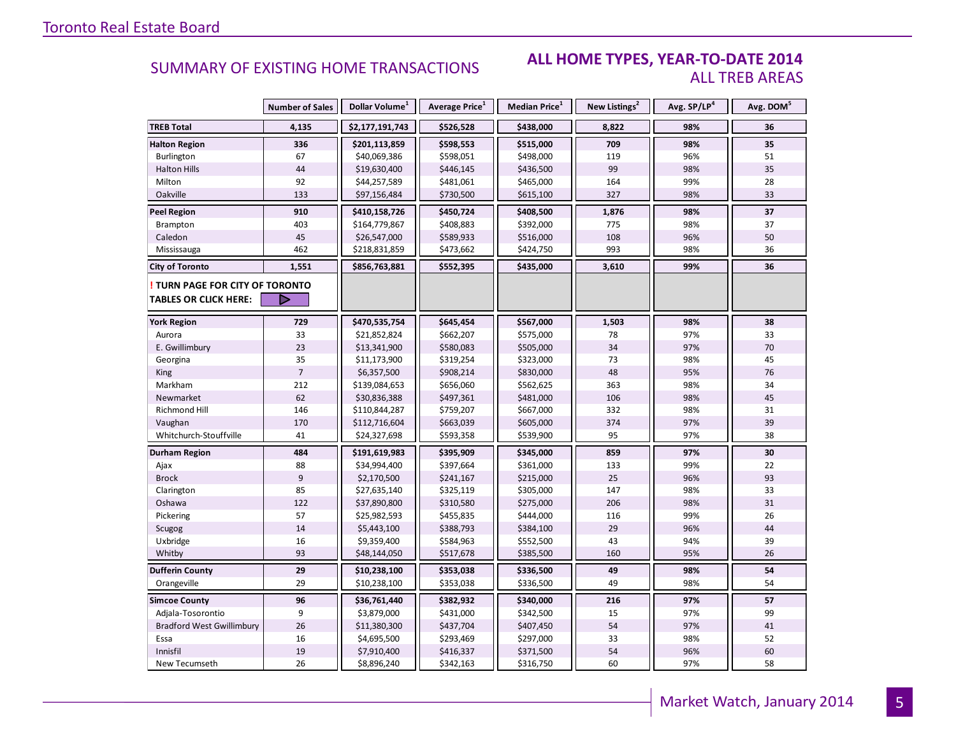#### **ALL HOME TYPES, YEAR-TO-DATE 2014** ALL TREB AREAS

|                                  | <b>Number of Sales</b> | Dollar Volume <sup>1</sup>   | Average Price <sup>1</sup> | Median Price <sup>1</sup> | New Listings <sup>2</sup> | Avg. SP/LP <sup>4</sup> | Avg. DOM <sup>5</sup> |
|----------------------------------|------------------------|------------------------------|----------------------------|---------------------------|---------------------------|-------------------------|-----------------------|
| <b>TREB Total</b>                | 4,135                  | \$2,177,191,743              | \$526,528                  | \$438,000                 | 8,822                     | 98%                     | 36                    |
| <b>Halton Region</b>             | 336                    | \$201,113,859                | \$598,553                  | \$515,000                 | 709                       | 98%                     | 35                    |
| Burlington                       | 67                     | \$40,069,386                 | \$598,051                  | \$498,000                 | 119                       | 96%                     | 51                    |
| <b>Halton Hills</b>              | 44                     | \$19,630,400                 | \$446,145                  | \$436,500                 | 99                        | 98%                     | 35                    |
| Milton                           | 92                     | \$44,257,589                 | \$481,061                  | \$465,000                 | 164                       | 99%                     | 28                    |
| Oakville                         | 133                    | \$97,156,484                 | \$730,500                  | \$615,100                 | 327                       | 98%                     | 33                    |
| <b>Peel Region</b>               | 910                    | \$410,158,726                | \$450,724                  | \$408,500                 | 1,876                     | 98%                     | 37                    |
| Brampton                         | 403                    | \$164,779,867                | \$408,883                  | \$392,000                 | 775                       | 98%                     | 37                    |
| Caledon                          | 45                     | \$26,547,000                 | \$589,933                  | \$516,000                 | 108                       | 96%                     | 50                    |
| Mississauga                      | 462                    | \$218,831,859                | \$473,662                  | \$424,750                 | 993                       | 98%                     | 36                    |
| <b>City of Toronto</b>           | 1,551                  | \$856,763,881                | \$552,395                  | \$435,000                 | 3,610                     | 99%                     | 36                    |
| TURN PAGE FOR CITY OF TORONTO    |                        |                              |                            |                           |                           |                         |                       |
| <b>TABLES OR CLICK HERE:</b>     |                        |                              |                            |                           |                           |                         |                       |
|                                  |                        |                              |                            | \$567,000                 |                           |                         |                       |
| <b>York Region</b>               | 729                    | \$470,535,754                | \$645,454                  |                           | 1,503                     | 98%<br>97%              | 38<br>33              |
| Aurora<br>E. Gwillimbury         | 33<br>23               | \$21,852,824<br>\$13,341,900 | \$662,207<br>\$580,083     | \$575,000<br>\$505,000    | 78<br>34                  | 97%                     | 70                    |
| Georgina                         | 35                     | \$11,173,900                 | \$319,254                  | \$323,000                 | 73                        | 98%                     | 45                    |
| King                             | $\overline{7}$         | \$6,357,500                  | \$908,214                  | \$830,000                 | 48                        | 95%                     | 76                    |
| Markham                          | 212                    | \$139,084,653                | \$656,060                  | \$562,625                 | 363                       | 98%                     | 34                    |
| Newmarket                        | 62                     | \$30,836,388                 | \$497,361                  | \$481,000                 | 106                       | 98%                     | 45                    |
| Richmond Hill                    | 146                    | \$110,844,287                | \$759,207                  | \$667,000                 | 332                       | 98%                     | 31                    |
| Vaughan                          | 170                    | \$112,716,604                | \$663,039                  | \$605,000                 | 374                       | 97%                     | 39                    |
| Whitchurch-Stouffville           | 41                     | \$24,327,698                 | \$593,358                  | \$539,900                 | 95                        | 97%                     | 38                    |
|                                  |                        |                              |                            |                           |                           |                         |                       |
| Durham Region                    | 484                    | \$191,619,983                | \$395,909                  | \$345,000                 | 859                       | 97%                     | 30                    |
| Ajax                             | 88                     | \$34,994,400                 | \$397,664                  | \$361,000                 | 133                       | 99%                     | 22                    |
| <b>Brock</b>                     | 9                      | \$2,170,500                  | \$241,167                  | \$215,000                 | 25                        | 96%                     | 93                    |
| Clarington                       | 85                     | \$27,635,140                 | \$325,119                  | \$305,000                 | 147                       | 98%                     | 33                    |
| Oshawa                           | 122                    | \$37,890,800                 | \$310,580                  | \$275,000                 | 206                       | 98%                     | 31                    |
| Pickering                        | 57                     | \$25,982,593                 | \$455,835                  | \$444,000                 | 116                       | 99%                     | 26                    |
| Scugog                           | 14<br>16               | \$5,443,100                  | \$388,793                  | \$384,100                 | 29<br>43                  | 96%<br>94%              | 44<br>39              |
| Uxbridge                         | 93                     | \$9,359,400                  | \$584,963                  | \$552,500                 |                           | 95%                     |                       |
| Whitby                           |                        | \$48,144,050                 | \$517,678                  | \$385,500                 | 160                       |                         | 26                    |
| <b>Dufferin County</b>           | 29                     | \$10,238,100                 | \$353,038                  | \$336,500                 | 49                        | 98%                     | 54                    |
| Orangeville                      | 29                     | \$10,238,100                 | \$353,038                  | \$336,500                 | 49                        | 98%                     | 54                    |
| <b>Simcoe County</b>             | 96                     | \$36,761,440                 | \$382,932                  | \$340,000                 | 216                       | 97%                     | 57                    |
| Adjala-Tosorontio                | 9                      | \$3,879,000                  | \$431,000                  | \$342,500                 | 15                        | 97%                     | 99                    |
| <b>Bradford West Gwillimbury</b> | 26                     | \$11,380,300                 | \$437,704                  | \$407,450                 | 54                        | 97%                     | 41                    |
| Essa                             | 16                     | \$4,695,500                  | \$293,469                  | \$297,000                 | 33                        | 98%                     | 52                    |
| Innisfil                         | 19                     | \$7,910,400                  | \$416,337                  | \$371,500                 | 54                        | 96%                     | 60                    |
| New Tecumseth                    | 26                     | \$8,896,240                  | \$342,163                  | \$316,750                 | 60                        | 97%                     | 58                    |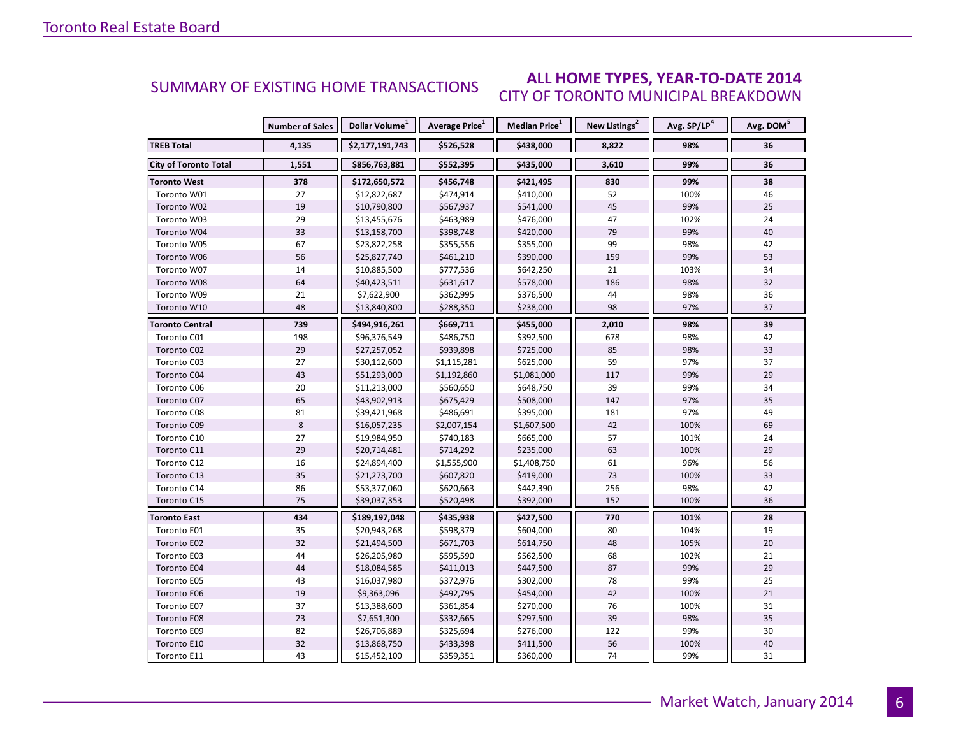#### **ALL HOME TYPES, YEAR-TO-DATE 2014** CITY OF TORONTO MUNICIPAL BREAKDOWN SUMMARY OF EXISTING HOME TRANSACTIONS

|                              | <b>Number of Sales</b> | Dollar Volume <sup>1</sup> | <b>Average Price</b> <sup>1</sup> | Median Price <sup>1</sup> | New Listings <sup>2</sup> | Avg. SP/LP <sup>4</sup> | Avg. DOM <sup>5</sup> |
|------------------------------|------------------------|----------------------------|-----------------------------------|---------------------------|---------------------------|-------------------------|-----------------------|
| <b>TREB Total</b>            | 4,135                  | \$2,177,191,743            | \$526,528                         | \$438,000                 | 8,822                     | 98%                     | 36                    |
| <b>City of Toronto Total</b> | 1,551                  | \$856,763,881              | \$552,395                         | \$435,000                 | 3,610                     | 99%                     | 36                    |
| <b>Toronto West</b>          | 378                    | \$172,650,572              | \$456,748                         | \$421,495                 | 830                       | 99%                     | 38                    |
| Toronto W01                  | 27                     | \$12,822,687               | \$474,914                         | \$410,000                 | 52                        | 100%                    | 46                    |
| Toronto W02                  | 19                     | \$10,790,800               | \$567,937                         | \$541,000                 | 45                        | 99%                     | 25                    |
| Toronto W03                  | 29                     | \$13,455,676               | \$463,989                         | \$476,000                 | 47                        | 102%                    | 24                    |
| Toronto W04                  | 33                     | \$13,158,700               | \$398,748                         | \$420,000                 | 79                        | 99%                     | 40                    |
| Toronto W05                  | 67                     | \$23,822,258               | \$355,556                         | \$355,000                 | 99                        | 98%                     | 42                    |
| Toronto W06                  | 56                     | \$25,827,740               | \$461,210                         | \$390,000                 | 159                       | 99%                     | 53                    |
| Toronto W07                  | 14                     | \$10,885,500               | \$777,536                         | \$642,250                 | 21                        | 103%                    | 34                    |
| Toronto W08                  | 64                     | \$40,423,511               | \$631,617                         | \$578,000                 | 186                       | 98%                     | 32                    |
| Toronto W09                  | 21                     | \$7,622,900                | \$362,995                         | \$376,500                 | 44                        | 98%                     | 36                    |
| Toronto W10                  | 48                     | \$13,840,800               | \$288,350                         | \$238,000                 | 98                        | 97%                     | 37                    |
| Toronto Central              | 739                    | \$494,916,261              | \$669,711                         | \$455,000                 | 2,010                     | 98%                     | 39                    |
| Toronto C01                  | 198                    | \$96,376,549               | \$486,750                         | \$392,500                 | 678                       | 98%                     | 42                    |
| Toronto C02                  | 29                     | \$27,257,052               | \$939,898                         | \$725,000                 | 85                        | 98%                     | 33                    |
| Toronto C03                  | 27                     | \$30,112,600               | \$1,115,281                       | \$625,000                 | 59                        | 97%                     | 37                    |
| Toronto C04                  | 43                     | \$51,293,000               | \$1,192,860                       | \$1,081,000               | 117                       | 99%                     | 29                    |
| Toronto C06                  | 20                     | \$11,213,000               | \$560,650                         | \$648,750                 | 39                        | 99%                     | 34                    |
| Toronto C07                  | 65                     | \$43,902,913               | \$675,429                         | \$508,000                 | 147                       | 97%                     | 35                    |
| Toronto C08                  | 81                     | \$39,421,968               | \$486,691                         | \$395,000                 | 181                       | 97%                     | 49                    |
| Toronto C09                  | 8                      | \$16,057,235               | \$2,007,154                       | \$1,607,500               | 42                        | 100%                    | 69                    |
| Toronto C10                  | 27                     | \$19,984,950               | \$740,183                         | \$665,000                 | 57                        | 101%                    | 24                    |
| Toronto C11                  | 29                     | \$20,714,481               | \$714,292                         | \$235,000                 | 63                        | 100%                    | 29                    |
| Toronto C12                  | 16                     | \$24,894,400               | \$1,555,900                       | \$1,408,750               | 61                        | 96%                     | 56                    |
| Toronto C13                  | 35                     | \$21,273,700               | \$607,820                         | \$419,000                 | 73                        | 100%                    | 33                    |
| Toronto C14                  | 86                     | \$53,377,060               | \$620,663                         | \$442,390                 | 256                       | 98%                     | 42                    |
| Toronto C15                  | 75                     | \$39,037,353               | \$520,498                         | \$392,000                 | 152                       | 100%                    | 36                    |
| <b>Toronto East</b>          | 434                    | \$189,197,048              | \$435,938                         | \$427,500                 | 770                       | 101%                    | 28                    |
| Toronto E01                  | 35                     | \$20,943,268               | \$598,379                         | \$604,000                 | 80                        | 104%                    | 19                    |
| Toronto E02                  | 32                     | \$21,494,500               | \$671,703                         | \$614,750                 | 48                        | 105%                    | 20                    |
| Toronto E03                  | 44                     | \$26,205,980               | \$595,590                         | \$562,500                 | 68                        | 102%                    | 21                    |
| Toronto E04                  | 44                     | \$18,084,585               | \$411,013                         | \$447,500                 | 87                        | 99%                     | 29                    |
| Toronto E05                  | 43                     | \$16,037,980               | \$372,976                         | \$302,000                 | 78                        | 99%                     | 25                    |
| Toronto E06                  | 19                     | \$9,363,096                | \$492,795                         | \$454,000                 | 42                        | 100%                    | 21                    |
| Toronto E07                  | 37                     | \$13,388,600               | \$361,854                         | \$270,000                 | 76                        | 100%                    | 31                    |
| Toronto E08                  | 23                     | \$7,651,300                | \$332,665                         | \$297,500                 | 39                        | 98%                     | 35                    |
| Toronto E09                  | 82                     | \$26,706,889               | \$325,694                         | \$276,000                 | 122                       | 99%                     | 30                    |
| Toronto E10                  | 32                     | \$13,868,750               | \$433,398                         | \$411,500                 | 56                        | 100%                    | 40                    |
| Toronto E11                  | 43                     | \$15,452,100               | \$359,351                         | \$360,000                 | 74                        | 99%                     | 31                    |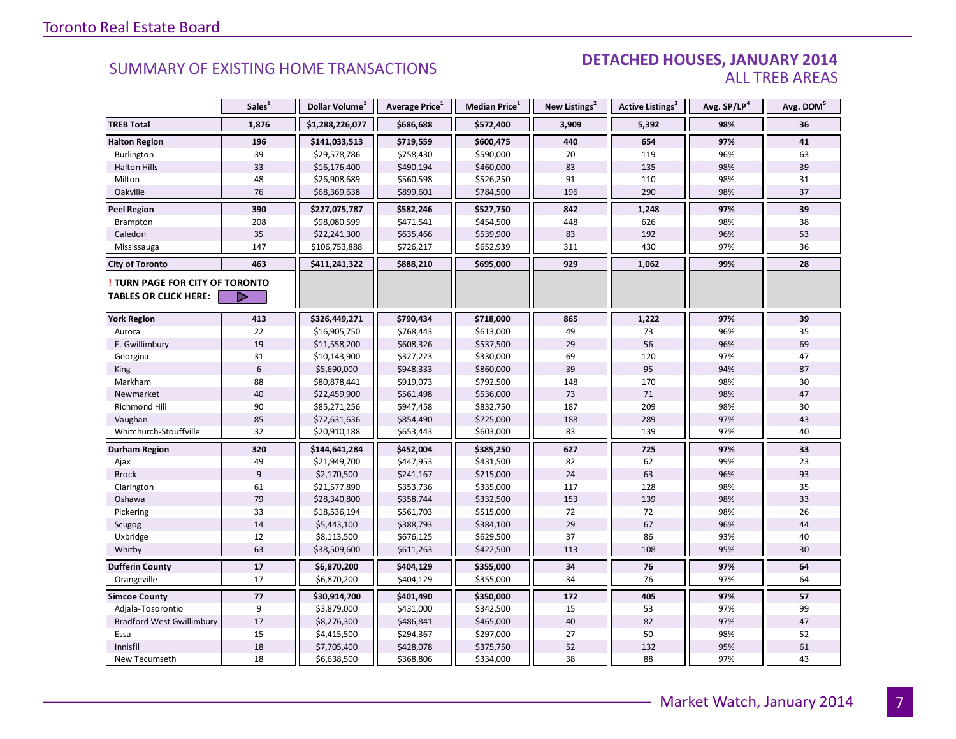#### DETACHED HOUSES, JANUARY 2014 ALL TREB AREAS

|                                  | Sales <sup>1</sup> | Dollar Volume <sup>1</sup> | Average Price <sup>1</sup> | Median Price <sup>1</sup> | New Listings <sup>2</sup> | Active Listings <sup>3</sup> | Avg. SP/LP <sup>4</sup> | Avg. DOM <sup>5</sup> |
|----------------------------------|--------------------|----------------------------|----------------------------|---------------------------|---------------------------|------------------------------|-------------------------|-----------------------|
| <b>TREB Total</b>                | 1,876              | \$1,288,226,077            | \$686,688                  | \$572,400                 | 3,909                     | 5,392                        | 98%                     | 36                    |
| <b>Halton Region</b>             | 196                | \$141,033,513              | \$719,559                  | \$600,475                 | 440                       | 654                          | 97%                     | 41                    |
| Burlington                       | 39                 | \$29,578,786               | \$758,430                  | \$590,000                 | 70                        | 119                          | 96%                     | 63                    |
| <b>Halton Hills</b>              | 33                 | \$16,176,400               | \$490,194                  | \$460,000                 | 83                        | 135                          | 98%                     | 39                    |
| Milton                           | 48                 | \$26,908,689               | \$560,598                  | \$526,250                 | 91                        | 110                          | 98%                     | 31                    |
| Oakville                         | 76                 | \$68,369,638               | \$899,601                  | \$784,500                 | 196                       | 290                          | 98%                     | 37                    |
| <b>Peel Region</b>               | 390                | \$227,075,787              | \$582,246                  | \$527,750                 | 842                       | 1,248                        | 97%                     | 39                    |
| Brampton                         | 208                | \$98,080,599               | \$471,541                  | \$454,500                 | 448                       | 626                          | 98%                     | 38                    |
| Caledon                          | 35                 | \$22,241,300               | \$635,466                  | \$539,900                 | 83                        | 192                          | 96%                     | 53                    |
| Mississauga                      | 147                | \$106,753,888              | \$726,217                  | \$652,939                 | 311                       | 430                          | 97%                     | 36                    |
| <b>City of Toronto</b>           | 463                | \$411,241,322              | \$888,210                  | \$695,000                 | 929                       | 1,062                        | 99%                     | 28                    |
| TURN PAGE FOR CITY OF TORONTO    |                    |                            |                            |                           |                           |                              |                         |                       |
| <b>TABLES OR CLICK HERE:</b>     |                    |                            |                            |                           |                           |                              |                         |                       |
| <b>York Region</b>               | 413                | \$326,449,271              | \$790,434                  | \$718,000                 | 865                       | 1,222                        | 97%                     | 39                    |
| Aurora                           | 22                 | \$16,905,750               | \$768,443                  | \$613,000                 | 49                        | 73                           | 96%                     | 35                    |
| E. Gwillimbury                   | 19                 | \$11,558,200               | \$608,326                  | \$537,500                 | 29                        | 56                           | 96%                     | 69                    |
| Georgina                         | 31                 | \$10,143,900               | \$327,223                  | \$330,000                 | 69                        | 120                          | 97%                     | 47                    |
| King                             | $\boldsymbol{6}$   | \$5,690,000                | \$948,333                  | \$860,000                 | 39                        | 95                           | 94%                     | 87                    |
| Markham                          | 88                 | \$80,878,441               | \$919,073                  | \$792,500                 | 148                       | 170                          | 98%                     | 30                    |
| Newmarket                        | 40                 | \$22,459,900               | \$561,498                  | \$536,000                 | 73                        | 71                           | 98%                     | 47                    |
| Richmond Hill                    | 90                 | \$85,271,256               | \$947,458                  | \$832,750                 | 187                       | 209                          | 98%                     | 30                    |
| Vaughan                          | 85                 | \$72,631,636               | \$854,490                  | \$725,000                 | 188                       | 289                          | 97%                     | 43                    |
| Whitchurch-Stouffville           | 32                 | \$20,910,188               | \$653,443                  | \$603,000                 | 83                        | 139                          | 97%                     | 40                    |
| <b>Durham Region</b>             | 320                | \$144,641,284              | \$452,004                  | \$385,250                 | 627                       | 725                          | 97%                     | 33                    |
| Ajax                             | 49                 | \$21,949,700               | \$447,953                  | \$431,500                 | 82                        | 62                           | 99%                     | 23                    |
| <b>Brock</b>                     | $\overline{9}$     | \$2,170,500                | \$241,167                  | \$215,000                 | 24                        | 63                           | 96%                     | 93                    |
| Clarington                       | 61                 | \$21,577,890               | \$353,736                  | \$335,000                 | 117                       | 128                          | 98%                     | 35                    |
| Oshawa                           | 79                 | \$28,340,800               | \$358,744                  | \$332,500                 | 153                       | 139                          | 98%                     | 33                    |
| Pickering                        | 33                 | \$18,536,194               | \$561,703                  | \$515,000                 | 72                        | 72                           | 98%                     | 26                    |
| Scugog                           | 14                 | \$5,443,100                | \$388,793                  | \$384,100                 | 29                        | 67                           | 96%                     | 44                    |
| Uxbridge                         | 12                 | \$8,113,500                | \$676,125                  | \$629,500                 | 37                        | 86                           | 93%                     | 40                    |
| Whitby                           | 63                 | \$38,509,600               | \$611,263                  | \$422,500                 | 113                       | 108                          | 95%                     | 30                    |
| <b>Dufferin County</b>           | 17                 | \$6,870,200                | \$404,129                  | \$355,000                 | 34                        | 76                           | 97%                     | 64                    |
| Orangeville                      | 17                 | \$6,870,200                | \$404,129                  | \$355,000                 | 34                        | 76                           | 97%                     | 64                    |
| <b>Simcoe County</b>             | $77$               | \$30,914,700               | \$401,490                  | \$350,000                 | 172                       | 405                          | 97%                     | 57                    |
| Adjala-Tosorontio                | 9                  | \$3,879,000                | \$431,000                  | \$342,500                 | 15                        | 53                           | 97%                     | 99                    |
| <b>Bradford West Gwillimbury</b> | 17                 | \$8,276,300                | \$486,841                  | \$465,000                 | 40                        | 82                           | 97%                     | 47                    |
| Essa                             | 15                 | \$4,415,500                | \$294,367                  | \$297,000                 | 27                        | 50                           | 98%                     | 52                    |
| Innisfil                         | 18                 | \$7,705,400                | \$428,078                  | \$375,750                 | 52                        | 132                          | 95%                     | 61                    |
| New Tecumseth                    | 18                 | \$6,638,500                | \$368,806                  | \$334,000                 | 38                        | 88                           | 97%                     | 43                    |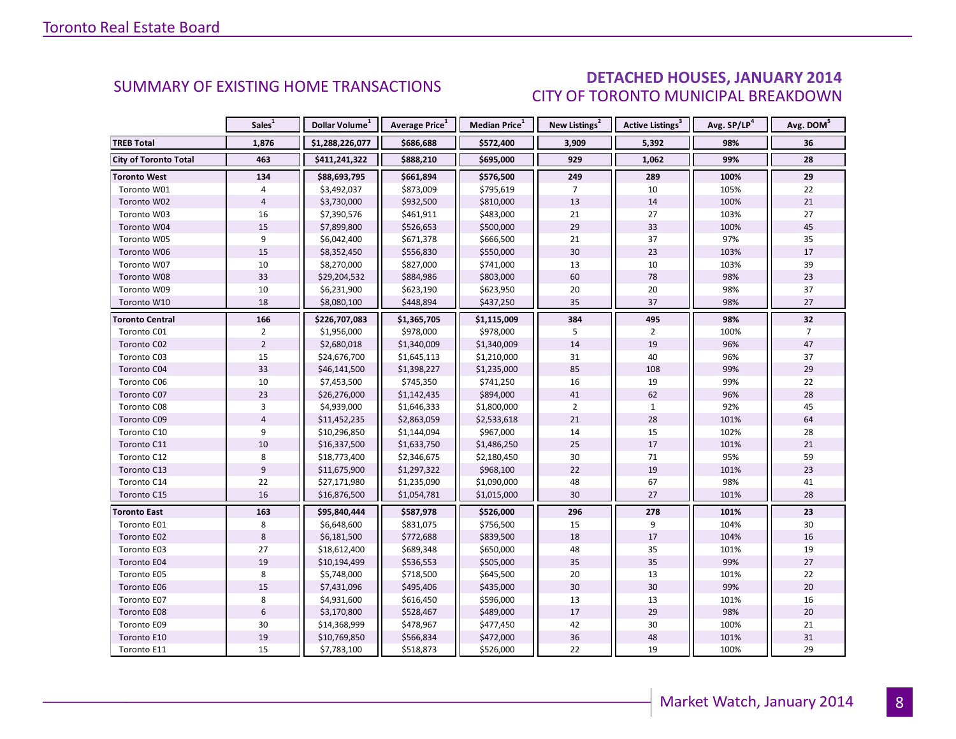### DETACHED HOUSES, JANUARY 2014 CITY OF TORONTO MUNICIPAL BREAKDOWN

<span id="page-7-0"></span>

|                              | Sales <sup>1</sup> | Dollar Volume <sup>1</sup> | Average Price <sup>1</sup> | Median Price <sup>1</sup> | New Listings <sup>2</sup> | Active Listings <sup>3</sup> | Avg. SP/LP <sup>4</sup> | Avg. DOM <sup>5</sup> |
|------------------------------|--------------------|----------------------------|----------------------------|---------------------------|---------------------------|------------------------------|-------------------------|-----------------------|
| <b>TREB Total</b>            | 1,876              | \$1,288,226,077            | \$686,688                  | \$572,400                 | 3,909                     | 5,392                        | 98%                     | 36                    |
| <b>City of Toronto Total</b> | 463                | \$411,241,322              | \$888,210                  | \$695,000                 | 929                       | 1,062                        | 99%                     | 28                    |
| <b>Toronto West</b>          | 134                | \$88,693,795               | \$661,894                  | \$576,500                 | 249                       | 289                          | 100%                    | 29                    |
| Toronto W01                  | 4                  | \$3,492,037                | \$873,009                  | \$795,619                 | $\overline{7}$            | 10                           | 105%                    | 22                    |
| Toronto W02                  | $\overline{4}$     | \$3,730,000                | \$932,500                  | \$810,000                 | 13                        | 14                           | 100%                    | 21                    |
| Toronto W03                  | 16                 | \$7,390,576                | \$461,911                  | \$483,000                 | 21                        | 27                           | 103%                    | 27                    |
| Toronto W04                  | 15                 | \$7,899,800                | \$526,653                  | \$500,000                 | 29                        | 33                           | 100%                    | 45                    |
| Toronto W05                  | 9                  | \$6,042,400                | \$671,378                  | \$666,500                 | 21                        | 37                           | 97%                     | 35                    |
| Toronto W06                  | 15                 | \$8,352,450                | \$556,830                  | \$550,000                 | 30                        | 23                           | 103%                    | 17                    |
| Toronto W07                  | 10                 | \$8,270,000                | \$827,000                  | \$741,000                 | 13                        | 10                           | 103%                    | 39                    |
| Toronto W08                  | 33                 | \$29,204,532               | \$884,986                  | \$803,000                 | 60                        | 78                           | 98%                     | 23                    |
| Toronto W09                  | 10                 | \$6,231,900                | \$623,190                  | \$623,950                 | 20                        | 20                           | 98%                     | 37                    |
| Toronto W10                  | 18                 | \$8,080,100                | \$448,894                  | \$437,250                 | 35                        | 37                           | 98%                     | 27                    |
| <b>Toronto Central</b>       | 166                | \$226,707,083              | \$1,365,705                | \$1,115,009               | 384                       | 495                          | 98%                     | 32                    |
| Toronto C01                  | $\overline{2}$     | \$1,956,000                | \$978,000                  | \$978,000                 | 5                         | $\overline{2}$               | 100%                    | $\overline{7}$        |
| Toronto C02                  | $\overline{2}$     | \$2,680,018                | \$1,340,009                | \$1,340,009               | 14                        | 19                           | 96%                     | 47                    |
| Toronto C03                  | 15                 | \$24,676,700               | \$1,645,113                | \$1,210,000               | 31                        | 40                           | 96%                     | 37                    |
| Toronto C04                  | 33                 | \$46,141,500               | \$1,398,227                | \$1,235,000               | 85                        | 108                          | 99%                     | 29                    |
| Toronto C06                  | 10                 | \$7,453,500                | \$745,350                  | \$741,250                 | 16                        | 19                           | 99%                     | 22                    |
| Toronto C07                  | 23                 | \$26,276,000               | \$1,142,435                | \$894,000                 | 41                        | 62                           | 96%                     | 28                    |
| Toronto C08                  | 3                  | \$4,939,000                | \$1,646,333                | \$1,800,000               | $\overline{2}$            | $\mathbf{1}$                 | 92%                     | 45                    |
| Toronto C09                  | $\overline{4}$     | \$11,452,235               | \$2,863,059                | \$2,533,618               | 21                        | 28                           | 101%                    | 64                    |
| Toronto C10                  | 9                  | \$10,296,850               | \$1,144,094                | \$967,000                 | 14                        | 15                           | 102%                    | 28                    |
| Toronto C11                  | 10                 | \$16,337,500               | \$1,633,750                | \$1,486,250               | 25                        | 17                           | 101%                    | 21                    |
| Toronto C12                  | 8                  | \$18,773,400               | \$2,346,675                | \$2,180,450               | 30                        | 71                           | 95%                     | 59                    |
| Toronto C13                  | $9\,$              | \$11,675,900               | \$1,297,322                | \$968,100                 | 22                        | 19                           | 101%                    | 23                    |
| Toronto C14                  | 22                 | \$27,171,980               | \$1,235,090                | \$1,090,000               | 48                        | 67                           | 98%                     | 41                    |
| Toronto C15                  | 16                 | \$16,876,500               | \$1,054,781                | \$1,015,000               | 30                        | 27                           | 101%                    | 28                    |
| <b>Toronto East</b>          | 163                | \$95,840,444               | \$587,978                  | \$526,000                 | 296                       | 278                          | 101%                    | 23                    |
| Toronto E01                  | 8                  | \$6,648,600                | \$831,075                  | \$756,500                 | 15                        | 9                            | 104%                    | 30                    |
| Toronto E02                  | $\,8\,$            | \$6,181,500                | \$772,688                  | \$839,500                 | 18                        | 17                           | 104%                    | 16                    |
| Toronto E03                  | 27                 | \$18,612,400               | \$689,348                  | \$650,000                 | 48                        | 35                           | 101%                    | 19                    |
| Toronto E04                  | 19                 | \$10,194,499               | \$536,553                  | \$505,000                 | 35                        | 35                           | 99%                     | 27                    |
| Toronto E05                  | 8                  | \$5,748,000                | \$718,500                  | \$645,500                 | 20                        | 13                           | 101%                    | 22                    |
| Toronto E06                  | 15                 | \$7,431,096                | \$495,406                  | \$435,000                 | 30                        | 30                           | 99%                     | 20                    |
| Toronto E07                  | 8                  | \$4,931,600                | \$616,450                  | \$596,000                 | 13                        | 13                           | 101%                    | 16                    |
| Toronto E08                  | $6\,$              | \$3,170,800                | \$528,467                  | \$489,000                 | 17                        | 29                           | 98%                     | $20\,$                |
| Toronto E09                  | 30                 | \$14,368,999               | \$478,967                  | \$477,450                 | 42                        | 30                           | 100%                    | 21                    |
| Toronto E10                  | 19                 | \$10,769,850               | \$566,834                  | \$472,000                 | 36                        | 48                           | 101%                    | 31                    |
| Toronto E11                  | 15                 | \$7,783,100                | \$518,873                  | \$526,000                 | 22                        | 19                           | 100%                    | 29                    |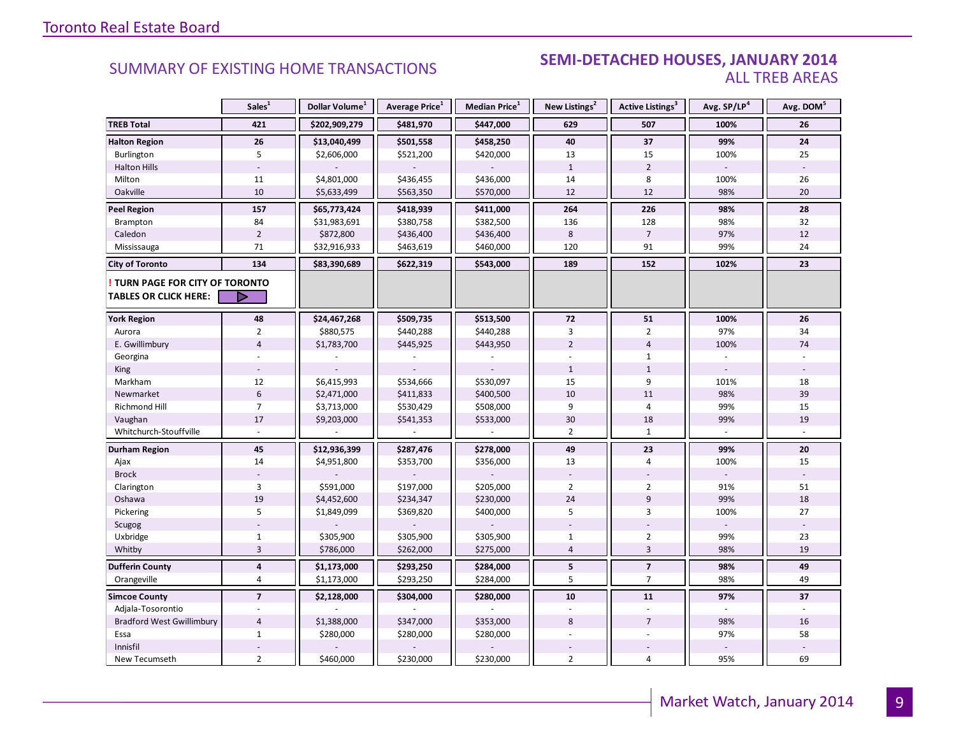#### **Industrial Leasing SUMMARY OF EXISTING HOME TRANSACTIONS SEMI-DETACHED HOUSES, JANUARY 2014** ALL TREB AREAS

|                                                               | Sales <sup>1</sup>      | Dollar Volume <sup>1</sup> | Average Price <sup>1</sup> | <b>Median Price</b> <sup>1</sup> | New Listings <sup>2</sup> | Active Listings <sup>3</sup> | Avg. SP/LP <sup>4</sup> | Avg. DOM <sup>5</sup> |
|---------------------------------------------------------------|-------------------------|----------------------------|----------------------------|----------------------------------|---------------------------|------------------------------|-------------------------|-----------------------|
| <b>TREB Total</b>                                             | 421                     | \$202,909,279              | \$481,970                  | \$447,000                        | 629                       | 507                          | 100%                    | 26                    |
| <b>Halton Region</b>                                          | 26                      | \$13,040,499               | \$501,558                  | \$458,250                        | 40                        | 37                           | 99%                     | 24                    |
| Burlington                                                    | 5                       | \$2,606,000                | \$521,200                  | \$420,000                        | 13                        | 15                           | 100%                    | 25                    |
| <b>Halton Hills</b>                                           |                         |                            |                            |                                  | $\mathbf{1}$              | $\overline{2}$               |                         |                       |
| Milton                                                        | 11                      | \$4,801,000                | \$436,455                  | \$436,000                        | 14                        | 8                            | 100%                    | 26                    |
| Oakville                                                      | 10                      | \$5,633,499                | \$563,350                  | \$570,000                        | 12                        | 12                           | 98%                     | 20                    |
| <b>Peel Region</b>                                            | 157                     | \$65,773,424               | \$418,939                  | \$411,000                        | 264                       | 226                          | 98%                     | 28                    |
| Brampton                                                      | 84                      | \$31,983,691               | \$380,758                  | \$382,500                        | 136                       | 128                          | 98%                     | 32                    |
| Caledon                                                       | $\overline{2}$          | \$872,800                  | \$436,400                  | \$436,400                        | 8                         | $\overline{7}$               | 97%                     | 12                    |
| Mississauga                                                   | 71                      | \$32,916,933               | \$463,619                  | \$460,000                        | 120                       | 91                           | 99%                     | 24                    |
| <b>City of Toronto</b>                                        | 134                     | \$83,390,689               | \$622,319                  | \$543,000                        | 189                       | 152                          | 102%                    | 23                    |
| TURN PAGE FOR CITY OF TORONTO<br><b>TABLES OR CLICK HERE:</b> | Þ                       |                            |                            |                                  |                           |                              |                         |                       |
| <b>York Region</b>                                            | 48                      | \$24,467,268               | \$509,735                  | \$513,500                        | 72                        | 51                           | 100%                    | 26                    |
| Aurora                                                        | $\overline{2}$          | \$880,575                  | \$440,288                  | \$440,288                        | 3                         | $\overline{2}$               | 97%                     | 34                    |
| E. Gwillimbury                                                | $\overline{4}$          | \$1,783,700                | \$445,925                  | \$443,950                        | $\overline{2}$            | $\overline{4}$               | 100%                    | 74                    |
| Georgina                                                      |                         |                            |                            |                                  |                           | $\mathbf{1}$                 |                         |                       |
| King                                                          |                         |                            |                            |                                  | $\mathbf{1}$              | $\mathbf{1}$                 |                         |                       |
| Markham                                                       | 12                      | \$6,415,993                | \$534,666                  | \$530,097                        | 15                        | 9                            | 101%                    | 18                    |
| Newmarket                                                     | $6\phantom{1}$          | \$2,471,000                | \$411,833                  | \$400,500                        | 10                        | 11                           | 98%                     | 39                    |
| <b>Richmond Hill</b>                                          | $\overline{7}$          | \$3,713,000                | \$530,429                  | \$508,000                        | 9                         | $\overline{4}$               | 99%                     | 15                    |
| Vaughan                                                       | 17                      | \$9,203,000                | \$541,353                  | \$533,000                        | 30                        | 18                           | 99%                     | 19                    |
| Whitchurch-Stouffville                                        |                         |                            |                            |                                  | $\overline{2}$            | $\mathbf{1}$                 |                         |                       |
| <b>Durham Region</b>                                          | 45                      | \$12,936,399               | \$287,476                  | \$278,000                        | 49                        | 23                           | 99%                     | 20                    |
| Ajax                                                          | 14                      | \$4,951,800                | \$353,700                  | \$356,000                        | 13                        | $\overline{4}$               | 100%                    | 15                    |
| <b>Brock</b>                                                  |                         |                            |                            |                                  |                           |                              |                         |                       |
| Clarington                                                    | 3                       | \$591,000                  | \$197,000                  | \$205,000                        | $\overline{2}$            | $\overline{2}$               | 91%                     | 51                    |
| Oshawa                                                        | 19                      | \$4,452,600                | \$234,347                  | \$230,000                        | 24                        | $\overline{9}$               | 99%                     | 18                    |
| Pickering                                                     | 5                       | \$1,849,099                | \$369,820                  | \$400,000                        | 5                         | 3                            | 100%                    | 27                    |
| Scugog                                                        |                         |                            |                            |                                  |                           |                              |                         |                       |
| Uxbridge                                                      | $\mathbf 1$             | \$305,900                  | \$305,900                  | \$305,900                        | $\mathbf{1}$              | $\overline{2}$               | 99%                     | 23                    |
| Whitby                                                        | $\overline{3}$          | \$786,000                  | \$262,000                  | \$275,000                        | $\overline{4}$            | $\overline{3}$               | 98%                     | 19                    |
| <b>Dufferin County</b>                                        | $\overline{\mathbf{4}}$ | \$1,173,000                | \$293,250                  | \$284,000                        | 5                         | $\overline{7}$               | 98%                     | 49                    |
| Orangeville                                                   | 4                       | \$1,173,000                | \$293,250                  | \$284,000                        | 5                         | $\overline{7}$               | 98%                     | 49                    |
| <b>Simcoe County</b>                                          | $\overline{7}$          | \$2,128,000                | \$304,000                  | \$280,000                        | 10                        | 11                           | 97%                     | 37                    |
| Adjala-Tosorontio                                             |                         |                            |                            |                                  |                           |                              |                         |                       |
| <b>Bradford West Gwillimbury</b>                              | $\overline{4}$          | \$1,388,000                | \$347,000                  | \$353,000                        | 8                         | $\overline{7}$               | 98%                     | 16                    |
| Essa                                                          | $\mathbf{1}$            | \$280,000                  | \$280,000                  | \$280,000                        |                           |                              | 97%                     | 58                    |
| Innisfil                                                      |                         |                            |                            |                                  |                           |                              |                         |                       |
| New Tecumseth                                                 | $\overline{2}$          | \$460,000                  | \$230,000                  | \$230,000                        | $\overline{2}$            | $\overline{4}$               | 95%                     | 69                    |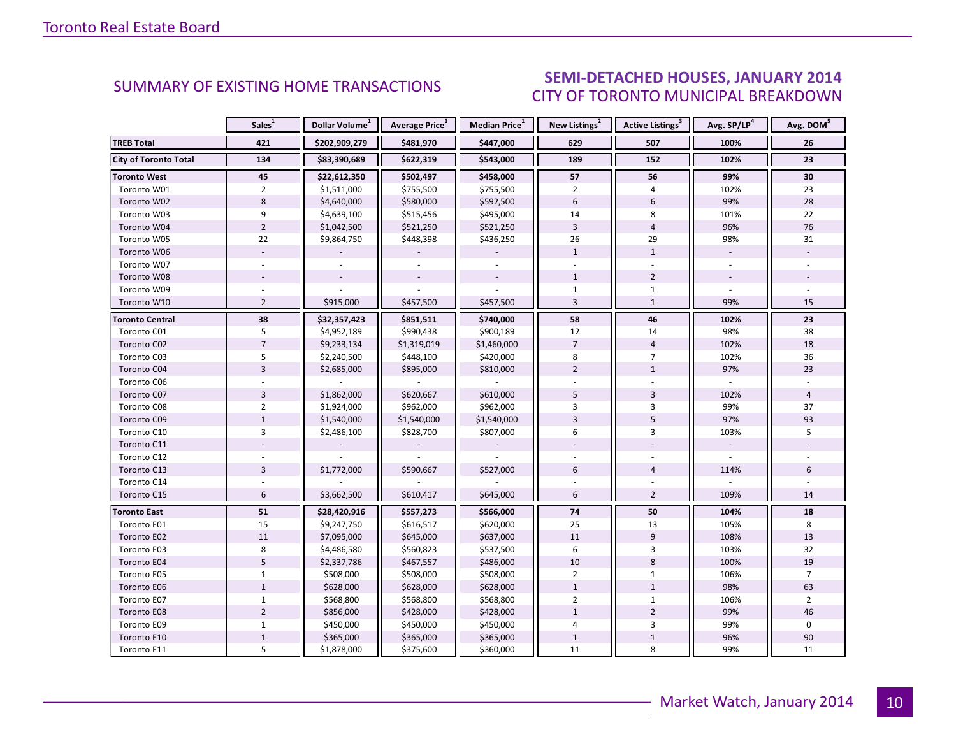### SEMI-DETACHED HOUSES, JANUARY 2014 CITY OF TORONTO MUNICIPAL BREAKDOWN

<span id="page-9-0"></span>

|                              | Sales <sup>1</sup> | Dollar Volume <sup>1</sup> | Average Price <sup>1</sup> | Median Price <sup>1</sup> | New Listings <sup>2</sup> | Active Listings <sup>3</sup> | Avg. SP/LP <sup>4</sup> | Avg. DOM <sup>5</sup> |
|------------------------------|--------------------|----------------------------|----------------------------|---------------------------|---------------------------|------------------------------|-------------------------|-----------------------|
| <b>TREB Total</b>            | 421                | \$202,909,279              | \$481,970                  | \$447,000                 | 629                       | 507                          | 100%                    | 26                    |
| <b>City of Toronto Total</b> | 134                | \$83,390,689               | \$622,319                  | \$543,000                 | 189                       | 152                          | 102%                    | 23                    |
| <b>Toronto West</b>          | 45                 | \$22,612,350               | \$502,497                  | \$458,000                 | 57                        | 56                           | 99%                     | 30                    |
| Toronto W01                  | $\overline{2}$     | \$1,511,000                | \$755,500                  | \$755,500                 | $\overline{2}$            | 4                            | 102%                    | 23                    |
| Toronto W02                  | 8                  | \$4,640,000                | \$580,000                  | \$592,500                 | $6\overline{6}$           | 6                            | 99%                     | 28                    |
| Toronto W03                  | 9                  | \$4,639,100                | \$515,456                  | \$495,000                 | 14                        | 8                            | 101%                    | 22                    |
| Toronto W04                  | $\overline{2}$     | \$1,042,500                | \$521,250                  | \$521,250                 | $\overline{3}$            | $\overline{4}$               | 96%                     | 76                    |
| Toronto W05                  | 22                 | \$9,864,750                | \$448,398                  | \$436,250                 | 26                        | 29                           | 98%                     | 31                    |
| Toronto W06                  |                    |                            |                            |                           | $\mathbf{1}$              | $\mathbf{1}$                 | $\blacksquare$          |                       |
| Toronto W07                  | $\sim$             |                            |                            |                           |                           |                              |                         |                       |
| Toronto W08                  |                    |                            |                            |                           | $\mathbf{1}$              | $\overline{2}$               |                         |                       |
| Toronto W09                  |                    |                            |                            |                           | $\mathbf{1}$              | $\mathbf{1}$                 |                         |                       |
| Toronto W10                  | $\overline{2}$     | \$915,000                  | \$457,500                  | \$457,500                 | $\overline{3}$            | $\mathbf{1}$                 | 99%                     | 15                    |
| <b>Toronto Central</b>       | 38                 | \$32,357,423               | \$851,511                  | \$740,000                 | 58                        | 46                           | 102%                    | 23                    |
| Toronto C01                  | 5                  | \$4,952,189                | \$990,438                  | \$900,189                 | 12                        | 14                           | 98%                     | 38                    |
| Toronto C02                  | $\overline{7}$     | \$9,233,134                | \$1,319,019                | \$1,460,000               | $\overline{7}$            | $\overline{4}$               | 102%                    | 18                    |
| Toronto C03                  | 5                  | \$2,240,500                | \$448,100                  | \$420,000                 | 8                         | $\overline{7}$               | 102%                    | 36                    |
| Toronto C04                  | $\overline{3}$     | \$2,685,000                | \$895,000                  | \$810,000                 | $\overline{2}$            | $\mathbf{1}$                 | 97%                     | 23                    |
| Toronto C06                  |                    |                            |                            |                           |                           |                              |                         |                       |
| Toronto C07                  | $\overline{3}$     | \$1,862,000                | \$620,667                  | \$610,000                 | 5                         | 3                            | 102%                    | 4                     |
| Toronto C08                  | $\overline{2}$     | \$1,924,000                | \$962,000                  | \$962,000                 | 3                         | 3                            | 99%                     | 37                    |
| Toronto C09                  | $\mathbf 1$        | \$1,540,000                | \$1,540,000                | \$1,540,000               | $\overline{3}$            | 5                            | 97%                     | 93                    |
| Toronto C10                  | $\overline{3}$     | \$2,486,100                | \$828,700                  | \$807,000                 | 6                         | 3                            | 103%                    | 5                     |
| Toronto C11                  |                    |                            |                            |                           |                           |                              |                         |                       |
| Toronto C12                  |                    |                            |                            |                           |                           |                              |                         |                       |
| Toronto C13                  | 3                  | \$1,772,000                | \$590,667                  | \$527,000                 | 6                         | $\sqrt{4}$                   | 114%                    | 6                     |
| Toronto C14                  |                    |                            |                            |                           |                           |                              |                         |                       |
| Toronto C15                  | 6                  | \$3,662,500                | \$610,417                  | \$645,000                 | 6                         | $\overline{2}$               | 109%                    | 14                    |
| <b>Toronto East</b>          | 51                 | \$28,420,916               | \$557,273                  | \$566,000                 | 74                        | 50                           | 104%                    | 18                    |
| Toronto E01                  | 15                 | \$9,247,750                | \$616,517                  | \$620,000                 | 25                        | 13                           | 105%                    | 8                     |
| Toronto E02                  | 11                 | \$7,095,000                | \$645,000                  | \$637,000                 | 11                        | 9                            | 108%                    | 13                    |
| Toronto E03                  | 8                  | \$4,486,580                | \$560,823                  | \$537,500                 | 6                         | 3                            | 103%                    | 32                    |
| Toronto E04                  | 5                  | \$2,337,786                | \$467,557                  | \$486,000                 | 10                        | 8                            | 100%                    | 19                    |
| Toronto E05                  | $\mathbf{1}$       | \$508,000                  | \$508,000                  | \$508,000                 | $\overline{2}$            | $\mathbf{1}$                 | 106%                    | $\overline{7}$        |
| Toronto E06                  | $\mathbf{1}$       | \$628,000                  | \$628,000                  | \$628,000                 | $\mathbf{1}$              | $\mathbf{1}$                 | 98%                     | 63                    |
| Toronto E07                  | $\mathbf{1}$       | \$568,800                  | \$568,800                  | \$568,800                 | $\overline{2}$            | $\mathbf{1}$                 | 106%                    | $\overline{2}$        |
| Toronto E08                  | $\overline{2}$     | \$856,000                  | \$428,000                  | \$428,000                 | $\mathbf{1}$              | $\overline{2}$               | 99%                     | 46                    |
| Toronto E09                  | $\mathbf{1}$       | \$450,000                  | \$450,000                  | \$450,000                 | $\overline{4}$            | 3                            | 99%                     | $\Omega$              |
| Toronto E10                  | $\mathbf 1$        | \$365,000                  | \$365,000                  | \$365,000                 | $\mathbf{1}$              | $\mathbf 1$                  | 96%                     | 90                    |
| Toronto E11                  | 5                  | \$1,878,000                | \$375,600                  | \$360,000                 | 11                        | 8                            | 99%                     | 11                    |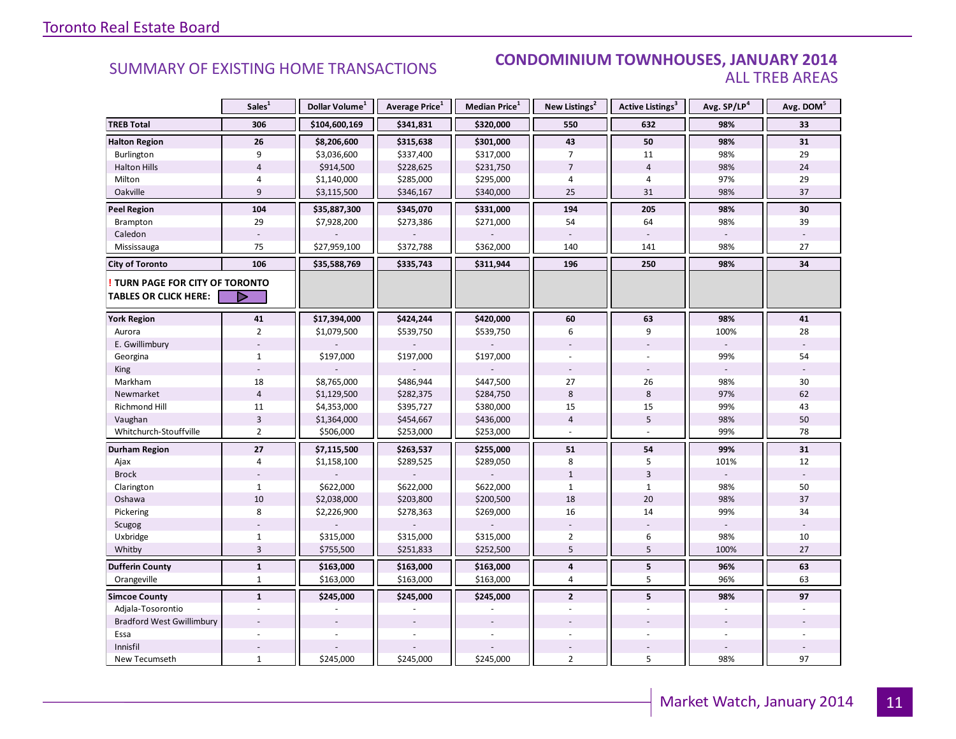#### **Industry Of EXISTING HOME TRANSACTIONS CONDOMINIUM TOWNHOUSES, JANUARY 2014** ALL TREB AREAS

|                                                               | Sales <sup>1</sup> | Dollar Volume <sup>1</sup> | Average Price <sup>1</sup> | Median Price <sup>1</sup> | New Listings <sup>2</sup> | Active Listings <sup>3</sup> | Avg. SP/LP <sup>4</sup> | Avg. DOM <sup>5</sup> |
|---------------------------------------------------------------|--------------------|----------------------------|----------------------------|---------------------------|---------------------------|------------------------------|-------------------------|-----------------------|
| <b>TREB Total</b>                                             | 306                | \$104,600,169              | \$341,831                  | \$320,000                 | 550                       | 632                          | 98%                     | 33                    |
| <b>Halton Region</b>                                          | 26                 | \$8,206,600                | \$315,638                  | \$301,000                 | 43                        | 50                           | 98%                     | 31                    |
| Burlington                                                    | 9                  | \$3,036,600                | \$337,400                  | \$317,000                 | 7                         | 11                           | 98%                     | 29                    |
| <b>Halton Hills</b>                                           | $\overline{4}$     | \$914,500                  | \$228,625                  | \$231,750                 | $\overline{7}$            | $\overline{4}$               | 98%                     | 24                    |
| Milton                                                        | 4                  | \$1,140,000                | \$285,000                  | \$295,000                 | 4                         | 4                            | 97%                     | 29                    |
| Oakville                                                      | 9                  | \$3,115,500                | \$346,167                  | \$340,000                 | 25                        | 31                           | 98%                     | 37                    |
| <b>Peel Region</b>                                            | 104                | \$35,887,300               | \$345,070                  | \$331,000                 | 194                       | 205                          | 98%                     | 30                    |
| Brampton                                                      | 29                 | \$7,928,200                | \$273,386                  | \$271,000                 | 54                        | 64                           | 98%                     | 39                    |
| Caledon                                                       |                    |                            |                            |                           |                           |                              |                         |                       |
| Mississauga                                                   | 75                 | \$27,959,100               | \$372,788                  | \$362,000                 | 140                       | 141                          | 98%                     | 27                    |
| <b>City of Toronto</b>                                        | 106                | \$35,588,769               | \$335,743                  | \$311,944                 | 196                       | 250                          | 98%                     | 34                    |
| TURN PAGE FOR CITY OF TORONTO<br><b>TABLES OR CLICK HERE:</b> | D                  |                            |                            |                           |                           |                              |                         |                       |
| <b>York Region</b>                                            | 41                 | \$17,394,000               | \$424,244                  | \$420,000                 | 60                        | 63                           | 98%                     | 41                    |
| Aurora                                                        | $\overline{2}$     | \$1,079,500                | \$539,750                  | \$539,750                 | 6                         | 9                            | 100%                    | 28                    |
| E. Gwillimbury                                                |                    |                            |                            |                           |                           |                              |                         |                       |
| Georgina                                                      | $\mathbf{1}$       | \$197,000                  | \$197,000                  | \$197,000                 |                           |                              | 99%                     | 54                    |
| King                                                          |                    |                            |                            |                           |                           |                              |                         |                       |
| Markham                                                       | 18                 | \$8,765,000                | \$486,944                  | \$447,500                 | 27                        | 26                           | 98%                     | 30                    |
| Newmarket                                                     | $\overline{4}$     | \$1,129,500                | \$282,375                  | \$284,750                 | 8                         | $\bf 8$                      | 97%                     | 62                    |
| <b>Richmond Hill</b>                                          | 11                 | \$4,353,000                | \$395,727                  | \$380,000                 | 15                        | 15                           | 99%                     | 43                    |
| Vaughan                                                       | 3                  | \$1,364,000                | \$454,667                  | \$436,000                 | $\sqrt{4}$                | 5                            | 98%                     | 50                    |
| Whitchurch-Stouffville                                        | $\overline{2}$     | \$506,000                  | \$253,000                  | \$253,000                 |                           |                              | 99%                     | 78                    |
| Durham Region                                                 | $27$               | \$7,115,500                | \$263,537                  | \$255,000                 | 51                        | 54                           | 99%                     | 31                    |
| Ajax                                                          | 4                  | \$1,158,100                | \$289,525                  | \$289,050                 | 8                         | 5                            | 101%                    | 12                    |
| <b>Brock</b>                                                  |                    |                            |                            |                           | $\mathbf{1}$              | $\overline{3}$               |                         |                       |
| Clarington                                                    | $\mathbf{1}$       | \$622,000                  | \$622,000                  | \$622,000                 | $\mathbf{1}$              | $\mathbf{1}$                 | 98%                     | 50                    |
| Oshawa                                                        | 10                 | \$2,038,000                | \$203,800                  | \$200,500                 | 18                        | 20                           | 98%                     | 37                    |
| Pickering                                                     | 8                  | \$2,226,900                | \$278,363                  | \$269,000                 | 16                        | 14                           | 99%                     | 34                    |
| Scugog                                                        |                    |                            |                            |                           |                           |                              |                         |                       |
| Uxbridge                                                      | $\mathbf{1}$       | \$315,000                  | \$315,000                  | \$315,000                 | $\overline{2}$            | 6                            | 98%                     | 10                    |
| Whitby                                                        | $\overline{3}$     | \$755,500                  | \$251,833                  | \$252,500                 | 5                         | 5                            | 100%                    | 27                    |
| <b>Dufferin County</b>                                        | $\mathbf 1$        | \$163,000                  | \$163,000                  | \$163,000                 | 4                         | 5                            | 96%                     | 63                    |
| Orangeville                                                   | $\mathbf{1}$       | \$163,000                  | \$163,000                  | \$163,000                 | 4                         | 5                            | 96%                     | 63                    |
| <b>Simcoe County</b>                                          | $\mathbf{1}$       | \$245,000                  | \$245,000                  | \$245,000                 | $\overline{2}$            | 5                            | 98%                     | 97                    |
| Adjala-Tosorontio                                             |                    |                            |                            |                           |                           |                              |                         |                       |
| <b>Bradford West Gwillimbury</b>                              |                    |                            |                            |                           |                           |                              |                         |                       |
| Essa                                                          |                    |                            |                            |                           |                           |                              |                         |                       |
| Innisfil                                                      |                    |                            |                            |                           |                           |                              |                         |                       |
| New Tecumseth                                                 | $\mathbf{1}$       | \$245,000                  | \$245,000                  | \$245,000                 | $\overline{2}$            | 5                            | 98%                     | 97                    |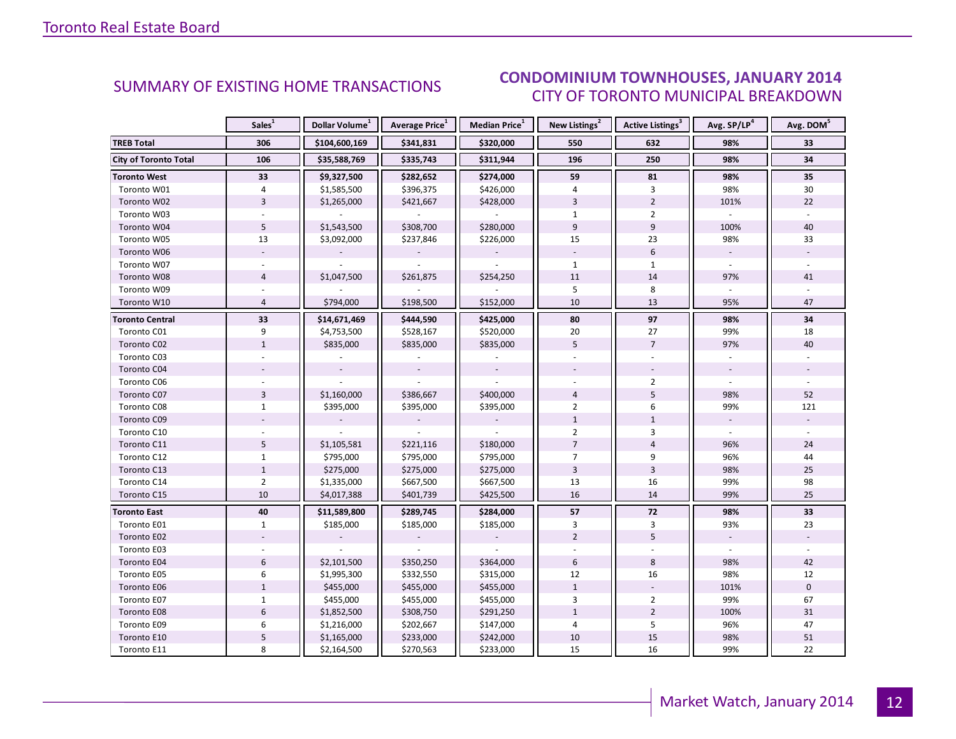#### IANIIARY 2014 CITY OF TORONTO MUNICIPAL BREAKDOWN **CONDOMINIUM TOWNHOUSES, JANUARY 2014**<br>CUTY OF TOPONTO MUNICIPAL PREAKDOMAL

<span id="page-11-0"></span>

|                              | Sales <sup>1</sup> | Dollar Volume <sup>1</sup> | Average Price <sup>1</sup> | Median Price <sup>1</sup> | New Listings <sup>2</sup> | Active Listings <sup>3</sup> | Avg. SP/LP <sup>4</sup>  | Avg. DOM <sup>5</sup> |
|------------------------------|--------------------|----------------------------|----------------------------|---------------------------|---------------------------|------------------------------|--------------------------|-----------------------|
| <b>TREB Total</b>            | 306                | \$104,600,169              | \$341,831                  | \$320,000                 | 550                       | 632                          | 98%                      | 33                    |
| <b>City of Toronto Total</b> | 106                | \$35,588,769               | \$335,743                  | \$311,944                 | 196                       | 250                          | 98%                      | 34                    |
| <b>Toronto West</b>          | 33                 | \$9,327,500                | \$282,652                  | \$274,000                 | 59                        | 81                           | 98%                      | 35                    |
| Toronto W01                  | 4                  | \$1,585,500                | \$396,375                  | \$426,000                 | 4                         | 3                            | 98%                      | 30                    |
| Toronto W02                  | $\overline{3}$     | \$1,265,000                | \$421,667                  | \$428,000                 | $\overline{3}$            | $\overline{2}$               | 101%                     | 22                    |
| Toronto W03                  |                    |                            |                            |                           | $\mathbf{1}$              | $\overline{2}$               | $\overline{\phantom{a}}$ | $\omega$              |
| Toronto W04                  | 5                  | \$1,543,500                | \$308,700                  | \$280,000                 | 9                         | 9                            | 100%                     | 40                    |
| Toronto W05                  | 13                 | \$3,092,000                | \$237,846                  | \$226,000                 | 15                        | 23                           | 98%                      | 33                    |
| Toronto W06                  |                    |                            |                            |                           |                           | $6\,$                        | $\overline{\phantom{a}}$ |                       |
| Toronto W07                  | $\omega$           |                            |                            |                           | $\mathbf{1}$              | $\mathbf{1}$                 | $\omega$                 | $\sim$                |
| Toronto W08                  | $\overline{4}$     | \$1,047,500                | \$261,875                  | \$254,250                 | 11                        | 14                           | 97%                      | 41                    |
| Toronto W09                  |                    |                            |                            |                           | 5                         | 8                            |                          |                       |
| Toronto W10                  | $\overline{4}$     | \$794,000                  | \$198,500                  | \$152,000                 | 10                        | 13                           | 95%                      | 47                    |
| <b>Toronto Central</b>       | 33                 | \$14,671,469               | \$444,590                  | \$425,000                 | 80                        | 97                           | 98%                      | 34                    |
| Toronto C01                  | 9                  | \$4,753,500                | \$528,167                  | \$520,000                 | 20                        | 27                           | 99%                      | 18                    |
| Toronto C02                  | $\mathbf{1}$       | \$835,000                  | \$835,000                  | \$835,000                 | 5                         | $\overline{7}$               | 97%                      | 40                    |
| Toronto C03                  |                    |                            |                            |                           |                           |                              |                          |                       |
| Toronto C04                  |                    |                            |                            |                           |                           |                              |                          |                       |
| Toronto C06                  |                    |                            |                            |                           |                           | $\overline{2}$               |                          |                       |
| Toronto C07                  | $\overline{3}$     | \$1,160,000                | \$386,667                  | \$400,000                 | $\overline{4}$            | 5                            | 98%                      | 52                    |
| Toronto C08                  | $\mathbf{1}$       | \$395,000                  | \$395,000                  | \$395,000                 | $\overline{2}$            | 6                            | 99%                      | 121                   |
| Toronto C09                  |                    |                            |                            |                           | $\mathbf{1}$              | $\mathbf{1}$                 |                          |                       |
| Toronto C10                  |                    |                            |                            |                           | $\overline{2}$            | 3                            |                          |                       |
| Toronto C11                  | 5                  | \$1,105,581                | \$221,116                  | \$180,000                 | $\overline{7}$            | $\overline{4}$               | 96%                      | 24                    |
| Toronto C12                  | $\mathbf{1}$       | \$795,000                  | \$795,000                  | \$795,000                 | $\overline{7}$            | 9                            | 96%                      | 44                    |
| Toronto C13                  | $\mathbf{1}$       | \$275,000                  | \$275,000                  | \$275,000                 | $\overline{3}$            | $\overline{3}$               | 98%                      | 25                    |
| Toronto C14                  | $\overline{2}$     | \$1,335,000                | \$667,500                  | \$667,500                 | 13                        | 16                           | 99%                      | 98                    |
| Toronto C15                  | 10                 | \$4,017,388                | \$401,739                  | \$425,500                 | 16                        | 14                           | 99%                      | 25                    |
| <b>Toronto East</b>          | 40                 | \$11,589,800               | \$289,745                  | \$284,000                 | 57                        | 72                           | 98%                      | 33                    |
| Toronto E01                  | $\mathbf{1}$       | \$185,000                  | \$185,000                  | \$185,000                 | 3                         | 3                            | 93%                      | 23                    |
| Toronto E02                  |                    |                            |                            |                           | $\overline{2}$            | 5                            |                          |                       |
| Toronto E03                  |                    |                            |                            |                           |                           |                              |                          |                       |
| Toronto E04                  | 6                  | \$2,101,500                | \$350,250                  | \$364,000                 | 6                         | 8                            | 98%                      | 42                    |
| Toronto E05                  | 6                  | \$1,995,300                | \$332,550                  | \$315,000                 | 12                        | 16                           | 98%                      | 12                    |
| Toronto E06                  | $\mathbf{1}$       | \$455,000                  | \$455,000                  | \$455,000                 | $\mathbf{1}$              |                              | 101%                     | $\mathbf 0$           |
| Toronto E07                  | $\mathbf{1}$       | \$455,000                  | \$455,000                  | \$455,000                 | 3                         | $\overline{2}$               | 99%                      | 67                    |
| Toronto E08                  | $6\,$              | \$1,852,500                | \$308,750                  | \$291,250                 | $\mathbf{1}$              | $\overline{2}$               | 100%                     | 31                    |
| Toronto E09                  | 6                  | \$1,216,000                | \$202,667                  | \$147,000                 | 4                         | 5                            | 96%                      | 47                    |
| Toronto E10                  | 5                  | \$1,165,000                | \$233,000                  | \$242,000                 | 10                        | $15\,$                       | 98%                      | 51                    |
| Toronto E11                  | 8                  | \$2,164,500                | \$270,563                  | \$233,000                 | 15                        | 16                           | 99%                      | 22                    |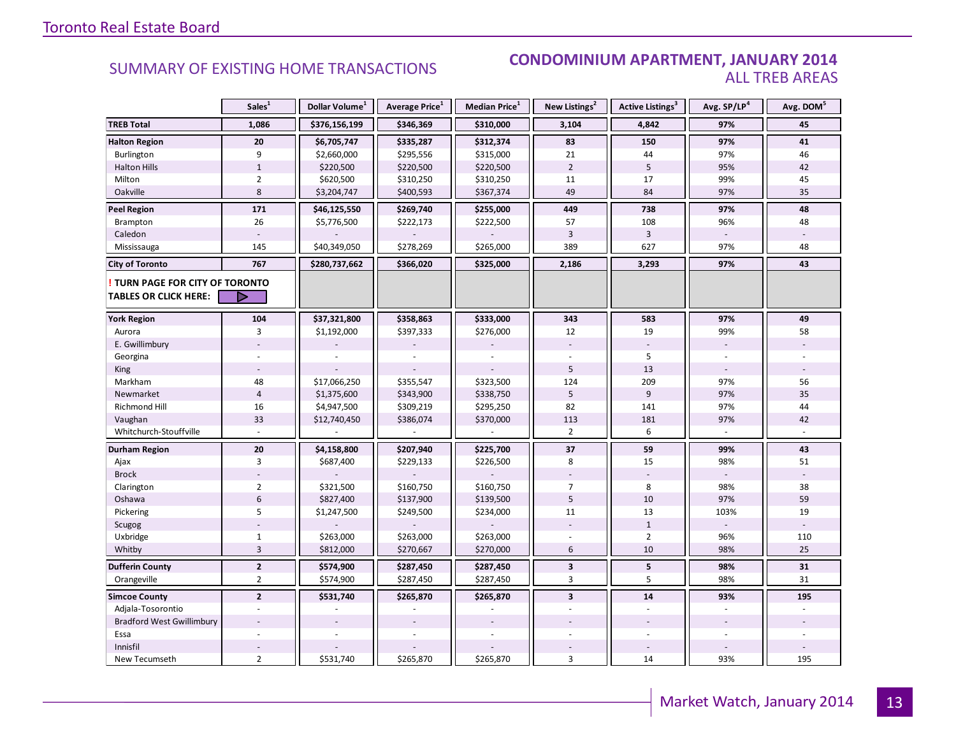#### **Industrial Leasing SUMMARY OF EXISTING HOME TRANSACTIONS CONDOMINIUM APARTMENT, JANUARY 2014** ALL TREB AREAS

|                                                               | Sales <sup>1</sup> | Dollar Volume <sup>1</sup> | Average Price <sup>1</sup> | Median Price <sup>1</sup> | New Listings <sup>2</sup> | Active Listings <sup>3</sup> | Avg. SP/LP <sup>4</sup> | Avg. DOM <sup>5</sup> |
|---------------------------------------------------------------|--------------------|----------------------------|----------------------------|---------------------------|---------------------------|------------------------------|-------------------------|-----------------------|
| <b>TREB Total</b>                                             | 1,086              | \$376,156,199              | \$346,369                  | \$310,000                 | 3,104                     | 4,842                        | 97%                     | 45                    |
| <b>Halton Region</b>                                          | 20                 | \$6,705,747                | \$335,287                  | \$312,374                 | 83                        | 150                          | 97%                     | 41                    |
| Burlington                                                    | 9                  | \$2,660,000                | \$295,556                  | \$315,000                 | 21                        | 44                           | 97%                     | 46                    |
| <b>Halton Hills</b>                                           | $\mathbf 1$        | \$220,500                  | \$220,500                  | \$220,500                 | $\overline{2}$            | 5                            | 95%                     | 42                    |
| Milton                                                        | $\overline{2}$     | \$620,500                  | \$310,250                  | \$310,250                 | 11                        | 17                           | 99%                     | 45                    |
| Oakville                                                      | 8                  | \$3,204,747                | \$400,593                  | \$367,374                 | 49                        | 84                           | 97%                     | 35                    |
| <b>Peel Region</b>                                            | 171                | \$46,125,550               | \$269,740                  | \$255,000                 | 449                       | 738                          | 97%                     | 48                    |
| Brampton                                                      | 26                 | \$5,776,500                | \$222,173                  | \$222,500                 | 57                        | 108                          | 96%                     | 48                    |
| Caledon                                                       |                    |                            |                            |                           | $\overline{3}$            | $\overline{3}$               |                         |                       |
| Mississauga                                                   | 145                | \$40,349,050               | \$278,269                  | \$265,000                 | 389                       | 627                          | 97%                     | 48                    |
| <b>City of Toronto</b>                                        | 767                | \$280,737,662              | \$366,020                  | \$325,000                 | 2,186                     | 3,293                        | 97%                     | 43                    |
| TURN PAGE FOR CITY OF TORONTO<br><b>TABLES OR CLICK HERE:</b> | $\triangleright$   |                            |                            |                           |                           |                              |                         |                       |
| <b>York Region</b>                                            | 104                | \$37,321,800               | \$358,863                  | \$333,000                 | 343                       | 583                          | 97%                     | 49                    |
| Aurora                                                        | 3                  | \$1,192,000                | \$397,333                  | \$276,000                 | 12                        | 19                           | 99%                     | 58                    |
| E. Gwillimbury                                                |                    |                            |                            |                           |                           |                              |                         |                       |
| Georgina                                                      |                    |                            |                            |                           |                           | 5                            |                         |                       |
| King                                                          |                    |                            |                            |                           | 5                         | 13                           |                         |                       |
| Markham                                                       | 48                 | \$17,066,250               | \$355,547                  | \$323,500                 | 124                       | 209                          | 97%                     | 56                    |
| Newmarket                                                     | $\overline{4}$     | \$1,375,600                | \$343,900                  | \$338,750                 | 5                         | 9                            | 97%                     | 35                    |
| <b>Richmond Hill</b>                                          | 16                 | \$4,947,500                | \$309,219                  | \$295,250                 | 82                        | 141                          | 97%                     | 44                    |
| Vaughan                                                       | 33                 | \$12,740,450               | \$386,074                  | \$370,000                 | 113                       | 181                          | 97%                     | 42                    |
| Whitchurch-Stouffville                                        |                    |                            |                            |                           | $\overline{2}$            | 6                            |                         |                       |
| <b>Durham Region</b>                                          | ${\bf 20}$         | \$4,158,800                | \$207,940                  | \$225,700                 | 37                        | 59                           | 99%                     | 43                    |
| Ajax                                                          | 3                  | \$687,400                  | \$229,133                  | \$226,500                 | 8                         | 15                           | 98%                     | 51                    |
| <b>Brock</b>                                                  |                    |                            |                            |                           |                           |                              |                         |                       |
| Clarington                                                    | $\overline{2}$     | \$321,500                  | \$160,750                  | \$160,750                 | $\overline{7}$            | 8                            | 98%                     | 38                    |
| Oshawa                                                        | $6\,$              | \$827,400                  | \$137,900                  | \$139,500                 | 5                         | 10                           | 97%                     | 59                    |
| Pickering                                                     | 5                  | \$1,247,500                | \$249,500                  | \$234,000                 | 11                        | 13                           | 103%                    | 19                    |
| Scugog                                                        |                    |                            |                            |                           |                           | $\mathbf 1$                  |                         |                       |
| Uxbridge                                                      | $\mathbf{1}$       | \$263,000                  | \$263,000                  | \$263,000                 |                           | $\overline{2}$               | 96%                     | 110                   |
| Whitby                                                        | $\overline{3}$     | \$812,000                  | \$270,667                  | \$270,000                 | 6                         | 10                           | 98%                     | 25                    |
| <b>Dufferin County</b>                                        | $\mathbf{2}$       | \$574,900                  | \$287,450                  | \$287,450                 | $\mathbf{3}$              | $\overline{\mathbf{5}}$      | 98%                     | 31                    |
| Orangeville                                                   | $\overline{2}$     | \$574,900                  | \$287,450                  | \$287,450                 | 3                         | 5                            | 98%                     | 31                    |
| <b>Simcoe County</b>                                          | $\overline{2}$     | \$531,740                  | \$265,870                  | \$265,870                 | $\overline{\mathbf{3}}$   | 14                           | 93%                     | 195                   |
| Adjala-Tosorontio                                             |                    |                            |                            |                           |                           |                              |                         |                       |
| <b>Bradford West Gwillimbury</b>                              |                    |                            |                            |                           |                           |                              |                         |                       |
| Essa                                                          |                    |                            |                            |                           |                           |                              |                         |                       |
| Innisfil                                                      |                    |                            |                            |                           |                           |                              |                         |                       |
| New Tecumseth                                                 | $\overline{2}$     | \$531,740                  | \$265,870                  | \$265,870                 | 3                         | 14                           | 93%                     | 195                   |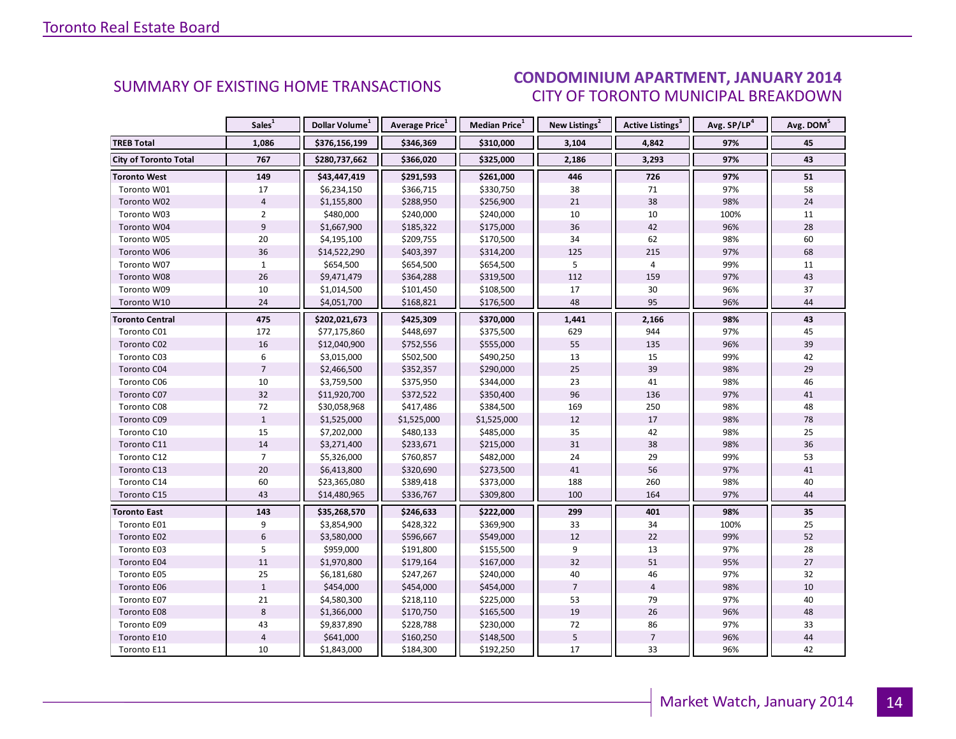#### IANIIARY 2014 CITY OF TORONTO MUNICIPAL BREAKDOWN **CONDOMINIUM APARTMENT, JANUARY 2014**<br>CITY OF TOPONTO MILINICIPAL PREAKDOMAN

<span id="page-13-0"></span>

|                              | Sales <sup>1</sup> | Dollar Volume <sup>1</sup> | Average Price <sup>1</sup> | Median Price <sup>1</sup> | New Listings <sup>2</sup> | Active Listings <sup>3</sup> | Avg. SP/LP <sup>4</sup> | Avg. DOM <sup>5</sup> |
|------------------------------|--------------------|----------------------------|----------------------------|---------------------------|---------------------------|------------------------------|-------------------------|-----------------------|
| <b>TREB Total</b>            | 1,086              | \$376,156,199              | \$346,369                  | \$310,000                 | 3,104                     | 4,842                        | 97%                     | 45                    |
| <b>City of Toronto Total</b> | 767                | \$280,737,662              | \$366,020                  | \$325,000                 | 2,186                     | 3,293                        | 97%                     | 43                    |
| Toronto West                 | 149                | \$43,447,419               | \$291,593                  | \$261,000                 | 446                       | 726                          | 97%                     | 51                    |
| Toronto W01                  | 17                 | \$6,234,150                | \$366,715                  | \$330,750                 | 38                        | 71                           | 97%                     | 58                    |
| Toronto W02                  | $\overline{4}$     | \$1,155,800                | \$288,950                  | \$256,900                 | 21                        | 38                           | 98%                     | 24                    |
| Toronto W03                  | $\overline{2}$     | \$480,000                  | \$240,000                  | \$240,000                 | 10                        | 10                           | 100%                    | 11                    |
| Toronto W04                  | $\overline{9}$     | \$1,667,900                | \$185,322                  | \$175,000                 | 36                        | 42                           | 96%                     | 28                    |
| Toronto W05                  | 20                 | \$4,195,100                | \$209,755                  | \$170,500                 | 34                        | 62                           | 98%                     | 60                    |
| Toronto W06                  | 36                 | \$14,522,290               | \$403,397                  | \$314,200                 | 125                       | 215                          | 97%                     | 68                    |
| Toronto W07                  | $\mathbf{1}$       | \$654,500                  | \$654,500                  | \$654,500                 | 5                         | 4                            | 99%                     | 11                    |
| Toronto W08                  | 26                 | \$9,471,479                | \$364,288                  | \$319,500                 | 112                       | 159                          | 97%                     | 43                    |
| Toronto W09                  | 10                 | \$1,014,500                | \$101,450                  | \$108,500                 | 17                        | 30                           | 96%                     | 37                    |
| Toronto W10                  | 24                 | \$4,051,700                | \$168,821                  | \$176,500                 | 48                        | 95                           | 96%                     | 44                    |
| <b>Toronto Central</b>       | 475                | \$202,021,673              | \$425,309                  | \$370,000                 | 1,441                     | 2,166                        | 98%                     | 43                    |
| Toronto C01                  | 172                | \$77,175,860               | \$448,697                  | \$375,500                 | 629                       | 944                          | 97%                     | 45                    |
| Toronto C02                  | 16                 | \$12,040,900               | \$752,556                  | \$555,000                 | 55                        | 135                          | 96%                     | 39                    |
| Toronto C03                  | 6                  | \$3,015,000                | \$502,500                  | \$490,250                 | 13                        | 15                           | 99%                     | 42                    |
| Toronto C04                  | $\overline{7}$     | \$2,466,500                | \$352,357                  | \$290,000                 | 25                        | 39                           | 98%                     | 29                    |
| Toronto C06                  | 10                 | \$3,759,500                | \$375,950                  | \$344,000                 | 23                        | 41                           | 98%                     | 46                    |
| Toronto C07                  | 32                 | \$11,920,700               | \$372,522                  | \$350,400                 | 96                        | 136                          | 97%                     | 41                    |
| Toronto C08                  | 72                 | \$30,058,968               | \$417,486                  | \$384,500                 | 169                       | 250                          | 98%                     | 48                    |
| Toronto C09                  | $\mathbf{1}$       | \$1,525,000                | \$1,525,000                | \$1,525,000               | 12                        | 17                           | 98%                     | 78                    |
| Toronto C10                  | 15                 | \$7,202,000                | \$480,133                  | \$485,000                 | 35                        | 42                           | 98%                     | 25                    |
| Toronto C11                  | 14                 | \$3,271,400                | \$233,671                  | \$215,000                 | 31                        | 38                           | 98%                     | 36                    |
| Toronto C12                  | $\overline{7}$     | \$5,326,000                | \$760,857                  | \$482,000                 | 24                        | 29                           | 99%                     | 53                    |
| Toronto C13                  | 20                 | \$6,413,800                | \$320,690                  | \$273,500                 | 41                        | 56                           | 97%                     | 41                    |
| Toronto C14                  | 60                 | \$23,365,080               | \$389,418                  | \$373,000                 | 188                       | 260                          | 98%                     | 40                    |
| Toronto C15                  | 43                 | \$14,480,965               | \$336,767                  | \$309,800                 | 100                       | 164                          | 97%                     | 44                    |
| <b>Toronto East</b>          | 143                | \$35,268,570               | \$246,633                  | \$222,000                 | 299                       | 401                          | 98%                     | 35                    |
| Toronto E01                  | 9                  | \$3,854,900                | \$428,322                  | \$369,900                 | 33                        | 34                           | 100%                    | 25                    |
| Toronto E02                  | $6\phantom{1}$     | \$3,580,000                | \$596,667                  | \$549,000                 | 12                        | 22                           | 99%                     | 52                    |
| Toronto E03                  | 5                  | \$959,000                  | \$191,800                  | \$155,500                 | 9                         | 13                           | 97%                     | 28                    |
| Toronto E04                  | 11                 | \$1,970,800                | \$179,164                  | \$167,000                 | 32                        | 51                           | 95%                     | 27                    |
| Toronto E05                  | 25                 | \$6,181,680                | \$247,267                  | \$240,000                 | 40                        | 46                           | 97%                     | 32                    |
| Toronto E06                  | $\mathbf{1}$       | \$454,000                  | \$454,000                  | \$454,000                 | $\overline{7}$            | $\overline{4}$               | 98%                     | 10                    |
| Toronto E07                  | 21                 | \$4,580,300                | \$218,110                  | \$225,000                 | 53                        | 79                           | 97%                     | 40                    |
| Toronto E08                  | $\,8\,$            | \$1,366,000                | \$170,750                  | \$165,500                 | 19                        | 26                           | 96%                     | 48                    |
| Toronto E09                  | 43                 | \$9,837,890                | \$228,788                  | \$230,000                 | 72                        | 86                           | 97%                     | 33                    |
| Toronto E10                  | $\sqrt{4}$         | \$641,000                  | \$160,250                  | \$148,500                 | 5                         | $\overline{7}$               | 96%                     | 44                    |
| Toronto E11                  | 10                 | \$1,843,000                | \$184,300                  | \$192,250                 | 17                        | 33                           | 96%                     | 42                    |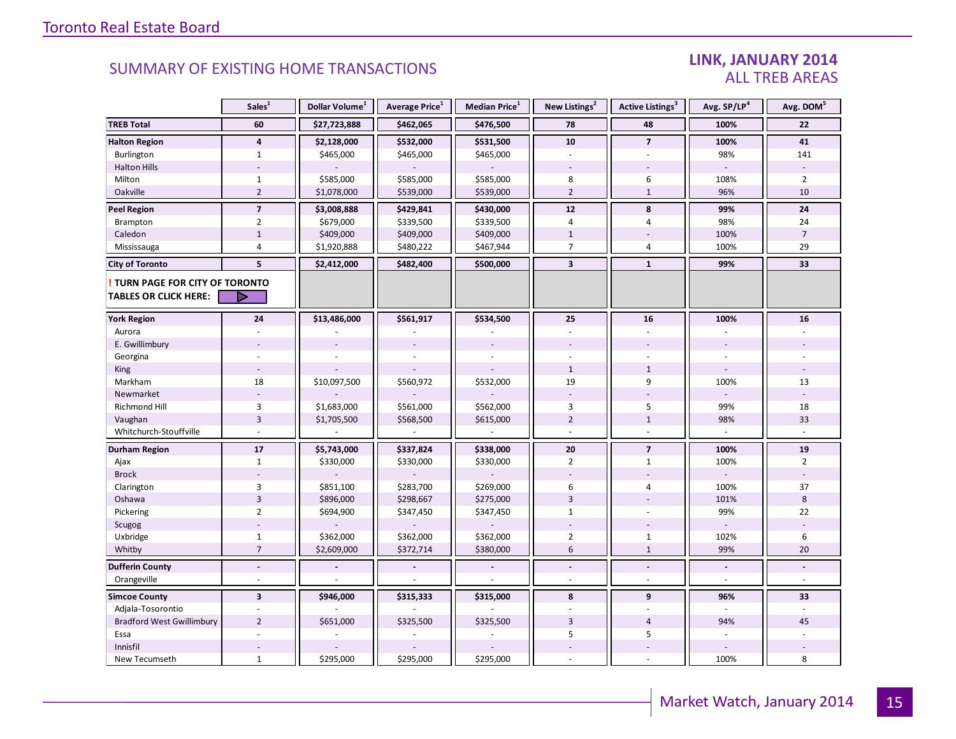#### LINK, JANUARY 2014 ALL TREB AREAS

|                                                               | Sales <sup>1</sup>       | Dollar Volume <sup>1</sup> | Average Price <sup>1</sup> | Median Price <sup>1</sup> | New Listings <sup>2</sup> | Active Listings <sup>3</sup> | Avg. SP/LP <sup>4</sup> | Avg. DOM <sup>5</sup>    |
|---------------------------------------------------------------|--------------------------|----------------------------|----------------------------|---------------------------|---------------------------|------------------------------|-------------------------|--------------------------|
| <b>TREB Total</b>                                             | 60                       | \$27,723,888               | \$462,065                  | \$476,500                 | 78                        | 48                           | 100%                    | 22                       |
| <b>Halton Region</b>                                          | $\overline{\mathbf{4}}$  | \$2,128,000                | \$532,000                  | \$531,500                 | 10                        | $\overline{7}$               | 100%                    | 41                       |
| Burlington                                                    | $\mathbf{1}$             | \$465,000                  | \$465,000                  | \$465,000                 | $\omega$                  | L.                           | 98%                     | 141                      |
| <b>Halton Hills</b>                                           |                          |                            |                            |                           |                           |                              | $\sim$                  |                          |
| Milton                                                        | $\mathbf{1}$             | \$585,000                  | \$585,000                  | \$585,000                 | 8                         | 6                            | 108%                    | $\overline{2}$           |
| Oakville                                                      | $\sqrt{2}$               | \$1,078,000                | \$539,000                  | \$539,000                 | $\overline{2}$            | $\mathbf{1}$                 | 96%                     | 10                       |
| <b>Peel Region</b>                                            | $\overline{7}$           | \$3,008,888                | \$429,841                  | \$430,000                 | 12                        | 8                            | 99%                     | 24                       |
| Brampton                                                      | $\overline{2}$           | \$679,000                  | \$339,500                  | \$339,500                 | 4                         | 4                            | 98%                     | 24                       |
| Caledon                                                       | $\mathbf{1}$             | \$409,000                  | \$409,000                  | \$409,000                 | $\mathbf{1}$              |                              | 100%                    | $\overline{7}$           |
| Mississauga                                                   | 4                        | \$1,920,888                | \$480,222                  | \$467,944                 | $\overline{7}$            | $\overline{4}$               | 100%                    | 29                       |
| <b>City of Toronto</b>                                        | 5                        | \$2,412,000                | \$482,400                  | \$500,000                 | $\overline{\mathbf{3}}$   | $\mathbf{1}$                 | 99%                     | 33                       |
| TURN PAGE FOR CITY OF TORONTO<br><b>TABLES OR CLICK HERE:</b> |                          |                            |                            |                           |                           |                              |                         |                          |
|                                                               |                          |                            |                            |                           |                           |                              |                         |                          |
| <b>York Region</b>                                            | 24                       | \$13,486,000               | \$561,917                  | \$534,500                 | 25                        | 16                           | 100%                    | 16                       |
| Aurora                                                        |                          |                            |                            |                           |                           |                              |                         |                          |
| E. Gwillimbury                                                |                          |                            |                            |                           |                           |                              |                         |                          |
| Georgina                                                      |                          |                            |                            |                           |                           |                              |                         |                          |
| King                                                          |                          |                            |                            |                           | $\mathbf{1}$              | $\mathbf{1}$                 |                         |                          |
| Markham                                                       | 18                       | \$10,097,500               | \$560,972                  | \$532,000                 | 19                        | 9                            | 100%                    | 13                       |
| Newmarket                                                     |                          |                            |                            |                           |                           |                              |                         |                          |
| <b>Richmond Hill</b>                                          | 3                        | \$1,683,000                | \$561,000                  | \$562,000                 | 3                         | 5                            | 99%                     | 18                       |
| Vaughan                                                       | $\overline{3}$           | \$1,705,500                | \$568,500                  | \$615,000                 | $\overline{2}$            | $\mathbf{1}$                 | 98%                     | 33                       |
| Whitchurch-Stouffville                                        |                          |                            |                            |                           | $\overline{a}$            | $\overline{a}$               |                         |                          |
| Durham Region                                                 | 17                       | \$5,743,000                | \$337,824                  | \$338,000                 | 20                        | $\overline{7}$               | 100%                    | 19                       |
| Ajax                                                          | $\mathbf{1}$             | \$330,000                  | \$330,000                  | \$330,000                 | $\overline{2}$            | $\mathbf{1}$                 | 100%                    | $\overline{2}$           |
| <b>Brock</b>                                                  |                          |                            |                            |                           |                           |                              |                         |                          |
| Clarington                                                    | 3                        | \$851,100                  | \$283,700                  | \$269,000                 | 6                         | $\sqrt{4}$                   | 100%                    | 37                       |
| Oshawa                                                        | $\overline{3}$           | \$896,000                  | \$298,667                  | \$275,000                 | $\overline{3}$            |                              | 101%                    | 8                        |
| Pickering                                                     | $\overline{2}$           | \$694,900                  | \$347,450                  | \$347,450                 | $\mathbf{1}$              |                              | 99%                     | 22                       |
| Scugog                                                        |                          |                            |                            |                           |                           |                              |                         |                          |
| Uxbridge                                                      | $\mathbf{1}$             | \$362,000                  | \$362,000                  | \$362,000                 | $\overline{2}$            | $\mathbf{1}$                 | 102%                    | 6                        |
| Whitby                                                        | $\overline{7}$           | \$2,609,000                | \$372,714                  | \$380,000                 | 6                         | $\mathbf{1}$                 | 99%                     | 20                       |
| <b>Dufferin County</b>                                        | $\blacksquare$           |                            |                            |                           | $\blacksquare$            | $\blacksquare$               | $\blacksquare$          | L.                       |
| Orangeville                                                   | $\overline{\phantom{a}}$ |                            |                            |                           | $\sim$                    | $\overline{\phantom{a}}$     | $\sim$                  | $\overline{\phantom{a}}$ |
| <b>Simcoe County</b>                                          | $\overline{\mathbf{3}}$  | \$946,000                  | \$315,333                  | \$315,000                 | 8                         | 9                            | 96%                     | 33                       |
| Adjala-Tosorontio                                             | $\sim$                   |                            |                            |                           |                           |                              |                         |                          |
| <b>Bradford West Gwillimbury</b>                              | $\overline{2}$           | \$651,000                  | \$325,500                  | \$325,500                 | 3                         | $\overline{4}$               | 94%                     | 45                       |
| Essa                                                          |                          |                            |                            |                           | 5                         | 5                            |                         |                          |
| Innisfil                                                      |                          |                            |                            |                           |                           | $\overline{\phantom{a}}$     |                         |                          |
| New Tecumseth                                                 | $\mathbf{1}$             | \$295,000                  | \$295,000                  | \$295,000                 |                           |                              | 100%                    | 8                        |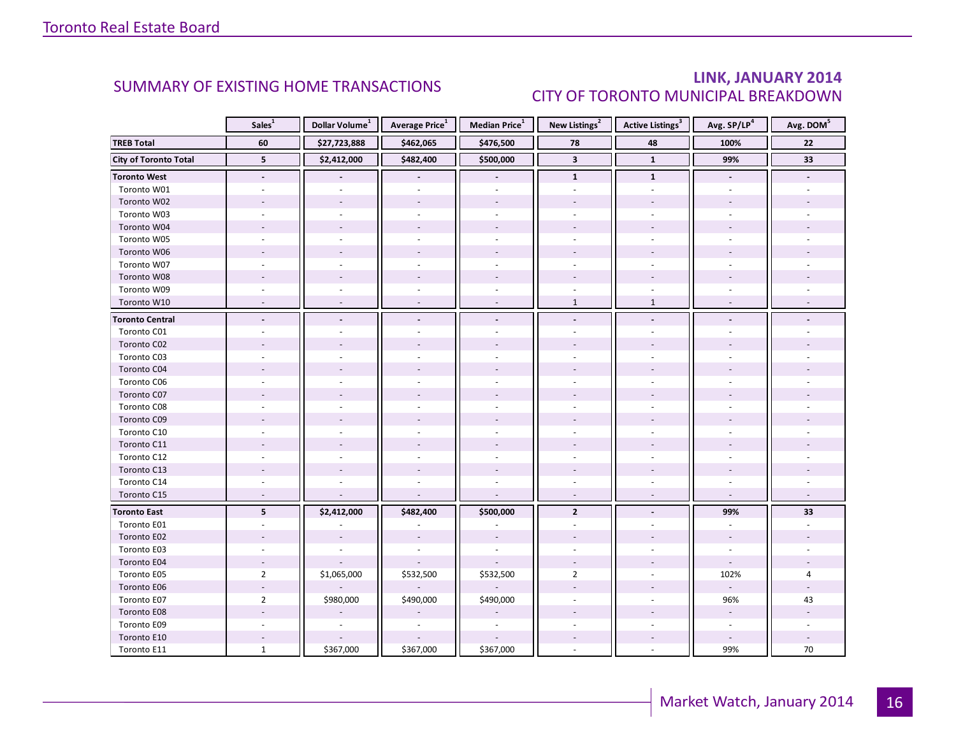### LINK, JANUARY 2014 CITY OF TORONTO MUNICIPAL BREAKDOWN

<span id="page-15-0"></span>

|                              | Sales <sup>1</sup>       | Dollar Volume <sup>1</sup> | Average Price <sup>1</sup> | Median Price <sup>1</sup> | New Listings <sup>2</sup> | <b>Active Listings</b> <sup>3</sup> | Avg. SP/LP <sup>4</sup>  | Avg. DOM <sup>5</sup> |
|------------------------------|--------------------------|----------------------------|----------------------------|---------------------------|---------------------------|-------------------------------------|--------------------------|-----------------------|
| <b>TREB Total</b>            | 60                       | \$27,723,888               | \$462,065                  | \$476,500                 | 78                        | 48                                  | 100%                     | 22                    |
| <b>City of Toronto Total</b> | 5                        | \$2,412,000                | \$482,400                  | \$500,000                 | $\overline{\mathbf{3}}$   | $\mathbf{1}$                        | 99%                      | 33                    |
| <b>Toronto West</b>          | $\blacksquare$           |                            |                            | $\blacksquare$            | $\mathbf{1}$              | $\mathbf{1}$                        | $\overline{\phantom{a}}$ |                       |
| Toronto W01                  |                          |                            |                            |                           |                           | ÷                                   |                          |                       |
| Toronto W02                  |                          |                            |                            |                           |                           |                                     |                          |                       |
| Toronto W03                  | ٠                        |                            |                            | $\sim$                    | $\overline{\phantom{a}}$  | ÷.                                  |                          |                       |
| Toronto W04                  |                          |                            |                            |                           |                           |                                     |                          |                       |
| Toronto W05                  |                          |                            |                            |                           |                           |                                     |                          |                       |
| Toronto W06                  |                          |                            |                            |                           |                           |                                     |                          |                       |
| Toronto W07                  |                          |                            |                            | ÷.                        |                           | ÷.                                  |                          |                       |
| Toronto W08                  |                          |                            |                            |                           |                           |                                     |                          |                       |
| Toronto W09                  |                          |                            |                            |                           |                           |                                     |                          |                       |
| Toronto W10                  | $\overline{a}$           | $\sim$                     | $\sim$                     | $\sim$                    | $\mathbf{1}$              | $\mathbf{1}$                        |                          |                       |
| <b>Toronto Central</b>       |                          |                            |                            | $\blacksquare$            | $\blacksquare$            | $\blacksquare$                      |                          |                       |
| Toronto C01                  |                          |                            |                            |                           |                           |                                     |                          |                       |
| Toronto C02                  |                          |                            |                            |                           |                           |                                     |                          |                       |
| Toronto C03                  |                          |                            |                            |                           |                           |                                     |                          |                       |
| Toronto C04                  |                          |                            |                            |                           |                           |                                     |                          |                       |
| Toronto C06                  |                          |                            |                            |                           |                           |                                     |                          |                       |
| Toronto C07                  |                          |                            |                            |                           |                           |                                     |                          |                       |
| Toronto C08                  |                          |                            |                            |                           |                           |                                     |                          |                       |
| Toronto C09                  |                          |                            |                            |                           |                           |                                     |                          |                       |
| Toronto C10                  |                          |                            |                            |                           |                           |                                     |                          |                       |
| Toronto C11                  |                          |                            |                            |                           |                           |                                     |                          |                       |
| Toronto C12                  |                          |                            |                            |                           |                           |                                     |                          |                       |
| Toronto C13                  |                          |                            |                            |                           |                           |                                     |                          |                       |
| Toronto C14                  |                          |                            |                            |                           | $\sim$                    | $\overline{a}$                      |                          |                       |
| Toronto C15                  | $\overline{\phantom{a}}$ |                            |                            | L.                        | $\sim$                    | $\overline{a}$                      | $\sim$                   |                       |
| <b>Toronto East</b>          | 5 <sup>1</sup>           | \$2,412,000                | \$482,400                  | \$500,000                 | $\overline{2}$            |                                     | 99%                      | 33                    |
| Toronto E01                  | ÷.                       |                            |                            |                           | $\sim$                    |                                     | $\overline{\phantom{a}}$ |                       |
| Toronto E02                  |                          |                            |                            |                           |                           |                                     |                          |                       |
| Toronto E03                  |                          |                            |                            |                           |                           |                                     |                          |                       |
| Toronto E04                  | $\overline{a}$           |                            |                            |                           |                           |                                     | $\overline{\phantom{a}}$ |                       |
| Toronto E05                  | $\overline{2}$           | \$1,065,000                | \$532,500                  | \$532,500                 | $\overline{2}$            | ä,                                  | 102%                     | $\overline{4}$        |
| Toronto E06                  |                          |                            |                            |                           |                           |                                     | $\sim$                   |                       |
| Toronto E07                  | $\overline{2}$           | \$980,000                  | \$490,000                  | \$490,000                 |                           |                                     | 96%                      | 43                    |
| Toronto E08                  |                          |                            |                            |                           |                           |                                     | $\omega$                 |                       |
| Toronto E09                  |                          |                            |                            |                           |                           |                                     | $\overline{\phantom{a}}$ |                       |
| Toronto E10                  |                          |                            |                            |                           |                           |                                     |                          |                       |
| Toronto E11                  | $\mathbf{1}$             | \$367,000                  | \$367,000                  | \$367,000                 |                           | ÷,                                  | 99%                      | 70                    |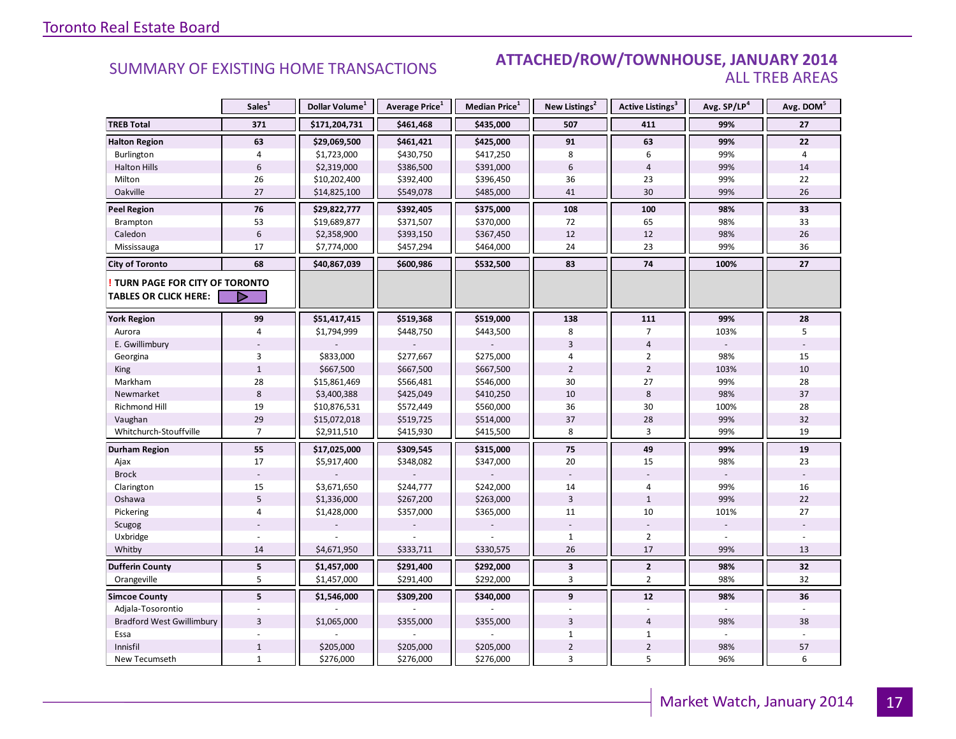#### **Industrial Leasing SUMMARY OF EXISTING HOME TRANSACTIONS ATTACHED/ROW/TOWNHOUSE, JANUARY 2014** ALL TREB AREAS

|                                  | Sales <sup>1</sup> | Dollar Volume <sup>1</sup> | Average Price <sup>1</sup> | Median Price <sup>1</sup> | New Listings <sup>2</sup> | <b>Active Listings</b> <sup>3</sup> | Avg. SP/LP4 | Avg. DOM <sup>5</sup> |
|----------------------------------|--------------------|----------------------------|----------------------------|---------------------------|---------------------------|-------------------------------------|-------------|-----------------------|
| <b>TREB Total</b>                | 371                | \$171,204,731              | \$461,468                  | \$435,000                 | 507                       | 411                                 | 99%         | 27                    |
| <b>Halton Region</b>             | 63                 | \$29,069,500               | \$461,421                  | \$425,000                 | 91                        | 63                                  | 99%         | 22                    |
| Burlington                       | $\overline{4}$     | \$1,723,000                | \$430,750                  | \$417,250                 | 8                         | 6                                   | 99%         | 4                     |
| <b>Halton Hills</b>              | $6\phantom{a}$     | \$2,319,000                | \$386,500                  | \$391,000                 | $6\phantom{1}$            | $\overline{4}$                      | 99%         | 14                    |
| Milton                           | 26                 | \$10,202,400               | \$392,400                  | \$396,450                 | 36                        | 23                                  | 99%         | 22                    |
| Oakville                         | 27                 | \$14,825,100               | \$549,078                  | \$485,000                 | 41                        | 30                                  | 99%         | 26                    |
| <b>Peel Region</b>               | 76                 | \$29,822,777               | \$392,405                  | \$375,000                 | 108                       | 100                                 | 98%         | 33                    |
| Brampton                         | 53                 | \$19,689,877               | \$371,507                  | \$370,000                 | 72                        | 65                                  | 98%         | 33                    |
| Caledon                          | 6                  | \$2,358,900                | \$393,150                  | \$367,450                 | 12                        | 12                                  | 98%         | 26                    |
| Mississauga                      | 17                 | \$7,774,000                | \$457,294                  | \$464,000                 | 24                        | 23                                  | 99%         | 36                    |
| <b>City of Toronto</b>           | 68                 | \$40,867,039               | \$600,986                  | \$532,500                 | 83                        | 74                                  | 100%        | 27                    |
| TURN PAGE FOR CITY OF TORONTO    |                    |                            |                            |                           |                           |                                     |             |                       |
| <b>TABLES OR CLICK HERE:</b>     | D                  |                            |                            |                           |                           |                                     |             |                       |
| <b>York Region</b>               | 99                 | \$51,417,415               | \$519,368                  | \$519,000                 | 138                       | 111                                 | 99%         | 28                    |
| Aurora                           | $\overline{4}$     | \$1,794,999                | \$448,750                  | \$443,500                 | 8                         | $\overline{7}$                      | 103%        | 5                     |
| E. Gwillimbury                   |                    |                            |                            |                           | $\overline{3}$            | $\overline{4}$                      |             |                       |
| Georgina                         | $\overline{3}$     | \$833,000                  | \$277,667                  | \$275,000                 | 4                         | $\overline{2}$                      | 98%         | 15                    |
| King                             | $\mathbf 1$        | \$667,500                  | \$667,500                  | \$667,500                 | $\overline{2}$            | $\overline{2}$                      | 103%        | 10                    |
| Markham                          | 28                 | \$15,861,469               | \$566,481                  | \$546,000                 | 30                        | 27                                  | 99%         | 28                    |
| Newmarket                        | $\boldsymbol{8}$   | \$3,400,388                | \$425,049                  | \$410,250                 | 10                        | 8                                   | 98%         | 37                    |
| <b>Richmond Hill</b>             | 19                 | \$10,876,531               | \$572,449                  | \$560,000                 | 36                        | 30                                  | 100%        | 28                    |
| Vaughan                          | 29                 | \$15,072,018               | \$519,725                  | \$514,000                 | 37                        | 28                                  | 99%         | 32                    |
| Whitchurch-Stouffville           | $\overline{7}$     | \$2,911,510                | \$415,930                  | \$415,500                 | 8                         | $\overline{3}$                      | 99%         | 19                    |
| Durham Region                    | 55                 | \$17,025,000               | \$309,545                  | \$315,000                 | 75                        | 49                                  | 99%         | 19                    |
| Ajax                             | 17                 | \$5,917,400                | \$348,082                  | \$347,000                 | 20                        | 15                                  | 98%         | 23                    |
| <b>Brock</b>                     |                    |                            |                            |                           |                           |                                     |             |                       |
| Clarington                       | 15                 | \$3,671,650                | \$244,777                  | \$242,000                 | 14                        | $\overline{4}$                      | 99%         | $16\,$                |
| Oshawa                           | $5\overline{)}$    | \$1,336,000                | \$267,200                  | \$263,000                 | $\overline{3}$            | $\mathbf{1}$                        | 99%         | 22                    |
| Pickering                        | $\overline{4}$     | \$1,428,000                | \$357,000                  | \$365,000                 | 11                        | 10                                  | 101%        | 27                    |
| Scugog                           |                    |                            |                            |                           |                           |                                     |             |                       |
| Uxbridge                         |                    |                            |                            |                           | $\mathbf{1}$              | $\overline{2}$                      |             |                       |
| Whitby                           | 14                 | \$4,671,950                | \$333,711                  | \$330,575                 | 26                        | 17                                  | 99%         | 13                    |
| <b>Dufferin County</b>           | ${\bf 5}$          | \$1,457,000                | \$291,400                  | \$292,000                 | $\mathbf{3}$              | $\mathbf{2}$                        | 98%         | 32                    |
| Orangeville                      | 5                  | \$1,457,000                | \$291,400                  | \$292,000                 | 3                         | $\overline{2}$                      | 98%         | 32                    |
| <b>Simcoe County</b>             | 5                  | \$1,546,000                | \$309,200                  | \$340,000                 | 9                         | 12                                  | 98%         | 36                    |
| Adjala-Tosorontio                |                    |                            |                            |                           |                           |                                     |             |                       |
| <b>Bradford West Gwillimbury</b> | $\overline{3}$     | \$1,065,000                | \$355,000                  | \$355,000                 | $\overline{3}$            | $\overline{4}$                      | 98%         | 38                    |
| Essa                             |                    |                            |                            |                           | $\mathbf{1}$              | $\mathbf{1}$                        |             |                       |
| Innisfil                         | $\mathbf{1}$       | \$205,000                  | \$205,000                  | \$205,000                 | $\overline{2}$            | $\overline{2}$                      | 98%         | 57                    |
| New Tecumseth                    | $\mathbf{1}$       | \$276,000                  | \$276,000                  | \$276,000                 | 3                         | 5                                   | 96%         | 6                     |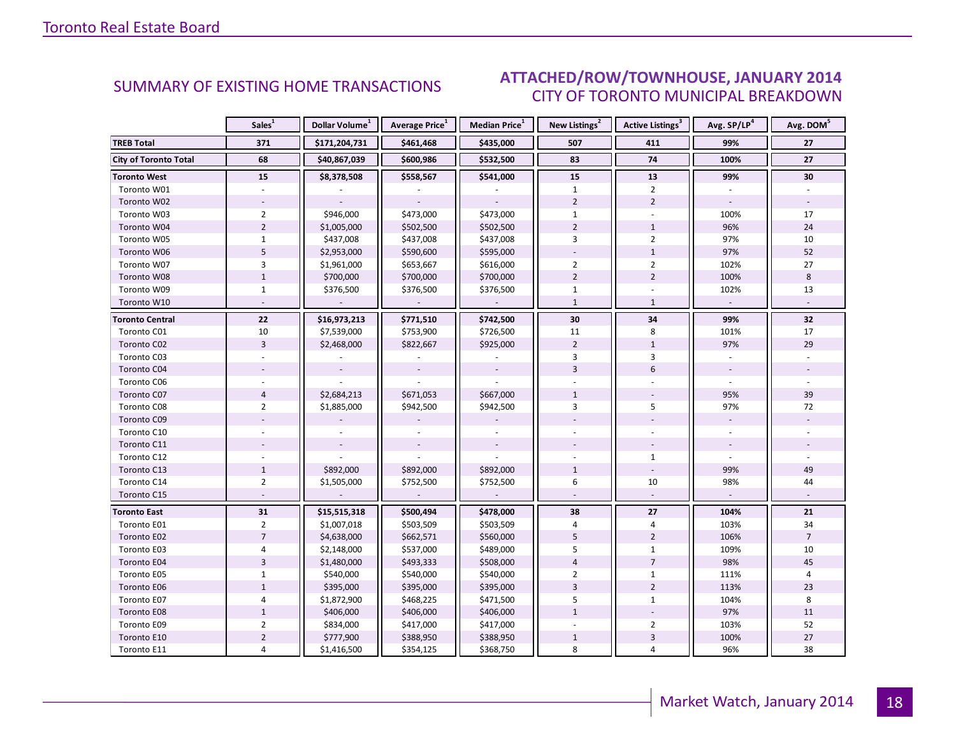#### IANIIARY 2014 CITY OF TORONTO MUNICIPAL BREAKDOWN SUMMARY OF EXISTING HOME TRANSACTIONS **ATTACHED/ROW/TOWNHOUSE, JANUARY 2014**

<span id="page-17-0"></span>

|                              | Sales <sup>1</sup> | Dollar Volume <sup>1</sup> | Average Price <sup>1</sup> | Median Price <sup>1</sup> | New Listings <sup>2</sup> | Active Listings <sup>3</sup> | Avg. SP/LP <sup>4</sup> | Avg. DOM <sup>5</sup> |
|------------------------------|--------------------|----------------------------|----------------------------|---------------------------|---------------------------|------------------------------|-------------------------|-----------------------|
| <b>TREB Total</b>            | 371                | \$171,204,731              | \$461,468                  | \$435,000                 | 507                       | 411                          | 99%                     | 27                    |
| <b>City of Toronto Total</b> | 68                 | \$40,867,039               | \$600,986                  | \$532,500                 | 83                        | 74                           | 100%                    | 27                    |
| <b>Toronto West</b>          | 15                 | \$8,378,508                | \$558,567                  | \$541,000                 | 15                        | 13                           | 99%                     | 30                    |
| Toronto W01                  |                    |                            |                            |                           | $\mathbf{1}$              | $\overline{2}$               |                         |                       |
| Toronto W02                  |                    |                            |                            |                           | $\overline{2}$            | $\overline{2}$               |                         |                       |
| Toronto W03                  | $\overline{2}$     | \$946,000                  | \$473,000                  | \$473,000                 | $\mathbf{1}$              |                              | 100%                    | 17                    |
| Toronto W04                  | $\overline{2}$     | \$1,005,000                | \$502,500                  | \$502,500                 | $\overline{2}$            | $\mathbf{1}$                 | 96%                     | 24                    |
| Toronto W05                  | $\mathbf{1}$       | \$437,008                  | \$437,008                  | \$437,008                 | 3                         | $\overline{2}$               | 97%                     | 10                    |
| Toronto W06                  | 5                  | \$2,953,000                | \$590,600                  | \$595,000                 |                           | $\mathbf{1}$                 | 97%                     | 52                    |
| Toronto W07                  | 3                  | \$1,961,000                | \$653,667                  | \$616,000                 | $\overline{2}$            | $\overline{2}$               | 102%                    | 27                    |
| Toronto W08                  | $\mathbf{1}$       | \$700,000                  | \$700,000                  | \$700,000                 | $\overline{2}$            | $\overline{2}$               | 100%                    | 8                     |
| Toronto W09                  | $\mathbf{1}$       | \$376,500                  | \$376,500                  | \$376,500                 | $\mathbf{1}$              |                              | 102%                    | 13                    |
| Toronto W10                  |                    |                            |                            |                           | $\mathbf{1}$              | $\mathbf{1}$                 | $\sim$                  |                       |
| <b>Toronto Central</b>       | 22                 | \$16,973,213               | \$771,510                  | \$742,500                 | 30                        | 34                           | 99%                     | 32                    |
| Toronto C01                  | 10                 | \$7,539,000                | \$753,900                  | \$726,500                 | 11                        | 8                            | 101%                    | 17                    |
| Toronto C02                  | $\overline{3}$     | \$2,468,000                | \$822,667                  | \$925,000                 | $\overline{2}$            | $\mathbf{1}$                 | 97%                     | 29                    |
| Toronto C03                  |                    |                            |                            |                           | 3                         | 3                            |                         |                       |
| Toronto C04                  |                    |                            |                            |                           | 3                         | 6                            |                         |                       |
| Toronto C06                  |                    |                            |                            |                           |                           |                              |                         |                       |
| Toronto C07                  | $\overline{4}$     | \$2,684,213                | \$671,053                  | \$667,000                 | $\mathbf{1}$              |                              | 95%                     | 39                    |
| Toronto C08                  | $\overline{2}$     | \$1,885,000                | \$942,500                  | \$942,500                 | 3                         | 5                            | 97%                     | 72                    |
| Toronto C09                  |                    |                            |                            |                           |                           |                              |                         |                       |
| Toronto C10                  |                    |                            |                            |                           |                           |                              |                         |                       |
| Toronto C11                  |                    |                            |                            |                           |                           |                              |                         |                       |
| Toronto C12                  |                    |                            |                            |                           |                           | $\mathbf{1}$                 |                         |                       |
| Toronto C13                  | $\mathbf{1}$       | \$892,000                  | \$892,000                  | \$892,000                 | $\mathbf{1}$              |                              | 99%                     | 49                    |
| Toronto C14                  | $\overline{2}$     | \$1,505,000                | \$752,500                  | \$752,500                 | 6                         | 10                           | 98%                     | 44                    |
| Toronto C15                  |                    |                            | $\bar{a}$                  | $\overline{\phantom{a}}$  |                           | $\omega$                     | $\mathcal{L}$           |                       |
| <b>Toronto East</b>          | 31                 | \$15,515,318               | \$500,494                  | \$478,000                 | 38                        | 27                           | 104%                    | 21                    |
| Toronto E01                  | $\overline{2}$     | \$1,007,018                | \$503,509                  | \$503,509                 | $\overline{4}$            | 4                            | 103%                    | 34                    |
| Toronto E02                  | $\overline{7}$     | \$4,638,000                | \$662,571                  | \$560,000                 | 5                         | $\overline{2}$               | 106%                    | $\overline{7}$        |
| Toronto E03                  | 4                  | \$2,148,000                | \$537,000                  | \$489,000                 | 5                         | $\mathbf{1}$                 | 109%                    | 10                    |
| Toronto E04                  | $\overline{3}$     | \$1,480,000                | \$493,333                  | \$508,000                 | $\overline{\mathbf{4}}$   | $\overline{7}$               | 98%                     | 45                    |
| Toronto E05                  | $\mathbf{1}$       | \$540,000                  | \$540,000                  | \$540,000                 | $\overline{2}$            | $\mathbf{1}$                 | 111%                    | 4                     |
| Toronto E06                  | $\mathbf{1}$       | \$395,000                  | \$395,000                  | \$395,000                 | $\overline{3}$            | $\overline{2}$               | 113%                    | 23                    |
| Toronto E07                  | 4                  | \$1,872,900                | \$468,225                  | \$471,500                 | 5                         | $\mathbf{1}$                 | 104%                    | 8                     |
| Toronto E08                  | $\mathbf{1}$       | \$406,000                  | \$406,000                  | \$406,000                 | $\mathbf{1}$              |                              | 97%                     | 11                    |
| Toronto E09                  | $\overline{2}$     | \$834,000                  | \$417,000                  | \$417,000                 |                           | $\overline{2}$               | 103%                    | 52                    |
| Toronto E10                  | $\overline{2}$     | \$777,900                  | \$388,950                  | \$388,950                 | $\mathbf{1}$              | $\overline{3}$               | 100%                    | 27                    |
| Toronto E11                  | 4                  | \$1,416,500                | \$354,125                  | \$368,750                 | 8                         | 4                            | 96%                     | 38                    |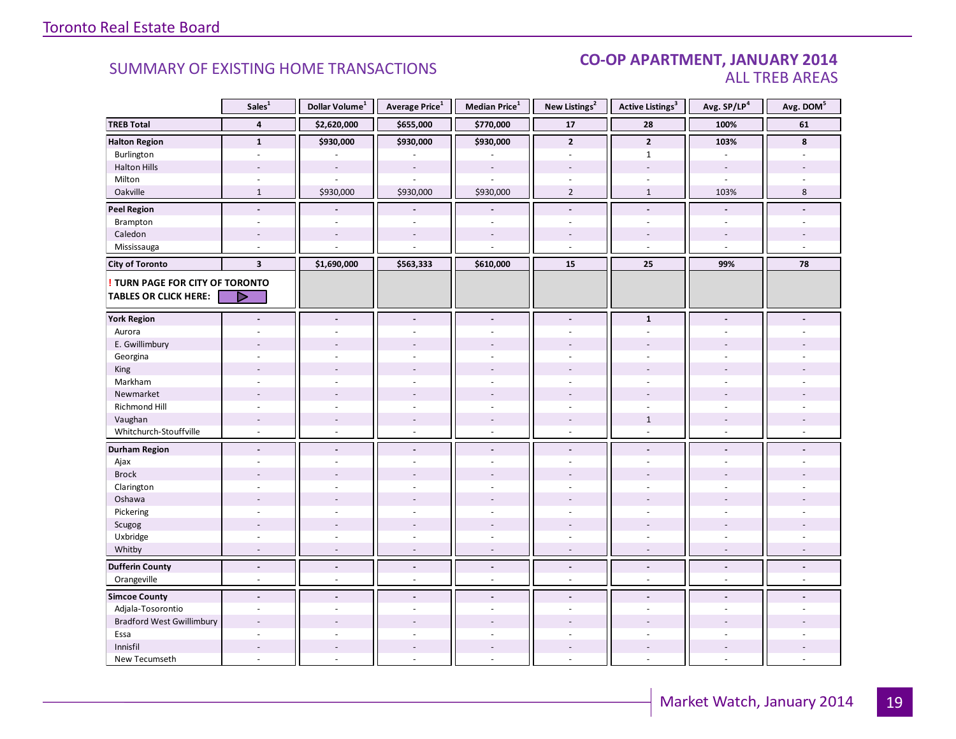#### CO-OP APARTMENT, JANUARY 2014 ALL TREB AREAS

|                                  | Sales <sup>1</sup>       | Dollar Volume <sup>1</sup> | Average Price <sup>1</sup> | Median Price $^1$        | New Listings <sup>2</sup> | <b>Active Listings<sup>3</sup></b> | Avg. SP/LP <sup>4</sup>  | Avg. DOM <sup>5</sup>    |
|----------------------------------|--------------------------|----------------------------|----------------------------|--------------------------|---------------------------|------------------------------------|--------------------------|--------------------------|
| <b>TREB Total</b>                | 4                        | \$2,620,000                | \$655,000                  | \$770,000                | 17                        | 28                                 | 100%                     | 61                       |
| <b>Halton Region</b>             | $\mathbf{1}$             | \$930,000                  | \$930,000                  | \$930,000                | $\overline{2}$            | $\overline{2}$                     | 103%                     | 8                        |
| Burlington                       |                          |                            |                            |                          |                           | $\mathbf{1}$                       |                          |                          |
| <b>Halton Hills</b>              |                          | $\sim$                     | $\overline{\phantom{a}}$   | $\sim$                   |                           | $\sim$                             | $\blacksquare$           |                          |
| Milton                           | $\sim$                   |                            | ÷.                         | $\overline{a}$           | $\overline{\phantom{a}}$  | $\overline{\phantom{a}}$           | $\overline{\phantom{a}}$ |                          |
| Oakville                         | $\mathbf{1}$             | \$930,000                  | \$930,000                  | \$930,000                | $\overline{2}$            | $\mathbf{1}$                       | 103%                     | 8                        |
| <b>Peel Region</b>               | $\blacksquare$           |                            |                            |                          | $\overline{\phantom{a}}$  | $\blacksquare$                     |                          |                          |
| Brampton                         | $\sim$                   | $\bar{a}$                  | ä,                         | $\sim$                   | $\sim$                    | $\overline{\phantom{a}}$           | $\overline{\phantom{a}}$ |                          |
| Caledon                          |                          |                            |                            |                          |                           |                                    |                          |                          |
| Mississauga                      | $\sim$                   |                            |                            |                          | $\overline{a}$            | $\sim$                             | $\overline{a}$           |                          |
| <b>City of Toronto</b>           | $\overline{\mathbf{3}}$  | \$1,690,000                | \$563,333                  | \$610,000                | 15                        | 25                                 | 99%                      | 78                       |
| TURN PAGE FOR CITY OF TORONTO    |                          |                            |                            |                          |                           |                                    |                          |                          |
| <b>TABLES OR CLICK HERE:</b>     |                          |                            |                            |                          |                           |                                    |                          |                          |
|                                  |                          |                            |                            |                          |                           |                                    |                          |                          |
| <b>York Region</b>               | $\blacksquare$           | $\overline{\phantom{a}}$   | $\overline{\phantom{a}}$   | $\blacksquare$           | $\blacksquare$            | $\mathbf{1}$                       |                          |                          |
| Aurora                           |                          |                            |                            |                          |                           | $\overline{\phantom{a}}$           |                          |                          |
| E. Gwillimbury                   |                          |                            |                            |                          |                           |                                    |                          |                          |
| Georgina                         |                          |                            |                            |                          |                           |                                    |                          |                          |
| King                             |                          |                            |                            |                          |                           |                                    |                          |                          |
| Markham                          | ÷.                       | ÷.                         | ä,                         | $\sim$                   | ÷                         | ÷.                                 | ÷                        |                          |
| Newmarket                        |                          |                            |                            |                          |                           |                                    |                          |                          |
| Richmond Hill                    | $\overline{a}$           |                            |                            |                          |                           | $\overline{a}$                     |                          |                          |
| Vaughan                          | $\sim$                   | $\sim$                     | $\overline{a}$             | $\overline{\phantom{a}}$ | $\overline{\phantom{a}}$  | $\mathbf{1}$                       |                          |                          |
| Whitchurch-Stouffville           | $\sim$                   | $\sim$                     | ä,                         | $\sim$                   | $\sim$                    | $\sim$                             | $\overline{\phantom{a}}$ |                          |
| <b>Durham Region</b>             | $\overline{\phantom{a}}$ | $\blacksquare$             | $\overline{\phantom{a}}$   | $\overline{\phantom{a}}$ | $\overline{\phantom{a}}$  | $\blacksquare$                     |                          |                          |
| Ajax                             | ÷.                       | ÷.                         | ä,                         | $\overline{a}$           | ä,                        |                                    |                          |                          |
| <b>Brock</b>                     |                          |                            |                            |                          |                           |                                    |                          |                          |
| Clarington                       | ÷.                       | ÷.                         | ÷,                         | $\overline{a}$           | ٠                         | ÷.                                 |                          |                          |
| Oshawa                           | $\overline{\phantom{a}}$ |                            |                            |                          |                           |                                    |                          |                          |
| Pickering                        | $\overline{a}$           |                            | ٠                          |                          | ٠                         | ÷.                                 |                          |                          |
| Scugog                           |                          | $\sim$                     | $\overline{\phantom{a}}$   |                          |                           |                                    |                          |                          |
| Uxbridge                         | ÷,                       | $\sim$                     | ÷,                         | $\omega$                 | $\overline{\phantom{a}}$  | $\sim$                             | $\overline{\phantom{a}}$ |                          |
| Whitby                           | $\sim$                   | $\sim$                     | $\overline{a}$             | $\sim$                   | $\sim$                    | $\overline{\phantom{a}}$           | $\sim$                   | $\overline{a}$           |
| <b>Dufferin County</b>           | $\overline{\phantom{a}}$ | $\overline{\phantom{a}}$   | $\overline{\phantom{a}}$   | $\overline{\phantom{a}}$ | $\overline{\phantom{a}}$  | $\overline{\phantom{a}}$           | $\overline{\phantom{a}}$ | $\overline{\phantom{a}}$ |
| Orangeville                      | ÷,                       | $\sim$                     | ä,                         | $\omega$                 | $\omega$                  | $\omega$                           | $\omega$                 | $\omega$                 |
| <b>Simcoe County</b>             | $\blacksquare$           | $\blacksquare$             | $\overline{\phantom{a}}$   | $\blacksquare$           | ÷.                        | $\overline{a}$                     |                          |                          |
| Adjala-Tosorontio                | $\sim$                   | $\bar{a}$                  | ä,                         | $\sim$                   | ä,                        | $\overline{\phantom{a}}$           | $\sim$                   |                          |
| <b>Bradford West Gwillimbury</b> | $\overline{a}$           |                            |                            |                          |                           |                                    |                          |                          |
| Essa                             |                          |                            |                            |                          |                           |                                    |                          |                          |
| Innisfil                         | $\overline{\phantom{a}}$ | $\overline{\phantom{a}}$   | $\overline{\phantom{a}}$   | $\sim$                   | $\frac{1}{2}$             | $\sim$                             |                          |                          |
| New Tecumseth                    | ÷,                       | ÷,                         | L.                         | $\overline{a}$           | ä,                        | $\omega$                           | $\overline{a}$           |                          |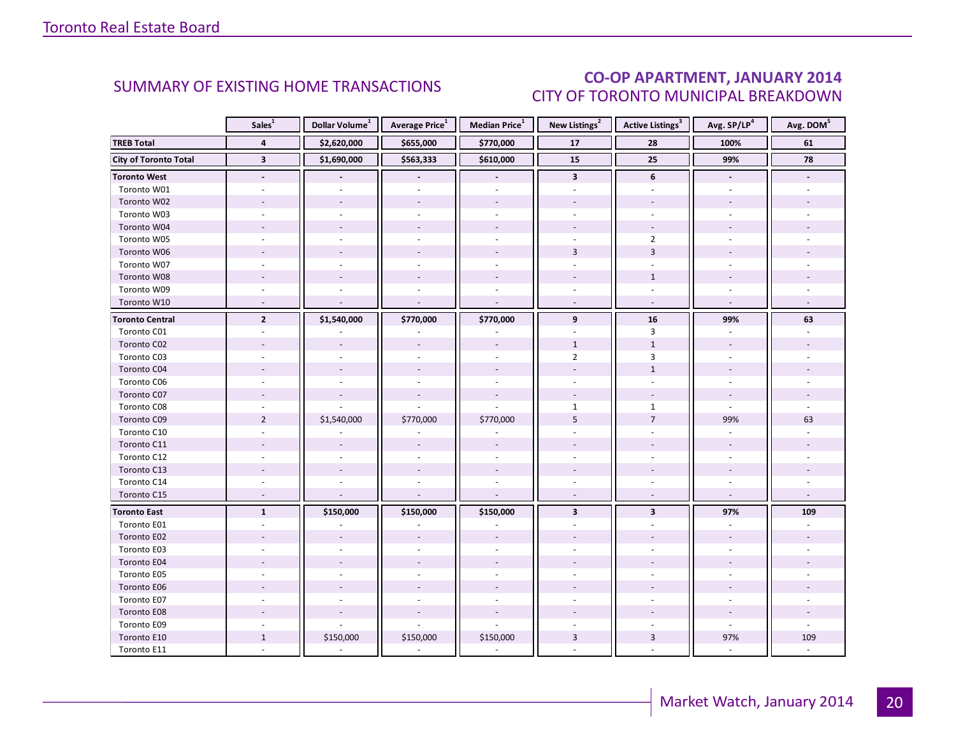### CO-OP APARTMENT, JANUARY 2014 CITY OF TORONTO MUNICIPAL BREAKDOWN

<span id="page-19-0"></span>

|                              | Sales <sup>1</sup>       | Dollar Volume <sup>1</sup> | Average Price <sup>1</sup> | Median Price <sup>1</sup> | New Listings <sup>2</sup> | Active Listings <sup>3</sup> | Avg. SP/LP <sup>4</sup> | Avg. DOM <sup>5</sup> |
|------------------------------|--------------------------|----------------------------|----------------------------|---------------------------|---------------------------|------------------------------|-------------------------|-----------------------|
| <b>TREB Total</b>            | $\overline{\mathbf{4}}$  | \$2,620,000                | \$655,000                  | \$770,000                 | ${\bf 17}$                | 28                           | 100%                    | 61                    |
| <b>City of Toronto Total</b> | $\overline{\mathbf{3}}$  | \$1,690,000                | \$563,333                  | \$610,000                 | 15                        | 25                           | 99%                     | 78                    |
| <b>Toronto West</b>          | $\blacksquare$           |                            |                            | $\overline{\phantom{a}}$  | $\mathbf{3}$              | 6                            | $\blacksquare$          |                       |
| Toronto W01                  |                          |                            |                            |                           |                           |                              |                         |                       |
| Toronto W02                  |                          |                            |                            |                           |                           |                              |                         |                       |
| Toronto W03                  |                          |                            |                            |                           |                           |                              |                         |                       |
| Toronto W04                  |                          |                            |                            |                           |                           |                              |                         |                       |
| Toronto W05                  |                          |                            |                            |                           |                           | $\overline{2}$               |                         |                       |
| Toronto W06                  |                          |                            |                            |                           | $\overline{3}$            | $\overline{3}$               |                         |                       |
| Toronto W07                  |                          |                            |                            | $\sim$                    |                           | $\overline{a}$               |                         |                       |
| Toronto W08                  |                          |                            |                            |                           |                           | $\mathbf{1}$                 |                         |                       |
| Toronto W09                  |                          |                            |                            |                           |                           |                              |                         |                       |
| Toronto W10                  | $\sim$                   | $\sim$                     | $\overline{\phantom{a}}$   | ÷,                        | $\sim$                    | $\overline{\phantom{a}}$     | $\sim$                  |                       |
| <b>Toronto Central</b>       | $\overline{2}$           | \$1,540,000                | \$770,000                  | \$770,000                 | 9                         | 16                           | 99%                     | 63                    |
| Toronto C01                  |                          |                            |                            |                           |                           | $\overline{3}$               |                         |                       |
| Toronto C02                  |                          |                            |                            |                           | $\mathbf{1}$              | $\mathbf{1}$                 |                         |                       |
| Toronto C03                  |                          |                            |                            |                           | $\overline{2}$            | 3                            |                         |                       |
| Toronto C04                  |                          |                            |                            |                           |                           | $\mathbf{1}$                 |                         |                       |
| Toronto C06                  |                          |                            |                            |                           |                           |                              |                         |                       |
| Toronto C07                  |                          |                            |                            |                           |                           |                              |                         |                       |
| Toronto C08                  |                          |                            |                            |                           | $\mathbf{1}$              | $\mathbf{1}$                 |                         |                       |
| Toronto C09                  | $\overline{2}$           | \$1,540,000                | \$770,000                  | \$770,000                 | 5                         | $\overline{7}$               | 99%                     | 63                    |
| Toronto C10                  |                          |                            |                            |                           |                           |                              |                         |                       |
| Toronto C11                  |                          |                            |                            |                           |                           |                              |                         |                       |
| Toronto C12                  |                          |                            |                            |                           |                           |                              |                         |                       |
| Toronto C13                  |                          |                            |                            |                           |                           |                              |                         |                       |
| Toronto C14                  |                          |                            |                            |                           |                           |                              |                         |                       |
| Toronto C15                  | $\overline{\phantom{a}}$ | $\overline{a}$             |                            | $\overline{a}$            | $\overline{a}$            |                              |                         |                       |
| <b>Toronto East</b>          | $\mathbf{1}$             | \$150,000                  | \$150,000                  | \$150,000                 | $\overline{\mathbf{3}}$   | $\overline{\mathbf{3}}$      | 97%                     | 109                   |
| Toronto E01                  |                          |                            |                            |                           |                           |                              |                         |                       |
| Toronto E02                  |                          |                            |                            |                           |                           |                              |                         |                       |
| Toronto E03                  |                          |                            |                            |                           |                           |                              |                         |                       |
| Toronto E04                  |                          | $\sim$                     |                            | $\overline{a}$            |                           |                              |                         |                       |
| Toronto E05                  | $\sim$                   | ÷.                         |                            | ÷,                        |                           |                              |                         |                       |
| Toronto E06                  |                          |                            |                            |                           |                           |                              |                         |                       |
| Toronto E07                  |                          |                            |                            |                           |                           |                              |                         |                       |
| Toronto E08                  |                          |                            |                            |                           |                           |                              |                         |                       |
| Toronto E09                  | $\sim$                   |                            |                            | $\overline{a}$            |                           |                              | ÷.                      |                       |
| Toronto E10                  | $\mathbf{1}$             | \$150,000                  | \$150,000                  | \$150,000                 | 3                         | $\overline{3}$               | 97%                     | 109                   |
| Toronto E11                  |                          |                            |                            |                           |                           |                              |                         |                       |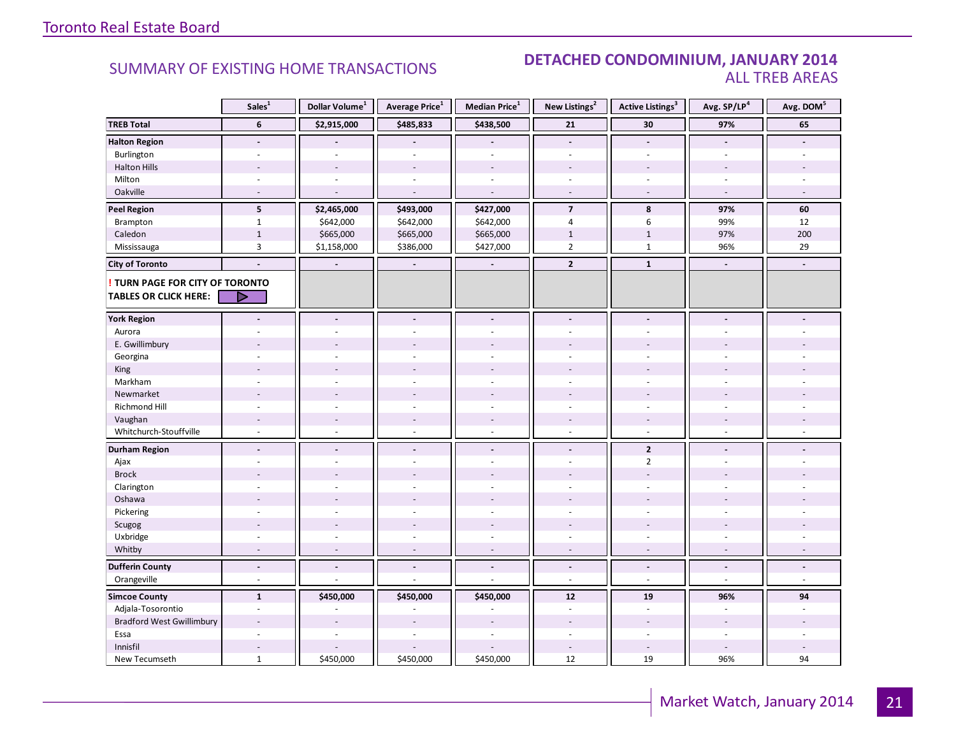#### **Industrial Leasing SUMMARY OF EXISTING HOME TRANSACTIONS DETACHED CONDOMINIUM, JANUARY 2014** ALL TREB AREAS

|                                  | Sales <sup>1</sup>       | Dollar Volume <sup>1</sup> | Average Price <sup>1</sup> | Median Price $^1$        | New Listings <sup>2</sup> | <b>Active Listings<sup>3</sup></b> | Avg. SP/LP <sup>4</sup>  | Avg. DOM <sup>5</sup>    |
|----------------------------------|--------------------------|----------------------------|----------------------------|--------------------------|---------------------------|------------------------------------|--------------------------|--------------------------|
| <b>TREB Total</b>                | 6                        | \$2,915,000                | \$485,833                  | \$438,500                | 21                        | 30                                 | 97%                      | 65                       |
| <b>Halton Region</b>             | $\blacksquare$           |                            |                            |                          | $\overline{\phantom{a}}$  | $\blacksquare$                     |                          |                          |
| Burlington                       |                          |                            |                            |                          |                           |                                    |                          |                          |
| <b>Halton Hills</b>              |                          |                            |                            |                          |                           |                                    |                          |                          |
| Milton                           |                          |                            |                            | $\sim$                   | $\sim$                    | $\sim$                             | $\overline{\phantom{a}}$ |                          |
| Oakville                         | $\sim$                   | $\sim$                     | ÷.                         | $\sim$                   | $\overline{\phantom{a}}$  | $\sim$                             | $\sim$                   | $\sim$                   |
| <b>Peel Region</b>               | 5                        | \$2,465,000                | \$493,000                  | \$427,000                | $\overline{7}$            | 8                                  | 97%                      | 60                       |
| Brampton                         | $\mathbf{1}$             | \$642,000                  | \$642,000                  | \$642,000                | $\overline{4}$            | 6                                  | 99%                      | 12                       |
| Caledon                          | $\mathbf 1$              | \$665,000                  | \$665,000                  | \$665,000                | $\mathbf{1}$              | $1\,$                              | 97%                      | 200                      |
| Mississauga                      | $\overline{3}$           | \$1,158,000                | \$386,000                  | \$427,000                | $\overline{2}$            | $\mathbf{1}$                       | 96%                      | 29                       |
| <b>City of Toronto</b>           | $\blacksquare$           | $\overline{\phantom{a}}$   | $\overline{\phantom{a}}$   | $\overline{\phantom{a}}$ | $\overline{2}$            | $\mathbf{1}$                       | $\blacksquare$           | $\blacksquare$           |
| TURN PAGE FOR CITY OF TORONTO    |                          |                            |                            |                          |                           |                                    |                          |                          |
| <b>TABLES OR CLICK HERE:</b>     |                          |                            |                            |                          |                           |                                    |                          |                          |
|                                  |                          |                            |                            |                          |                           |                                    |                          |                          |
| <b>York Region</b>               | $\overline{a}$           |                            | $\overline{a}$             | $\blacksquare$           | $\blacksquare$            | $\blacksquare$                     |                          |                          |
| Aurora                           |                          |                            |                            |                          |                           |                                    |                          |                          |
| E. Gwillimbury                   |                          |                            |                            |                          |                           |                                    |                          |                          |
| Georgina                         |                          |                            |                            |                          |                           |                                    |                          |                          |
| King                             |                          |                            |                            |                          |                           |                                    |                          |                          |
| Markham                          | $\bar{a}$                |                            | L.                         | ÷.                       | L.                        |                                    |                          |                          |
| Newmarket                        |                          |                            |                            |                          |                           |                                    |                          |                          |
| <b>Richmond Hill</b>             |                          |                            |                            |                          |                           |                                    |                          |                          |
| Vaughan                          |                          |                            | ÷,                         |                          | $\overline{a}$            |                                    |                          |                          |
| Whitchurch-Stouffville           | $\sim$                   | $\sim$                     | $\overline{a}$             | $\sim$                   | $\sim$                    | $\sim$                             | $\overline{a}$           |                          |
| <b>Durham Region</b>             | $\overline{\phantom{a}}$ | $\overline{\phantom{a}}$   | $\overline{a}$             | $\overline{\phantom{a}}$ | $\overline{\phantom{a}}$  | $\overline{2}$                     | $\overline{\phantom{a}}$ |                          |
| Ajax                             |                          |                            |                            | $\overline{a}$           | L.                        | $\overline{2}$                     |                          |                          |
| <b>Brock</b>                     |                          |                            |                            |                          |                           |                                    |                          |                          |
| Clarington                       | $\overline{a}$           |                            |                            |                          |                           |                                    |                          |                          |
| Oshawa                           |                          |                            |                            |                          |                           |                                    |                          |                          |
| Pickering                        |                          |                            |                            |                          |                           |                                    |                          |                          |
| Scugog                           |                          |                            |                            |                          |                           |                                    |                          |                          |
| Uxbridge                         | ÷,                       |                            | ä,                         | $\overline{\phantom{a}}$ | ÷,                        | $\sim$                             | $\overline{\phantom{a}}$ |                          |
| Whitby                           | $\sim$                   | $\overline{\phantom{a}}$   | ٠                          | $\overline{\phantom{a}}$ | $\sim$                    | $\sim$                             | $\overline{\phantom{a}}$ | $\overline{\phantom{a}}$ |
| <b>Dufferin County</b>           | $\blacksquare$           | $\blacksquare$             | $\frac{1}{2}$              | $\blacksquare$           | $\blacksquare$            | $\blacksquare$                     | $\blacksquare$           | $\overline{\phantom{a}}$ |
| Orangeville                      | $\overline{\phantom{a}}$ | $\sim$                     | L,                         | $\sim$                   | $\sim$                    | $\sim$                             | $\sim$                   | $\omega$                 |
| <b>Simcoe County</b>             | $\mathbf{1}$             | \$450,000                  | \$450,000                  | \$450,000                | 12                        | 19                                 | 96%                      | 94                       |
| Adjala-Tosorontio                | $\sim$                   |                            |                            |                          | $\sim$                    | $\sim$                             | $\overline{a}$           | $\overline{a}$           |
| <b>Bradford West Gwillimbury</b> | $\overline{a}$           |                            |                            |                          |                           |                                    |                          |                          |
| Essa                             |                          |                            |                            |                          |                           |                                    |                          |                          |
| Innisfil                         | $\sim$                   |                            |                            |                          | $\overline{a}$            |                                    |                          |                          |
| New Tecumseth                    | $\mathbf 1$              | \$450,000                  | \$450,000                  | \$450,000                | 12                        | 19                                 | 96%                      | 94                       |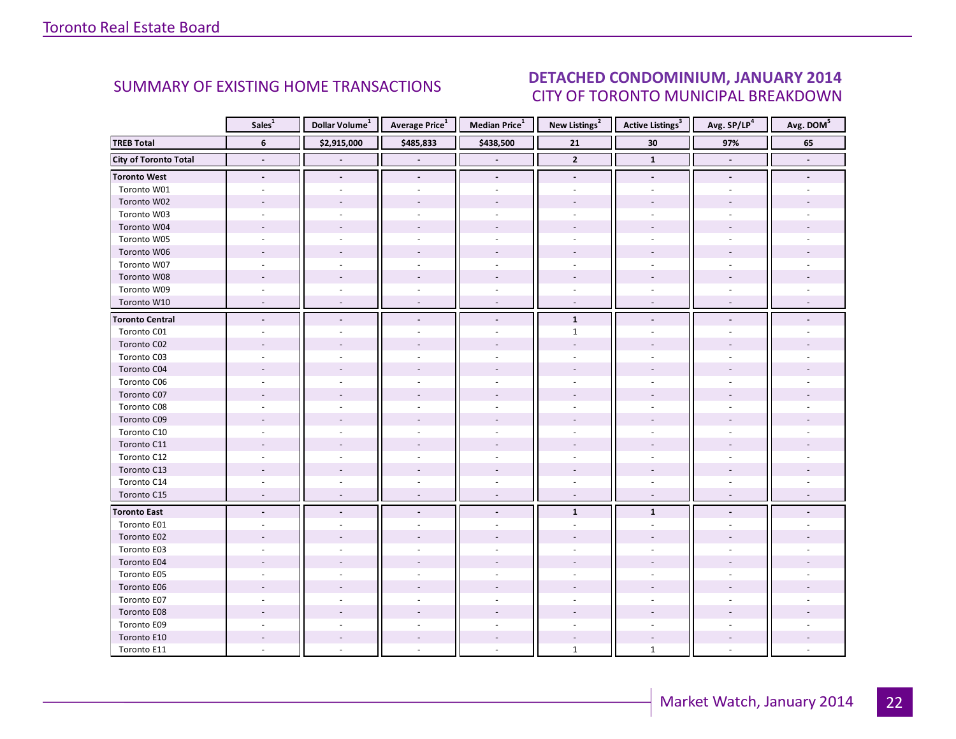#### IANIJARY 2014 CITY OF TORONTO MUNICIPAL BREAKDOWN SUMMARY OF EXISTING HOME TRANSACTIONS **DETACHED CONDOMINIUM, JANUARY 2014**

<span id="page-21-0"></span>

|                        | Sales <sup>1</sup>       | Dollar Volume <sup>1</sup> | Average Price <sup>1</sup> | Median Price <sup>1</sup> | New Listings <sup>2</sup> | <b>Active Listings</b> <sup>3</sup> | Avg. SP/LP <sup>4</sup> | Avg. DOM <sup>5</sup> |
|------------------------|--------------------------|----------------------------|----------------------------|---------------------------|---------------------------|-------------------------------------|-------------------------|-----------------------|
| <b>TREB Total</b>      | 6                        | \$2,915,000                | \$485,833                  | \$438,500                 | 21                        | 30                                  | 97%                     | 65                    |
| City of Toronto Total  |                          |                            |                            |                           | $\overline{2}$            | $\mathbf{1}$                        |                         |                       |
| <b>Toronto West</b>    | $\blacksquare$           |                            | $\blacksquare$             | $\blacksquare$            |                           | $\blacksquare$                      | $\blacksquare$          |                       |
| Toronto W01            |                          |                            |                            |                           |                           |                                     |                         |                       |
| Toronto W02            |                          |                            |                            |                           |                           |                                     |                         |                       |
| Toronto W03            |                          |                            |                            | $\sim$                    | ä,                        |                                     |                         |                       |
| Toronto W04            |                          |                            |                            |                           |                           |                                     |                         |                       |
| Toronto W05            |                          |                            |                            |                           |                           |                                     |                         |                       |
| Toronto W06            |                          |                            |                            |                           |                           |                                     |                         |                       |
| Toronto W07            |                          | $\overline{a}$             |                            | ä,                        | $\sim$                    | ÷                                   |                         |                       |
| Toronto W08            |                          |                            |                            |                           |                           |                                     |                         |                       |
| Toronto W09            |                          |                            |                            |                           | $\bar{a}$                 |                                     |                         |                       |
| Toronto W10            |                          | $\overline{\phantom{a}}$   |                            | ÷,                        | $\overline{\phantom{a}}$  | $\overline{\phantom{a}}$            | $\overline{a}$          |                       |
| <b>Toronto Central</b> |                          | $\overline{a}$             | $\overline{a}$             | $\overline{a}$            | ${\bf 1}$                 | $\overline{a}$                      |                         |                       |
| Toronto C01            |                          |                            |                            |                           | $\mathbf{1}$              |                                     |                         |                       |
| Toronto C02            |                          |                            |                            |                           |                           |                                     |                         |                       |
| Toronto C03            |                          |                            |                            | ÷,                        |                           |                                     |                         |                       |
| Toronto C04            |                          |                            |                            |                           |                           |                                     |                         |                       |
| Toronto C06            |                          |                            |                            |                           |                           |                                     |                         |                       |
| Toronto C07            |                          |                            |                            |                           |                           |                                     |                         |                       |
| Toronto C08            |                          |                            |                            |                           |                           |                                     |                         |                       |
| Toronto C09            |                          |                            |                            |                           |                           |                                     |                         |                       |
| Toronto C10            |                          |                            |                            |                           |                           |                                     |                         |                       |
| Toronto C11            |                          |                            |                            |                           |                           |                                     |                         |                       |
| Toronto C12            |                          |                            |                            |                           |                           |                                     |                         |                       |
| Toronto C13            |                          |                            |                            |                           |                           |                                     |                         |                       |
| Toronto C14            |                          |                            |                            |                           |                           |                                     |                         |                       |
| Toronto C15            | $\sim$                   | $\sim$                     | $\overline{\phantom{a}}$   | $\overline{\phantom{a}}$  | $\overline{\phantom{a}}$  | $\overline{\phantom{a}}$            | $\sim$                  |                       |
| <b>Toronto East</b>    | $\overline{\phantom{a}}$ | $\blacksquare$             |                            | $\blacksquare$            | $\mathbf{1}$              | $\mathbf{1}$                        |                         |                       |
| Toronto E01            |                          |                            |                            |                           |                           |                                     |                         |                       |
| Toronto E02            |                          |                            |                            |                           |                           |                                     |                         |                       |
| Toronto E03            |                          |                            |                            |                           |                           |                                     |                         |                       |
| Toronto E04            |                          |                            |                            |                           |                           |                                     |                         |                       |
| Toronto E05            |                          |                            |                            |                           |                           |                                     |                         |                       |
| Toronto E06            |                          |                            |                            |                           |                           |                                     |                         |                       |
| Toronto E07            |                          |                            |                            |                           |                           |                                     |                         |                       |
| Toronto E08            |                          |                            |                            |                           |                           |                                     |                         |                       |
| Toronto E09            |                          |                            |                            |                           |                           |                                     |                         |                       |
| Toronto E10            |                          | $\sim$                     |                            | $\overline{a}$            |                           |                                     |                         |                       |
| Toronto E11            |                          |                            |                            |                           | $\mathbf{1}$              | $\mathbf{1}$                        |                         |                       |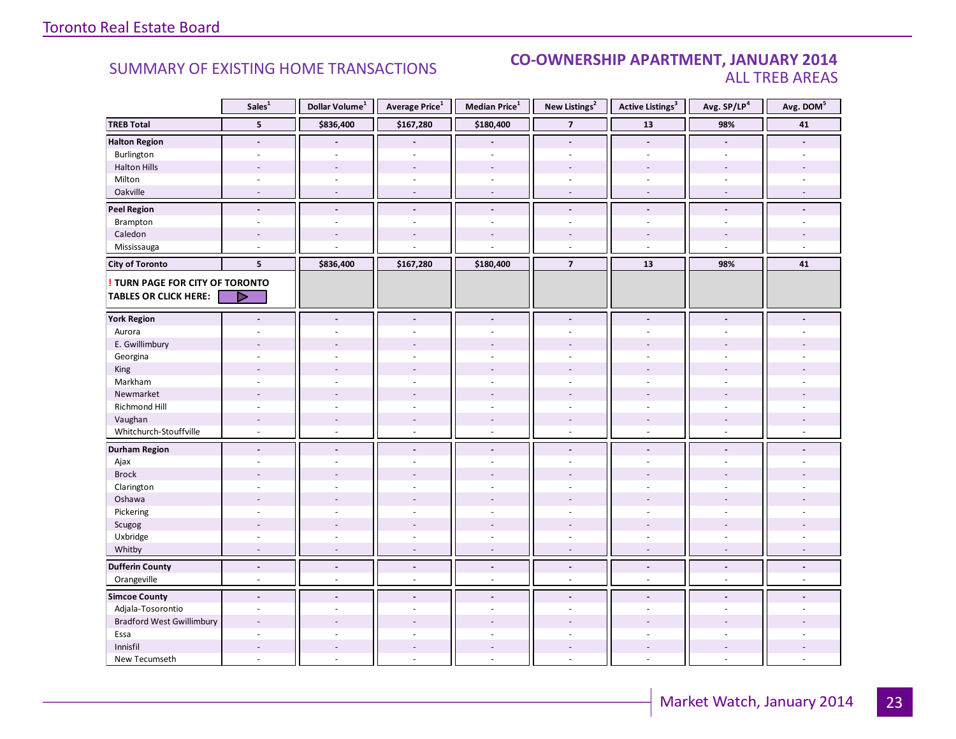#### **Industrial Leasing CO-OWNERSHIP APARTMENT, JANUARY 2014**<br>ALL TREB AREAS ALL TREB AREAS

|                                                               | Sales <sup>1</sup>       | Dollar Volume <sup>1</sup> | <b>Average Price</b> <sup>1</sup> | Median Price <sup>1</sup> | New Listings <sup>2</sup> | <b>Active Listings<sup>3</sup></b> | Avg. SP/LP <sup>4</sup>  | Avg. DOM <sup>5</sup> |
|---------------------------------------------------------------|--------------------------|----------------------------|-----------------------------------|---------------------------|---------------------------|------------------------------------|--------------------------|-----------------------|
| <b>TREB Total</b>                                             | $5\phantom{.0}$          | \$836,400                  | \$167,280                         | \$180,400                 | $\overline{\mathbf{z}}$   | $13\,$                             | 98%                      | $\bf{41}$             |
| <b>Halton Region</b>                                          | $\blacksquare$           |                            |                                   | $\overline{a}$            | $\overline{a}$            | $\overline{a}$                     | $\blacksquare$           |                       |
| Burlington                                                    | ÷                        |                            | ÷.                                | ÷.                        | ÷                         | ÷.                                 | $\sim$                   |                       |
| <b>Halton Hills</b>                                           | $\overline{a}$           |                            | $\overline{a}$                    | $\overline{a}$            |                           | $\overline{\phantom{a}}$           |                          |                       |
| Milton                                                        | ÷,                       | $\sim$                     | ÷,                                | $\bar{a}$                 | ä,                        | ÷,                                 |                          |                       |
| Oakville                                                      | $\sim$                   | $\sim$                     | $\overline{\phantom{a}}$          | $\sim$                    | $\overline{\phantom{a}}$  | $\sim$                             | $\sim$                   |                       |
| <b>Peel Region</b>                                            | $\overline{a}$           | $\blacksquare$             | $\blacksquare$                    | $\blacksquare$            | $\blacksquare$            | $\blacksquare$                     | $\blacksquare$           |                       |
| Brampton                                                      | $\sim$                   | ÷.                         | ÷,                                | $\sim$                    | $\overline{\phantom{a}}$  | $\sim$                             | ÷.                       |                       |
| Caledon                                                       | $\overline{\phantom{a}}$ |                            | $\overline{a}$                    | $\overline{a}$            |                           | $\overline{a}$                     |                          |                       |
| Mississauga                                                   | L.                       |                            |                                   | ä,                        | $\overline{a}$            | $\sim$                             |                          |                       |
| <b>City of Toronto</b>                                        | $5\phantom{a}$           | \$836,400                  | \$167,280                         | \$180,400                 | $\overline{7}$            | 13                                 | 98%                      | 41                    |
| TURN PAGE FOR CITY OF TORONTO<br><b>TABLES OR CLICK HERE:</b> | D                        |                            |                                   |                           |                           |                                    |                          |                       |
| <b>York Region</b>                                            | $\overline{a}$           | $\blacksquare$             | $\blacksquare$                    | $\overline{a}$            | $\overline{a}$            | $\overline{a}$                     |                          |                       |
| Aurora                                                        |                          |                            |                                   | ÷                         |                           | $\overline{\phantom{a}}$           |                          |                       |
| E. Gwillimbury                                                |                          |                            |                                   |                           |                           |                                    |                          |                       |
| Georgina                                                      |                          |                            |                                   | $\ddot{\phantom{1}}$      |                           |                                    |                          |                       |
| King                                                          |                          |                            | $\overline{a}$                    | $\overline{a}$            |                           |                                    |                          |                       |
| Markham                                                       | $\bar{a}$                |                            | ÷,                                | $\bar{a}$                 | ä,                        | ÷,                                 |                          |                       |
| Newmarket                                                     | $\overline{\phantom{a}}$ |                            |                                   |                           |                           |                                    |                          |                       |
| <b>Richmond Hill</b>                                          |                          |                            |                                   |                           |                           |                                    |                          |                       |
| Vaughan                                                       |                          |                            | $\frac{1}{2}$                     | $\frac{1}{2}$             |                           |                                    |                          |                       |
| Whitchurch-Stouffville                                        | $\omega$                 | $\sim$                     | $\overline{a}$                    | $\sim$                    | $\sim$                    | $\sim$                             | $\sim$                   |                       |
| <b>Durham Region</b>                                          | $\blacksquare$           | $\blacksquare$             | $\blacksquare$                    | $\overline{\phantom{a}}$  | $\blacksquare$            | $\blacksquare$                     | $\overline{\phantom{a}}$ |                       |
| Ajax                                                          | ÷                        | ÷.                         | ÷                                 | $\omega$                  | ÷.                        | ÷.                                 | $\sim$                   |                       |
| <b>Brock</b>                                                  |                          |                            |                                   |                           |                           |                                    |                          |                       |
| Clarington                                                    | ÷,                       |                            |                                   | $\overline{a}$            |                           |                                    |                          |                       |
| Oshawa                                                        |                          |                            |                                   |                           |                           |                                    |                          |                       |
| Pickering                                                     | ÷,                       |                            |                                   | ä,                        | $\overline{\phantom{a}}$  | $\overline{\phantom{a}}$           |                          |                       |
| Scugog                                                        |                          |                            |                                   |                           |                           |                                    |                          |                       |
| Uxbridge                                                      | $\overline{\phantom{a}}$ | $\sim$                     | $\overline{\phantom{a}}$          | $\bar{a}$                 | ÷.                        | $\sim$                             | $\sim$                   |                       |
| Whitby                                                        | $\overline{a}$           |                            | ÷,                                | $\overline{\phantom{a}}$  | $\overline{\phantom{a}}$  | $\overline{\phantom{a}}$           |                          |                       |
| <b>Dufferin County</b>                                        | $\blacksquare$           | $\blacksquare$             | $\blacksquare$                    | $\blacksquare$            | $\blacksquare$            | $\blacksquare$                     | $\blacksquare$           | $\blacksquare$        |
| Orangeville                                                   | $\overline{\phantom{a}}$ | $\sim$                     | $\omega$                          | $\sim$                    | $\sim$                    | $\omega$                           | $\sim$                   | $\omega$              |
| <b>Simcoe County</b>                                          | $\blacksquare$           | $\sim$                     | $\overline{\phantom{a}}$          | $\overline{\phantom{a}}$  | $\blacksquare$            | $\overline{a}$                     |                          |                       |
| Adjala-Tosorontio                                             | $\sim$                   |                            | ÷.                                | ÷.                        | ÷                         | ÷.                                 |                          |                       |
| <b>Bradford West Gwillimbury</b>                              |                          |                            |                                   |                           |                           |                                    |                          |                       |
| Essa                                                          | ÷                        |                            |                                   | $\overline{a}$            | ÷                         | ÷.                                 |                          |                       |
| Innisfil                                                      | $\overline{a}$           |                            | $\sim$                            | $\overline{\phantom{a}}$  | $\overline{a}$            | $\overline{a}$                     |                          |                       |
| New Tecumseth                                                 | L.                       |                            |                                   | $\overline{a}$            |                           | $\overline{\phantom{a}}$           |                          |                       |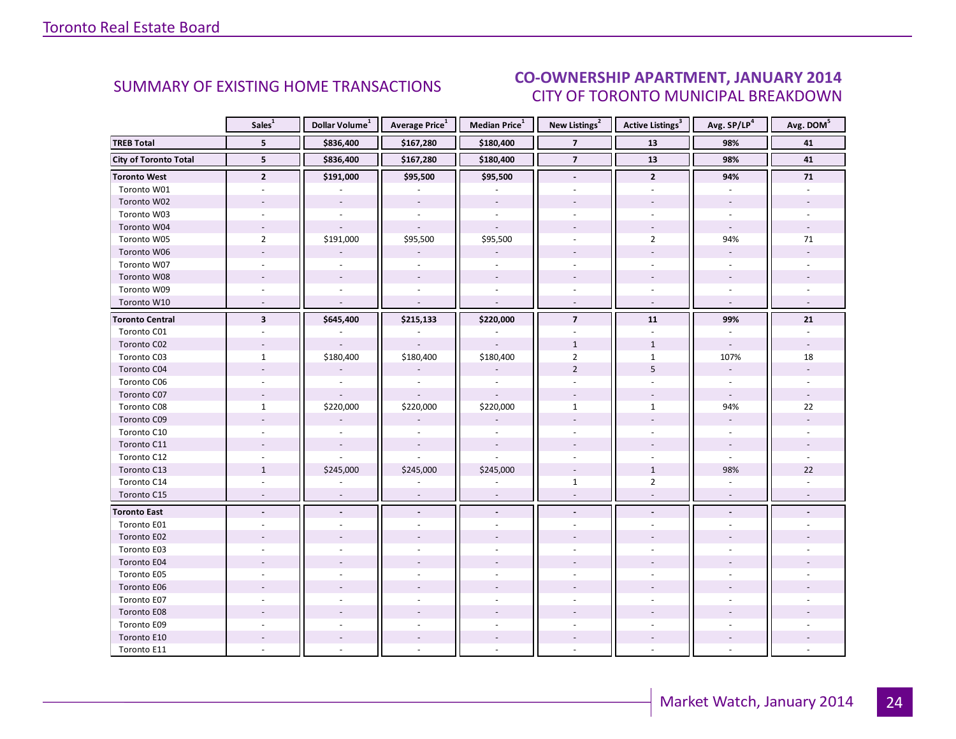#### IANIIARY 2014 CITY OF TORONTO MUNICIPAL BREAKDOWN **CO-OWNERSHIP APARTMENT, JANUARY 2014**<br>CITY OF TOPONTO MUNICIPAL PREAKDOMAL

<span id="page-23-0"></span>

|                              | Sales <sup>1</sup>       | Dollar Volume <sup>1</sup> | Average Price <sup>1</sup> | Median Price <sup>1</sup> | New Listings <sup>2</sup> | Active Listings <sup>3</sup> | Avg. SP/LP <sup>4</sup>  | Avg. DOM <sup>5</sup> |
|------------------------------|--------------------------|----------------------------|----------------------------|---------------------------|---------------------------|------------------------------|--------------------------|-----------------------|
| <b>TREB Total</b>            | 5                        | \$836,400                  | \$167,280                  | \$180,400                 | $\overline{7}$            | 13                           | 98%                      | 41                    |
| <b>City of Toronto Total</b> | 5                        | \$836,400                  | \$167,280                  | \$180,400                 | $\overline{7}$            | 13                           | 98%                      | 41                    |
| <b>Toronto West</b>          | $\overline{2}$           | \$191,000                  | \$95,500                   | \$95,500                  | $\overline{\phantom{a}}$  | $\overline{2}$               | 94%                      | ${\bf 71}$            |
| Toronto W01                  |                          |                            |                            |                           |                           |                              |                          |                       |
| Toronto W02                  |                          | $\mathcal{L}$              | $\mathbf{r}$               | $\mathbb{Z}^2$            |                           |                              | $\mathbf{r}$             |                       |
| Toronto W03                  | $\sim$                   | $\sim$                     | $\sim$                     | $\omega$                  | $\mathbf{r}$              | $\omega$                     | $\omega$                 |                       |
| Toronto W04                  |                          |                            |                            | $\omega$                  |                           | $\overline{\phantom{a}}$     | $\omega$                 |                       |
| Toronto W05                  | $\overline{2}$           | \$191,000                  | \$95,500                   | \$95,500                  |                           | $\overline{2}$               | 94%                      | 71                    |
| Toronto W06                  |                          |                            |                            | $\overline{\phantom{a}}$  |                           | $\overline{a}$               | $\omega$                 |                       |
| Toronto W07                  | ÷.                       | $\sim$                     | $\sim$                     | $\overline{\phantom{a}}$  | $\sim$                    | $\blacksquare$               | $\omega$                 |                       |
| Toronto W08                  |                          |                            |                            |                           |                           |                              |                          |                       |
| Toronto W09                  |                          |                            |                            |                           | $\bar{a}$                 |                              | $\overline{\phantom{a}}$ |                       |
| Toronto W10                  | $\overline{\phantom{a}}$ | $\sim$                     | $\sim$                     | $\mathcal{L}$             | $\bar{\phantom{a}}$       | $\omega$                     | $\omega$                 |                       |
| <b>Toronto Central</b>       | $\overline{\mathbf{3}}$  | \$645,400                  | \$215,133                  | \$220,000                 | $\overline{7}$            | 11                           | 99%                      | 21                    |
| Toronto C01                  |                          |                            |                            |                           |                           |                              |                          |                       |
| Toronto C02                  |                          |                            |                            |                           | $\mathbf{1}$              | $\mathbf{1}$                 | $\overline{\phantom{a}}$ |                       |
| Toronto C03                  | $\mathbf{1}$             | \$180,400                  | \$180,400                  | \$180,400                 | $\overline{2}$            | $\mathbf{1}$                 | 107%                     | 18                    |
| Toronto C04                  |                          |                            |                            |                           | $\overline{2}$            | 5                            | $\omega$                 |                       |
| Toronto C06                  |                          |                            |                            |                           |                           |                              |                          |                       |
| Toronto C07                  | $\overline{a}$           |                            |                            |                           |                           |                              | $\omega$                 |                       |
| Toronto C08                  | $\mathbf{1}$             | \$220,000                  | \$220,000                  | \$220,000                 | $\mathbf{1}$              | $\mathbf{1}$                 | 94%                      | 22                    |
| Toronto C09                  |                          |                            |                            |                           |                           |                              |                          |                       |
| Toronto C10                  |                          |                            |                            |                           |                           |                              |                          |                       |
| Toronto C11                  |                          | $\overline{\phantom{a}}$   | $\overline{\phantom{a}}$   | $\overline{a}$            |                           |                              | $\overline{\phantom{a}}$ |                       |
| Toronto C12                  |                          |                            |                            |                           |                           |                              | ÷.                       |                       |
| Toronto C13                  | $\mathbf{1}$             | \$245,000                  | \$245,000                  | \$245,000                 | $\bar{\phantom{a}}$       | $1\,$                        | 98%                      | 22                    |
| Toronto C14                  |                          |                            |                            |                           | $\mathbf{1}$              | $\overline{2}$               |                          |                       |
| Toronto C15                  | $\overline{\phantom{a}}$ | $\overline{\phantom{a}}$   | $\overline{\phantom{a}}$   | $\bar{a}$                 | $\overline{a}$            | ÷.                           | $\overline{\phantom{a}}$ |                       |
| <b>Toronto East</b>          | $\overline{\phantom{a}}$ | $\overline{\phantom{a}}$   | $\overline{\phantom{a}}$   | $\blacksquare$            | $\overline{\phantom{a}}$  | $\frac{1}{2}$                | $\overline{\phantom{a}}$ |                       |
| Toronto E01                  |                          |                            |                            | $\overline{a}$            |                           |                              |                          |                       |
| Toronto E02                  |                          |                            |                            |                           |                           |                              |                          |                       |
| Toronto E03                  |                          |                            |                            |                           |                           |                              |                          |                       |
| Toronto E04                  |                          |                            |                            |                           |                           |                              |                          |                       |
| Toronto E05                  | ÷.                       |                            |                            | $\overline{a}$            |                           |                              |                          |                       |
| Toronto E06                  |                          |                            |                            |                           |                           |                              |                          |                       |
| Toronto E07                  |                          |                            |                            |                           |                           |                              |                          |                       |
| Toronto E08                  |                          |                            |                            |                           |                           |                              |                          |                       |
| Toronto E09                  |                          |                            |                            |                           |                           |                              |                          |                       |
| Toronto E10                  |                          |                            |                            |                           |                           |                              |                          |                       |
| Toronto E11                  |                          |                            |                            |                           |                           |                              |                          |                       |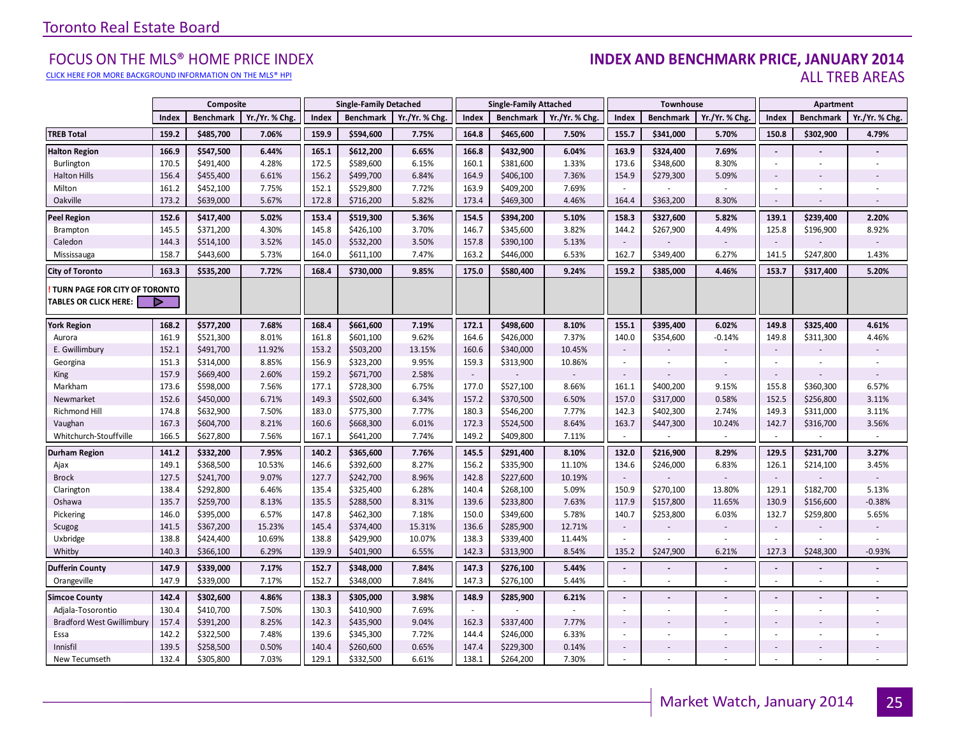#### [CLICK HERE FOR MORE BACKGROUND INFORMATION ON THE MLS® HPI](http://www.torontorealestateboard.com/market_news/home_price_index/index.htm)

#### FOCUS ON THE MLS® HOME PRICE INDEX **INDEX AND BENCHMARK PRICE, JANUARY 2014**<br>Elick here for more background information on the mls® hpi ALL TREB AREAS

|                                                        |       | Composite        |                |       | <b>Single-Family Detached</b> |                |        | <b>Single-Family Attached</b> |                |                          | Townhouse        |                              |                | Apartment        |                |
|--------------------------------------------------------|-------|------------------|----------------|-------|-------------------------------|----------------|--------|-------------------------------|----------------|--------------------------|------------------|------------------------------|----------------|------------------|----------------|
|                                                        | Index | <b>Benchmark</b> | Yr./Yr. % Chg. | Index | <b>Benchmark</b>              | Yr./Yr. % Chg. | Index  | <b>Benchmark</b>              | Yr./Yr. % Chg. | Index                    | <b>Benchmark</b> | Yr./Yr. % Chg                | Index          | <b>Benchmark</b> | Yr./Yr. % Chg. |
| <b>TREB Total</b>                                      | 159.2 | \$485,700        | 7.06%          | 159.9 | \$594,600                     | 7.75%          | 164.8  | \$465,600                     | 7.50%          | 155.7                    | \$341,000        | 5.70%                        | 150.8          | \$302,900        | 4.79%          |
| <b>Halton Region</b>                                   | 166.9 | \$547,500        | 6.44%          | 165.1 | \$612,200                     | 6.65%          | 166.8  | \$432,900                     | 6.04%          | 163.9                    | \$324,400        | 7.69%                        | $\blacksquare$ |                  |                |
| Burlington                                             | 170.5 | \$491,400        | 4.28%          | 172.5 | \$589,600                     | 6.15%          | 160.1  | \$381,600                     | 1.33%          | 173.6                    | \$348,600        | 8.30%                        | ÷              | ×.               |                |
| <b>Halton Hills</b>                                    | 156.4 | \$455,400        | 6.61%          | 156.2 | \$499,700                     | 6.84%          | 164.9  | \$406,100                     | 7.36%          | 154.9                    | \$279,300        | 5.09%                        | $\sim$         |                  |                |
| Milton                                                 | 161.2 | \$452,100        | 7.75%          | 152.1 | \$529,800                     | 7.72%          | 163.9  | \$409,200                     | 7.69%          |                          |                  |                              | $\sim$         |                  |                |
| Oakville                                               | 173.2 | \$639,000        | 5.67%          | 172.8 | \$716,200                     | 5.82%          | 173.4  | \$469,300                     | 4.46%          | 164.4                    | \$363,200        | 8.30%                        | $\sim$         | ÷.               |                |
| Peel Region                                            | 152.6 | \$417,400        | 5.02%          | 153.4 | \$519,300                     | 5.36%          | 154.5  | \$394,200                     | 5.10%          | 158.3                    | \$327,600        | 5.82%                        | 139.1          | \$239,400        | 2.20%          |
| Brampton                                               | 145.5 | \$371,200        | 4.30%          | 145.8 | \$426,100                     | 3.70%          | 146.7  | \$345,600                     | 3.82%          | 144.2                    | \$267,900        | 4.49%                        | 125.8          | \$196,900        | 8.92%          |
| Caledon                                                | 144.3 | \$514,100        | 3.52%          | 145.0 | \$532,200                     | 3.50%          | 157.8  | \$390,100                     | 5.13%          | $\sim$                   |                  |                              | $\sim$         |                  |                |
| Mississauga                                            | 158.7 | \$443,600        | 5.73%          | 164.0 | \$611,100                     | 7.47%          | 163.2  | \$446,000                     | 6.53%          | 162.7                    | \$349,400        | 6.27%                        | 141.5          | \$247,800        | 1.43%          |
| <b>City of Toronto</b>                                 | 163.3 | \$535,200        | 7.72%          | 168.4 | \$730,000                     | 9.85%          | 175.0  | \$580,400                     | 9.24%          | 159.2                    | \$385,000        | 4.46%                        | 153.7          | \$317,400        | 5.20%          |
| TURN PAGE FOR CITY OF TORONTO<br>TABLES OR CLICK HERE: | Þ     |                  |                |       |                               |                |        |                               |                |                          |                  |                              |                |                  |                |
| York Region                                            | 168.2 | \$577,200        | 7.68%          | 168.4 | \$661,600                     | 7.19%          | 172.1  | \$498,600                     | 8.10%          | 155.1                    | \$395,400        | 6.02%                        | 149.8          | \$325,400        | 4.61%          |
| Aurora                                                 | 161.9 | \$521,300        | 8.01%          | 161.8 | \$601,100                     | 9.62%          | 164.6  | \$426,000                     | 7.37%          | 140.0                    | \$354,600        | $-0.14%$                     | 149.8          | \$311,300        | 4.46%          |
| E. Gwillimbury                                         | 152.1 | \$491,700        | 11.92%         | 153.2 | \$503,200                     | 13.15%         | 160.6  | \$340,000                     | 10.45%         | $\sim$                   |                  |                              | $\sim$         |                  |                |
| Georgina                                               | 151.3 | \$314,000        | 8.85%          | 156.9 | \$323,200                     | 9.95%          | 159.3  | \$313,900                     | 10.86%         | $\sim$                   |                  | ä,                           | $\sim$         | ×.               |                |
| <b>King</b>                                            | 157.9 | \$669,400        | 2.60%          | 159.2 | \$671,700                     | 2.58%          | $\sim$ |                               |                | $\sim$                   |                  | $\qquad \qquad \blacksquare$ | $\sim$         |                  |                |
| Markham                                                | 173.6 | \$598,000        | 7.56%          | 177.1 | \$728,300                     | 6.75%          | 177.0  | \$527,100                     | 8.66%          | 161.1                    | \$400,200        | 9.15%                        | 155.8          | \$360,300        | 6.57%          |
| Newmarket                                              | 152.6 | \$450,000        | 6.71%          | 149.3 | \$502,600                     | 6.34%          | 157.2  | \$370,500                     | 6.50%          | 157.0                    | \$317,000        | 0.58%                        | 152.5          | \$256,800        | 3.11%          |
| Richmond Hill                                          | 174.8 | \$632,900        | 7.50%          | 183.0 | \$775,300                     | 7.77%          | 180.3  | \$546,200                     | 7.77%          | 142.3                    | \$402,300        | 2.74%                        | 149.3          | \$311,000        | 3.11%          |
| Vaughan                                                | 167.3 | \$604,700        | 8.21%          | 160.6 | \$668,300                     | 6.01%          | 172.3  | \$524,500                     | 8.64%          | 163.7                    | \$447,300        | 10.24%                       | 142.7          | \$316,700        | 3.56%          |
| Whitchurch-Stouffville                                 | 166.5 | \$627,800        | 7.56%          | 167.1 | \$641,200                     | 7.74%          | 149.2  | \$409,800                     | 7.11%          | ÷.                       |                  | $\mathbf{r}$                 | $\sim$         | $\sim$           | $\sim$         |
| Durham Region                                          | 141.2 | \$332,200        | 7.95%          | 140.2 | \$365,600                     | 7.76%          | 145.5  | \$291,400                     | 8.10%          | 132.0                    | \$216,900        | 8.29%                        | 129.5          | \$231,700        | 3.27%          |
| Ajax                                                   | 149.1 | \$368,500        | 10.53%         | 146.6 | \$392,600                     | 8.27%          | 156.2  | \$335,900                     | 11.10%         | 134.6                    | \$246,000        | 6.83%                        | 126.1          | \$214,100        | 3.45%          |
| <b>Brock</b>                                           | 127.5 | \$241,700        | 9.07%          | 127.7 | \$242,700                     | 8.96%          | 142.8  | \$227,600                     | 10.19%         | $\sim$                   |                  |                              | $\sim$         |                  |                |
| Clarington                                             | 138.4 | \$292,800        | 6.46%          | 135.4 | \$325,400                     | 6.28%          | 140.4  | \$268,100                     | 5.09%          | 150.9                    | \$270,100        | 13.80%                       | 129.1          | \$182,700        | 5.13%          |
| Oshawa                                                 | 135.7 | \$259,700        | 8.13%          | 135.5 | \$288,500                     | 8.31%          | 139.6  | \$233,800                     | 7.63%          | 117.9                    | \$157,800        | 11.65%                       | 130.9          | \$156,600        | $-0.38%$       |
| Pickering                                              | 146.0 | \$395,000        | 6.57%          | 147.8 | \$462,300                     | 7.18%          | 150.0  | \$349,600                     | 5.78%          | 140.7                    | \$253,800        | 6.03%                        | 132.7          | \$259,800        | 5.65%          |
| Scugog                                                 | 141.5 | \$367,200        | 15.23%         | 145.4 | \$374,400                     | 15.31%         | 136.6  | \$285,900                     | 12.71%         | $\sim$                   |                  |                              | $\sim$         |                  |                |
| Uxbridge                                               | 138.8 | \$424,400        | 10.69%         | 138.8 | \$429,900                     | 10.07%         | 138.3  | \$339,400                     | 11.44%         |                          |                  |                              |                |                  |                |
| Whitby                                                 | 140.3 | \$366,100        | 6.29%          | 139.9 | \$401,900                     | 6.55%          | 142.3  | \$313,900                     | 8.54%          | 135.2                    | \$247,900        | 6.21%                        | 127.3          | \$248,300        | $-0.93%$       |
| <b>Dufferin County</b>                                 | 147.9 | \$339,000        | 7.17%          | 152.7 | \$348,000                     | 7.84%          | 147.3  | \$276,100                     | 5.44%          | $\blacksquare$           |                  |                              | $\sim$         | $\blacksquare$   |                |
| Orangeville                                            | 147.9 | \$339,000        | 7.17%          | 152.7 | \$348,000                     | 7.84%          | 147.3  | \$276,100                     | 5.44%          | $\sim$                   | $\sim$           | ×.                           | $\sim$         | ×.               | $\sim$         |
| <b>Simcoe County</b>                                   | 142.4 | \$302,600        | 4.86%          | 138.3 | \$305,000                     | 3.98%          | 148.9  | \$285,900                     | 6.21%          | $\blacksquare$           |                  |                              | $\sim$         |                  |                |
| Adjala-Tosorontio                                      | 130.4 | \$410,700        | 7.50%          | 130.3 | \$410,900                     | 7.69%          | $\sim$ |                               |                | ÷                        |                  | ÷.                           | $\sim$         | ×.               |                |
| <b>Bradford West Gwillimbury</b>                       | 157.4 | \$391,200        | 8.25%          | 142.3 | \$435,900                     | 9.04%          | 162.3  | \$337,400                     | 7.77%          | $\sim$                   |                  |                              | $\sim$         |                  |                |
| Essa                                                   | 142.2 | \$322,500        | 7.48%          | 139.6 | \$345,300                     | 7.72%          | 144.4  | \$246,000                     | 6.33%          | ×.                       |                  |                              | ÷              |                  |                |
| Innisfil                                               | 139.5 | \$258,500        | 0.50%          | 140.4 | \$260,600                     | 0.65%          | 147.4  | \$229,300                     | 0.14%          | $\overline{\phantom{a}}$ |                  |                              | $\sim$         |                  |                |
| New Tecumseth                                          | 132.4 | \$305,800        | 7.03%          | 129.1 | \$332,500                     | 6.61%          | 138.1  | \$264,200                     | 7.30%          | $\blacksquare$           |                  | ÷,                           |                |                  |                |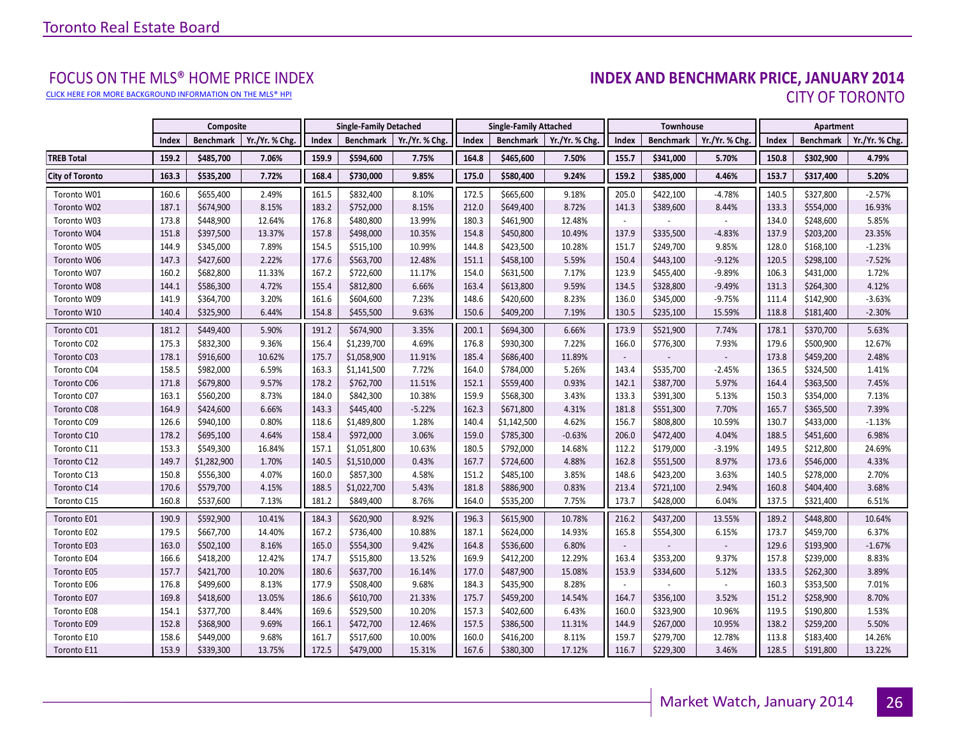[CLICK HERE FOR MORE BACKGROUND INFORMATION ON THE MLS® HPI](http://www.torontorealestateboard.com/market_news/home_price_index/index.htm)

# FOCUS ON THE MLS® HOME PRICE INDEX<br>**INDEX AND BENCHMARK PRICE, JANUARY 2014** CITY OF TORONTO

|                        |       | Composite   |                |       | <b>Single-Family Detached</b> |                |       | <b>Single-Family Attached</b> |                |                          | <b>Townhouse</b> |                |       | Apartment        |                |
|------------------------|-------|-------------|----------------|-------|-------------------------------|----------------|-------|-------------------------------|----------------|--------------------------|------------------|----------------|-------|------------------|----------------|
|                        | Index | Benchmark   | Yr./Yr. % Chg. | Index | <b>Benchmark</b>              | Yr./Yr. % Chg. | Index | <b>Benchmark</b>              | Yr./Yr. % Chg. | Index                    | Benchmark        | Yr./Yr. % Chg. | Index | <b>Benchmark</b> | Yr./Yr. % Chg. |
| <b>TREB Total</b>      | 159.2 | \$485,700   | 7.06%          | 159.9 | \$594,600                     | 7.75%          | 164.8 | \$465,600                     | 7.50%          | 155.7                    | \$341,000        | 5.70%          | 150.8 | \$302,900        | 4.79%          |
| <b>City of Toronto</b> | 163.3 | \$535,200   | 7.72%          | 168.4 | \$730,000                     | 9.85%          | 175.0 | \$580,400                     | 9.24%          | 159.2                    | \$385,000        | 4.46%          | 153.7 | \$317,400        | 5.20%          |
| Toronto W01            | 160.6 | \$655,400   | 2.49%          | 161.5 | \$832,400                     | 8.10%          | 172.5 | \$665,600                     | 9.18%          | 205.0                    | \$422,100        | $-4.78%$       | 140.5 | \$327,800        | $-2.57%$       |
| Toronto W02            | 187.1 | \$674,900   | 8.15%          | 183.2 | \$752,000                     | 8.15%          | 212.0 | \$649,400                     | 8.72%          | 141.3                    | \$389,600        | 8.44%          | 133.3 | \$554,000        | 16.93%         |
| Toronto W03            | 173.8 | \$448,900   | 12.64%         | 176.8 | \$480,800                     | 13.99%         | 180.3 | \$461,900                     | 12.48%         |                          |                  |                | 134.0 | \$248,600        | 5.85%          |
| Toronto W04            | 151.8 | \$397,500   | 13.37%         | 157.8 | \$498,000                     | 10.35%         | 154.8 | \$450,800                     | 10.49%         | 137.9                    | \$335,500        | $-4.83%$       | 137.9 | \$203,200        | 23.35%         |
| Toronto W05            | 144.9 | \$345,000   | 7.89%          | 154.5 | \$515,100                     | 10.99%         | 144.8 | \$423,500                     | 10.28%         | 151.7                    | \$249,700        | 9.85%          | 128.0 | \$168,100        | $-1.23%$       |
| Toronto W06            | 147.3 | \$427,600   | 2.22%          | 177.6 | \$563,700                     | 12.48%         | 151.1 | \$458,100                     | 5.59%          | 150.4                    | \$443,100        | $-9.12%$       | 120.5 | \$298,100        | $-7.52%$       |
| Toronto W07            | 160.2 | \$682,800   | 11.33%         | 167.2 | \$722,600                     | 11.17%         | 154.0 | \$631,500                     | 7.17%          | 123.9                    | \$455,400        | $-9.89%$       | 106.3 | \$431,000        | 1.72%          |
| Toronto W08            | 144.1 | \$586,300   | 4.72%          | 155.4 | \$812,800                     | 6.66%          | 163.4 | \$613,800                     | 9.59%          | 134.5                    | \$328,800        | $-9.49%$       | 131.3 | \$264,300        | 4.12%          |
| Toronto W09            | 141.9 | \$364,700   | 3.20%          | 161.6 | \$604,600                     | 7.23%          | 148.6 | \$420,600                     | 8.23%          | 136.0                    | \$345,000        | $-9.75%$       | 111.4 | \$142,900        | $-3.63%$       |
| Toronto W10            | 140.4 | \$325,900   | 6.44%          | 154.8 | \$455,500                     | 9.63%          | 150.6 | \$409,200                     | 7.19%          | 130.5                    | \$235,100        | 15.59%         | 118.8 | \$181,400        | $-2.30%$       |
| Toronto C01            | 181.2 | \$449,400   | 5.90%          | 191.2 | \$674,900                     | 3.35%          | 200.1 | \$694,300                     | 6.66%          | 173.9                    | \$521,900        | 7.74%          | 178.1 | \$370,700        | 5.63%          |
| Toronto C02            | 175.3 | \$832,300   | 9.36%          | 156.4 | \$1,239,700                   | 4.69%          | 176.8 | \$930,300                     | 7.22%          | 166.0                    | \$776,300        | 7.93%          | 179.6 | \$500,900        | 12.67%         |
| Toronto C03            | 178.1 | \$916,600   | 10.62%         | 175.7 | \$1,058,900                   | 11.91%         | 185.4 | \$686,400                     | 11.89%         |                          |                  |                | 173.8 | \$459,200        | 2.48%          |
| Toronto C04            | 158.5 | \$982,000   | 6.59%          | 163.3 | \$1,141,500                   | 7.72%          | 164.0 | \$784,000                     | 5.26%          | 143.4                    | \$535,700        | $-2.45%$       | 136.5 | \$324,500        | 1.41%          |
| Toronto C06            | 171.8 | \$679,800   | 9.57%          | 178.2 | \$762,700                     | 11.51%         | 152.1 | \$559,400                     | 0.93%          | 142.1                    | \$387,700        | 5.97%          | 164.4 | \$363,500        | 7.45%          |
| Toronto C07            | 163.1 | \$560,200   | 8.73%          | 184.0 | \$842,300                     | 10.38%         | 159.9 | \$568,300                     | 3.43%          | 133.3                    | \$391,300        | 5.13%          | 150.3 | \$354,000        | 7.13%          |
| Toronto C08            | 164.9 | \$424,600   | 6.66%          | 143.3 | \$445,400                     | $-5.22%$       | 162.3 | \$671,800                     | 4.31%          | 181.8                    | \$551,300        | 7.70%          | 165.7 | \$365,500        | 7.39%          |
| Toronto C09            | 126.6 | \$940,100   | 0.80%          | 118.6 | \$1,489,800                   | 1.28%          | 140.4 | \$1,142,500                   | 4.62%          | 156.7                    | \$808,800        | 10.59%         | 130.7 | \$433,000        | $-1.13%$       |
| Toronto C10            | 178.2 | \$695,100   | 4.64%          | 158.4 | \$972,000                     | 3.06%          | 159.0 | \$785,300                     | $-0.63%$       | 206.0                    | \$472,400        | 4.04%          | 188.5 | \$451,600        | 6.98%          |
| Toronto C11            | 153.3 | \$549,300   | 16.84%         | 157.1 | \$1,051,800                   | 10.63%         | 180.5 | \$792,000                     | 14.68%         | 112.2                    | \$179,000        | $-3.19%$       | 149.5 | \$212,800        | 24.69%         |
| Toronto C12            | 149.7 | \$1,282,900 | 1.70%          | 140.5 | \$1,510,000                   | 0.43%          | 167.7 | \$724,600                     | 4.88%          | 162.8                    | \$551,500        | 8.97%          | 173.6 | \$546,000        | 4.33%          |
| Toronto C13            | 150.8 | \$556,300   | 4.07%          | 160.0 | \$857,300                     | 4.58%          | 151.2 | \$485,100                     | 3.85%          | 148.6                    | \$423,200        | 3.63%          | 140.5 | \$278,000        | 2.70%          |
| Toronto C14            | 170.6 | \$579,700   | 4.15%          | 188.5 | \$1,022,700                   | 5.43%          | 181.8 | \$886,900                     | 0.83%          | 213.4                    | \$721,100        | 2.94%          | 160.8 | \$404,400        | 3.68%          |
| Toronto C15            | 160.8 | \$537,600   | 7.13%          | 181.2 | \$849,400                     | 8.76%          | 164.0 | \$535,200                     | 7.75%          | 173.7                    | \$428,000        | 6.04%          | 137.5 | \$321,400        | 6.51%          |
| Toronto E01            | 190.9 | \$592,900   | 10.41%         | 184.3 | \$620,900                     | 8.92%          | 196.3 | \$615,900                     | 10.78%         | 216.2                    | \$437,200        | 13.55%         | 189.2 | \$448,800        | 10.64%         |
| Toronto E02            | 179.5 | \$667,700   | 14.40%         | 167.2 | \$736,400                     | 10.88%         | 187.1 | \$624,000                     | 14.93%         | 165.8                    | \$554,300        | 6.15%          | 173.7 | \$459,700        | 6.37%          |
| Toronto E03            | 163.0 | \$502,100   | 8.16%          | 165.0 | \$554,300                     | 9.42%          | 164.8 | \$536,600                     | 6.80%          | $\overline{\phantom{a}}$ |                  |                | 129.6 | \$193,900        | $-1.67%$       |
| Toronto E04            | 166.6 | \$418,200   | 12.42%         | 174.7 | \$515,800                     | 13.52%         | 169.9 | \$412,200                     | 12.29%         | 163.4                    | \$353,200        | 9.37%          | 157.8 | \$239,000        | 8.83%          |
| Toronto E05            | 157.7 | \$421,700   | 10.20%         | 180.6 | \$637,700                     | 16.14%         | 177.0 | \$487,900                     | 15.08%         | 153.9                    | \$334,600        | 5.12%          | 133.5 | \$262,300        | 3.89%          |
| Toronto E06            | 176.8 | \$499,600   | 8.13%          | 177.9 | \$508,400                     | 9.68%          | 184.3 | \$435,900                     | 8.28%          |                          |                  |                | 160.3 | \$353,500        | 7.01%          |
| Toronto E07            | 169.8 | \$418,600   | 13.05%         | 186.6 | \$610,700                     | 21.33%         | 175.7 | \$459,200                     | 14.54%         | 164.7                    | \$356,100        | 3.52%          | 151.2 | \$258,900        | 8.70%          |
| Toronto E08            | 154.1 | \$377,700   | 8.44%          | 169.6 | \$529,500                     | 10.20%         | 157.3 | \$402,600                     | 6.43%          | 160.0                    | \$323,900        | 10.96%         | 119.5 | \$190,800        | 1.53%          |
| Toronto E09            | 152.8 | \$368,900   | 9.69%          | 166.1 | \$472,700                     | 12.46%         | 157.5 | \$386,500                     | 11.31%         | 144.9                    | \$267,000        | 10.95%         | 138.2 | \$259,200        | 5.50%          |
| Toronto E10            | 158.6 | \$449,000   | 9.68%          | 161.7 | \$517,600                     | 10.00%         | 160.0 | \$416,200                     | 8.11%          | 159.7                    | \$279,700        | 12.78%         | 113.8 | \$183,400        | 14.26%         |
| Toronto E11            | 153.9 | \$339,300   | 13.75%         | 172.5 | \$479,000                     | 15.31%         | 167.6 | \$380,300                     | 17.12%         | 116.7                    | \$229,300        | 3.46%          | 128.5 | \$191,800        | 13.22%         |